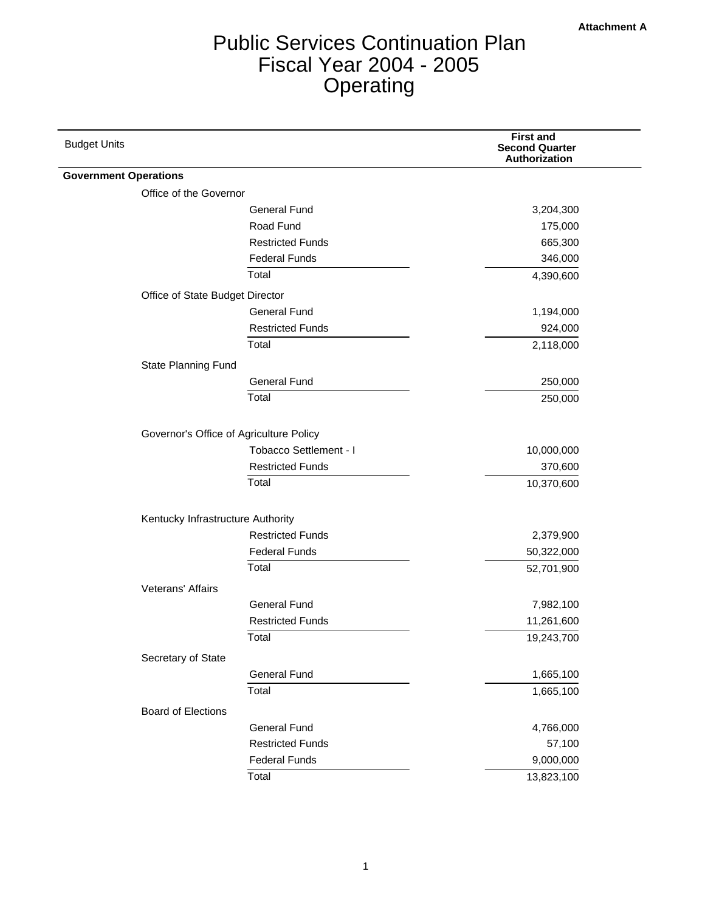# Public Services Continuation Plan Fiscal Year 2004 - 2005 **Operating**

| <b>Budget Units</b>          |                                         | <b>First and</b><br><b>Second Quarter</b><br>Authorization |
|------------------------------|-----------------------------------------|------------------------------------------------------------|
| <b>Government Operations</b> |                                         |                                                            |
| Office of the Governor       |                                         |                                                            |
|                              | <b>General Fund</b>                     | 3,204,300                                                  |
|                              | Road Fund                               | 175,000                                                    |
|                              | <b>Restricted Funds</b>                 | 665,300                                                    |
|                              | <b>Federal Funds</b>                    | 346,000                                                    |
|                              | Total                                   | 4,390,600                                                  |
|                              | Office of State Budget Director         |                                                            |
|                              | <b>General Fund</b>                     | 1,194,000                                                  |
|                              | <b>Restricted Funds</b>                 | 924,000                                                    |
|                              | Total                                   | 2,118,000                                                  |
| State Planning Fund          |                                         |                                                            |
|                              | <b>General Fund</b>                     | 250,000                                                    |
|                              | Total                                   | 250,000                                                    |
|                              |                                         |                                                            |
|                              | Governor's Office of Agriculture Policy |                                                            |
|                              | Tobacco Settlement - I                  | 10,000,000                                                 |
|                              | <b>Restricted Funds</b>                 | 370,600                                                    |
|                              | Total                                   | 10,370,600                                                 |
|                              |                                         |                                                            |
|                              | Kentucky Infrastructure Authority       |                                                            |
|                              | <b>Restricted Funds</b>                 | 2,379,900                                                  |
|                              | <b>Federal Funds</b>                    | 50,322,000                                                 |
|                              | Total                                   | 52,701,900                                                 |
| Veterans' Affairs            |                                         |                                                            |
|                              | <b>General Fund</b>                     | 7,982,100                                                  |
|                              | <b>Restricted Funds</b>                 | 11,261,600                                                 |
|                              | Total                                   | 19,243,700                                                 |
| Secretary of State           |                                         |                                                            |
|                              | <b>General Fund</b>                     | 1,665,100                                                  |
|                              | Total                                   | 1,665,100                                                  |
| <b>Board of Elections</b>    |                                         |                                                            |
|                              | <b>General Fund</b>                     | 4,766,000                                                  |
|                              | <b>Restricted Funds</b>                 | 57,100                                                     |
|                              | <b>Federal Funds</b>                    | 9,000,000                                                  |
|                              | Total                                   | 13,823,100                                                 |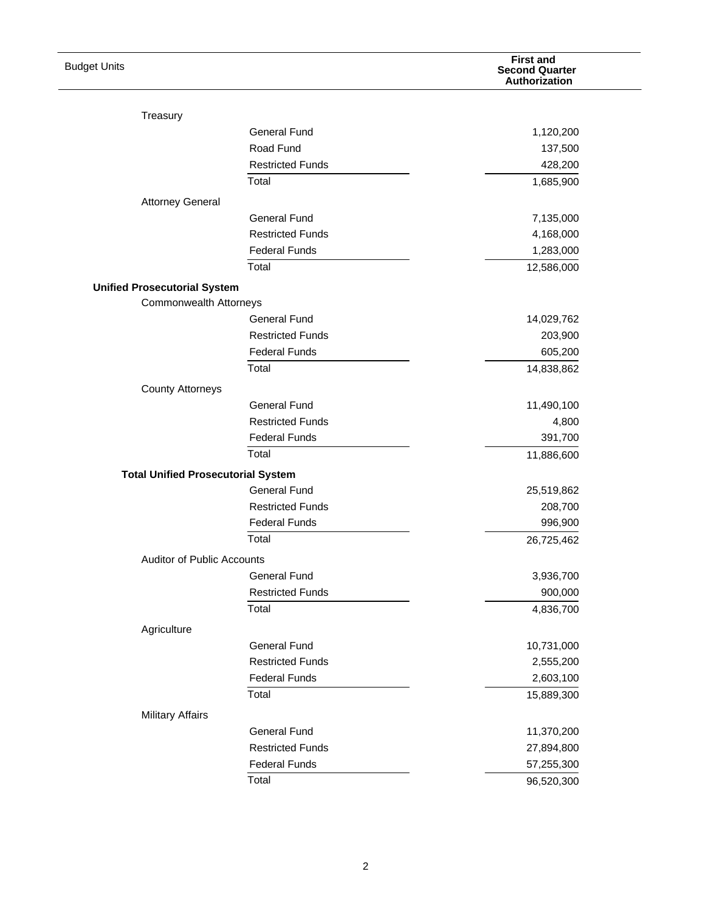| <b>Budget Units</b>                       |                         | <b>First and</b><br><b>Second Quarter</b><br>Authorization |
|-------------------------------------------|-------------------------|------------------------------------------------------------|
|                                           |                         |                                                            |
| Treasury                                  |                         |                                                            |
|                                           | <b>General Fund</b>     | 1,120,200                                                  |
|                                           | Road Fund               | 137,500                                                    |
|                                           | <b>Restricted Funds</b> | 428,200                                                    |
|                                           | Total                   | 1,685,900                                                  |
| <b>Attorney General</b>                   |                         |                                                            |
|                                           | <b>General Fund</b>     | 7,135,000                                                  |
|                                           | <b>Restricted Funds</b> | 4,168,000                                                  |
|                                           | <b>Federal Funds</b>    | 1,283,000                                                  |
|                                           | Total                   | 12,586,000                                                 |
| <b>Unified Prosecutorial System</b>       |                         |                                                            |
| <b>Commonwealth Attorneys</b>             |                         |                                                            |
|                                           | <b>General Fund</b>     | 14,029,762                                                 |
|                                           | <b>Restricted Funds</b> | 203,900                                                    |
|                                           | <b>Federal Funds</b>    | 605,200                                                    |
|                                           | Total                   | 14,838,862                                                 |
| <b>County Attorneys</b>                   |                         |                                                            |
|                                           | <b>General Fund</b>     | 11,490,100                                                 |
|                                           | <b>Restricted Funds</b> | 4,800                                                      |
|                                           | <b>Federal Funds</b>    | 391,700                                                    |
|                                           | Total                   | 11,886,600                                                 |
| <b>Total Unified Prosecutorial System</b> |                         |                                                            |
|                                           | <b>General Fund</b>     | 25,519,862                                                 |
|                                           | <b>Restricted Funds</b> | 208,700                                                    |
|                                           | <b>Federal Funds</b>    | 996,900                                                    |
|                                           | Total                   | 26,725,462                                                 |
| <b>Auditor of Public Accounts</b>         |                         |                                                            |
|                                           | <b>General Fund</b>     | 3,936,700                                                  |
|                                           | <b>Restricted Funds</b> | 900,000                                                    |
|                                           | Total                   | 4,836,700                                                  |
| Agriculture                               |                         |                                                            |
|                                           | <b>General Fund</b>     | 10,731,000                                                 |
|                                           | <b>Restricted Funds</b> | 2,555,200                                                  |
|                                           | <b>Federal Funds</b>    | 2,603,100                                                  |
|                                           | Total                   | 15,889,300                                                 |
| <b>Military Affairs</b>                   |                         |                                                            |
|                                           | <b>General Fund</b>     | 11,370,200                                                 |
|                                           | <b>Restricted Funds</b> | 27,894,800                                                 |
|                                           | <b>Federal Funds</b>    | 57,255,300                                                 |
|                                           | Total                   | 96,520,300                                                 |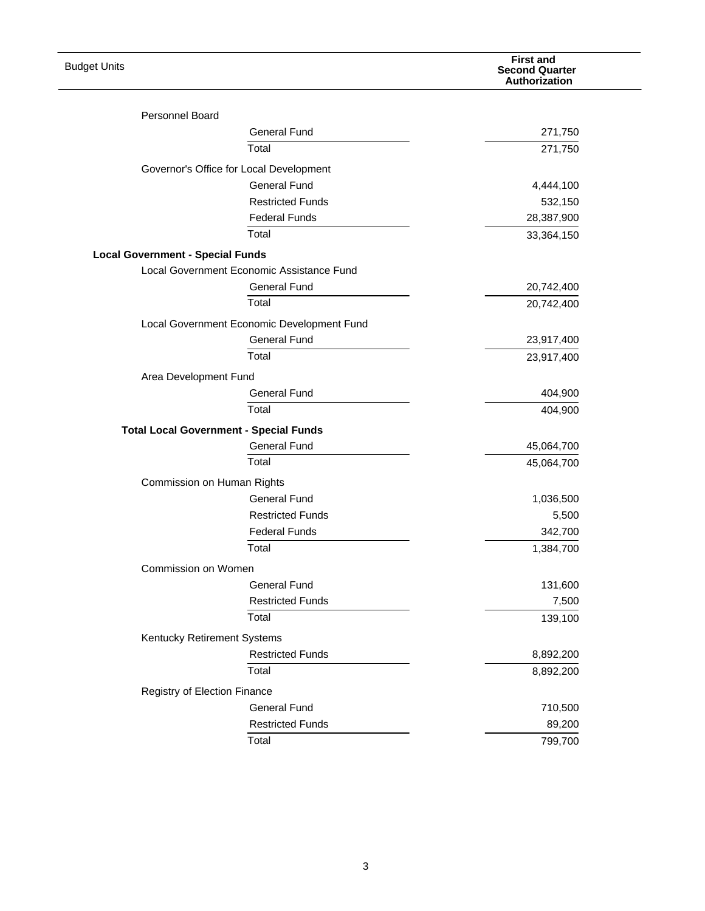| <b>Budget Units</b>                     |                                               | <b>First and</b><br><b>Second Quarter</b><br>Authorization |
|-----------------------------------------|-----------------------------------------------|------------------------------------------------------------|
| Personnel Board                         |                                               |                                                            |
|                                         | <b>General Fund</b>                           | 271,750                                                    |
|                                         | Total                                         | 271,750                                                    |
|                                         |                                               |                                                            |
|                                         | Governor's Office for Local Development       |                                                            |
|                                         | <b>General Fund</b>                           | 4,444,100                                                  |
|                                         | <b>Restricted Funds</b>                       | 532,150                                                    |
|                                         | <b>Federal Funds</b>                          | 28,387,900                                                 |
|                                         | Total                                         | 33,364,150                                                 |
| <b>Local Government - Special Funds</b> |                                               |                                                            |
|                                         | Local Government Economic Assistance Fund     |                                                            |
|                                         | <b>General Fund</b>                           | 20,742,400                                                 |
|                                         | Total                                         | 20,742,400                                                 |
|                                         | Local Government Economic Development Fund    |                                                            |
|                                         | <b>General Fund</b>                           | 23,917,400                                                 |
|                                         | Total                                         | 23,917,400                                                 |
| Area Development Fund                   |                                               |                                                            |
|                                         | <b>General Fund</b>                           | 404,900                                                    |
|                                         | Total                                         | 404,900                                                    |
|                                         | <b>Total Local Government - Special Funds</b> |                                                            |
|                                         | <b>General Fund</b>                           | 45,064,700                                                 |
|                                         | Total                                         | 45,064,700                                                 |
|                                         | Commission on Human Rights                    |                                                            |
|                                         | <b>General Fund</b>                           | 1,036,500                                                  |
|                                         | <b>Restricted Funds</b>                       | 5,500                                                      |
|                                         | <b>Federal Funds</b>                          | 342,700                                                    |
|                                         | Total                                         | 1,384,700                                                  |
| Commission on Women                     |                                               |                                                            |
|                                         | <b>General Fund</b>                           | 131,600                                                    |
|                                         | <b>Restricted Funds</b>                       | 7,500                                                      |
|                                         | Total                                         | 139,100                                                    |
|                                         |                                               |                                                            |
| Kentucky Retirement Systems             |                                               |                                                            |
|                                         | <b>Restricted Funds</b>                       | 8,892,200                                                  |
|                                         | Total                                         | 8,892,200                                                  |
| Registry of Election Finance            |                                               |                                                            |
|                                         | <b>General Fund</b>                           | 710,500                                                    |
|                                         | <b>Restricted Funds</b>                       | 89,200                                                     |
|                                         | Total                                         | 799,700                                                    |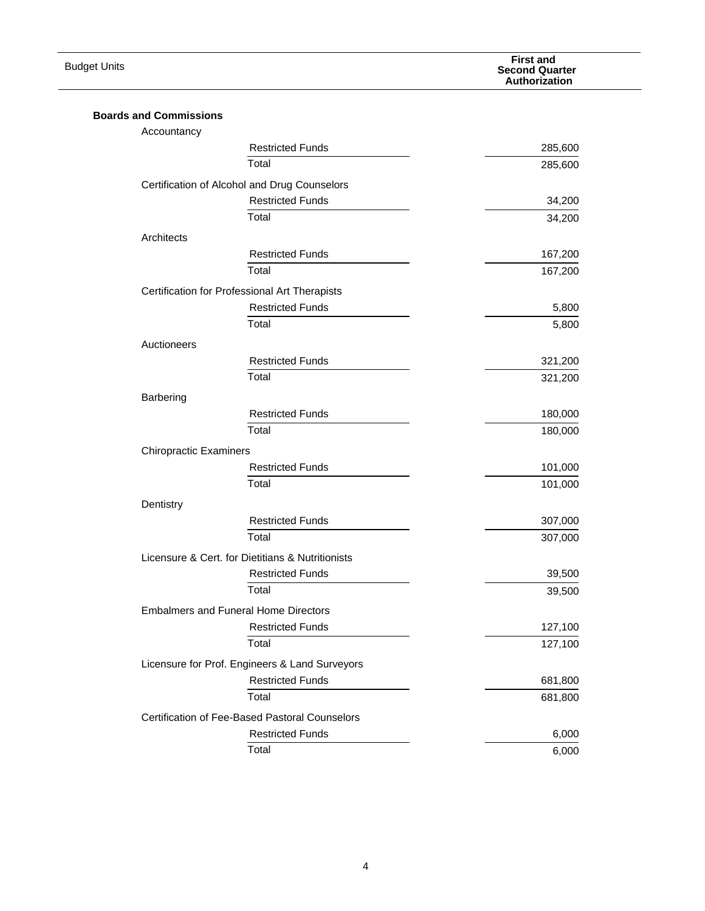| <b>Budget Units</b>                          |                                                                           | <b>First and</b><br><b>Second Quarter</b><br>Authorization |
|----------------------------------------------|---------------------------------------------------------------------------|------------------------------------------------------------|
|                                              |                                                                           |                                                            |
| <b>Boards and Commissions</b><br>Accountancy |                                                                           |                                                            |
|                                              | <b>Restricted Funds</b>                                                   | 285,600                                                    |
|                                              | Total                                                                     | 285,600                                                    |
|                                              | Certification of Alcohol and Drug Counselors                              |                                                            |
|                                              | <b>Restricted Funds</b>                                                   | 34,200                                                     |
|                                              | Total                                                                     | 34,200                                                     |
|                                              |                                                                           |                                                            |
| Architects                                   |                                                                           |                                                            |
|                                              | <b>Restricted Funds</b>                                                   | 167,200                                                    |
|                                              | Total                                                                     | 167,200                                                    |
|                                              | Certification for Professional Art Therapists                             |                                                            |
|                                              | <b>Restricted Funds</b>                                                   | 5,800                                                      |
|                                              | Total                                                                     | 5,800                                                      |
| Auctioneers                                  |                                                                           |                                                            |
|                                              | <b>Restricted Funds</b>                                                   | 321,200                                                    |
|                                              | Total                                                                     | 321,200                                                    |
| Barbering                                    |                                                                           |                                                            |
|                                              | <b>Restricted Funds</b>                                                   | 180,000                                                    |
|                                              | Total                                                                     | 180,000                                                    |
| <b>Chiropractic Examiners</b>                |                                                                           |                                                            |
|                                              | <b>Restricted Funds</b>                                                   | 101,000                                                    |
|                                              | Total                                                                     | 101,000                                                    |
| Dentistry                                    |                                                                           |                                                            |
|                                              | <b>Restricted Funds</b>                                                   | 307,000                                                    |
|                                              | Total                                                                     | 307,000                                                    |
|                                              | Licensure & Cert. for Dietitians & Nutritionists                          |                                                            |
|                                              | <b>Restricted Funds</b>                                                   | 39,500                                                     |
|                                              | Total                                                                     | 39,500                                                     |
|                                              | <b>Embalmers and Funeral Home Directors</b>                               |                                                            |
|                                              | <b>Restricted Funds</b>                                                   | 127,100                                                    |
|                                              | Total                                                                     | 127,100                                                    |
|                                              | Licensure for Prof. Engineers & Land Surveyors                            |                                                            |
|                                              | <b>Restricted Funds</b>                                                   | 681,800                                                    |
|                                              | Total                                                                     | 681,800                                                    |
|                                              |                                                                           |                                                            |
|                                              | Certification of Fee-Based Pastoral Counselors<br><b>Restricted Funds</b> | 6,000                                                      |
|                                              | Total                                                                     |                                                            |
|                                              |                                                                           | 6,000                                                      |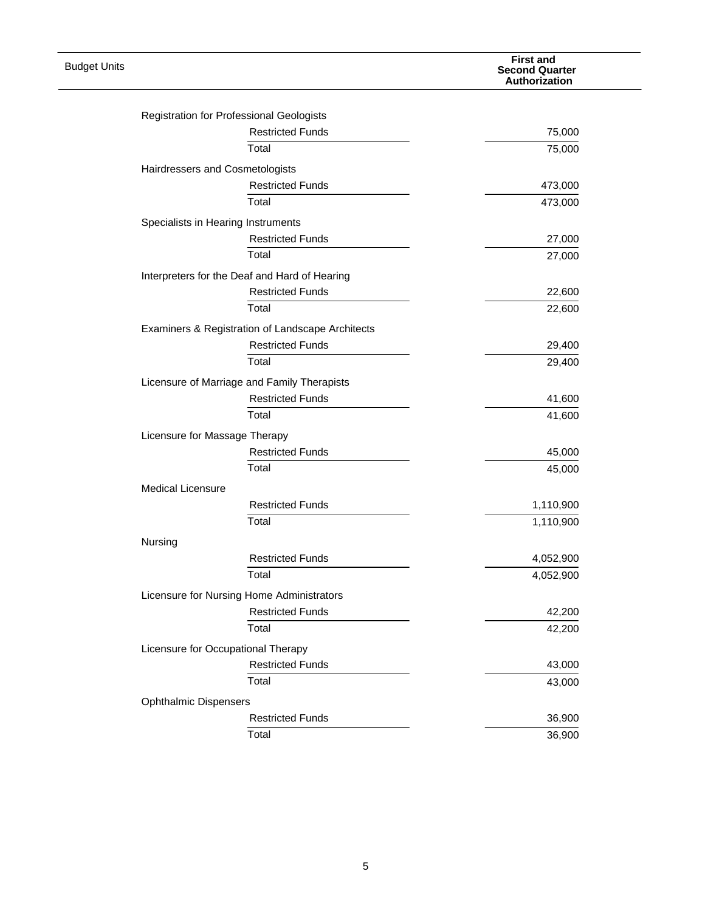| <b>Budget Units</b> |                                                          | <b>First and</b><br><b>Second Quarter</b><br>Authorization |
|---------------------|----------------------------------------------------------|------------------------------------------------------------|
|                     |                                                          |                                                            |
|                     | Registration for Professional Geologists                 |                                                            |
|                     | <b>Restricted Funds</b>                                  | 75,000                                                     |
|                     | Total                                                    | 75,000                                                     |
|                     | Hairdressers and Cosmetologists                          |                                                            |
|                     | <b>Restricted Funds</b>                                  | 473,000                                                    |
|                     | Total                                                    | 473,000                                                    |
|                     | Specialists in Hearing Instruments                       |                                                            |
|                     | <b>Restricted Funds</b>                                  | 27,000                                                     |
|                     | Total                                                    | 27,000                                                     |
|                     | Interpreters for the Deaf and Hard of Hearing            |                                                            |
|                     | <b>Restricted Funds</b>                                  | 22,600                                                     |
|                     | Total                                                    | 22,600                                                     |
|                     | Examiners & Registration of Landscape Architects         |                                                            |
|                     | <b>Restricted Funds</b>                                  | 29,400                                                     |
|                     | Total                                                    | 29,400                                                     |
|                     | Licensure of Marriage and Family Therapists              |                                                            |
|                     | <b>Restricted Funds</b>                                  | 41,600                                                     |
|                     | Total                                                    | 41,600                                                     |
|                     |                                                          |                                                            |
|                     | Licensure for Massage Therapy<br><b>Restricted Funds</b> |                                                            |
|                     | Total                                                    | 45,000<br>45,000                                           |
|                     |                                                          |                                                            |
|                     | <b>Medical Licensure</b>                                 |                                                            |
|                     | <b>Restricted Funds</b>                                  | 1,110,900                                                  |
|                     | Total                                                    | 1,110,900                                                  |
|                     | Nursing                                                  |                                                            |
|                     | <b>Restricted Funds</b>                                  | 4,052,900                                                  |
|                     | Total                                                    | 4,052,900                                                  |
|                     | Licensure for Nursing Home Administrators                |                                                            |
|                     | <b>Restricted Funds</b>                                  | 42,200                                                     |
|                     | Total                                                    | 42,200                                                     |
|                     | Licensure for Occupational Therapy                       |                                                            |
|                     | <b>Restricted Funds</b>                                  | 43,000                                                     |
|                     | Total                                                    | 43,000                                                     |
|                     | <b>Ophthalmic Dispensers</b>                             |                                                            |
|                     | <b>Restricted Funds</b>                                  | 36,900                                                     |
|                     | Total                                                    | 36,900                                                     |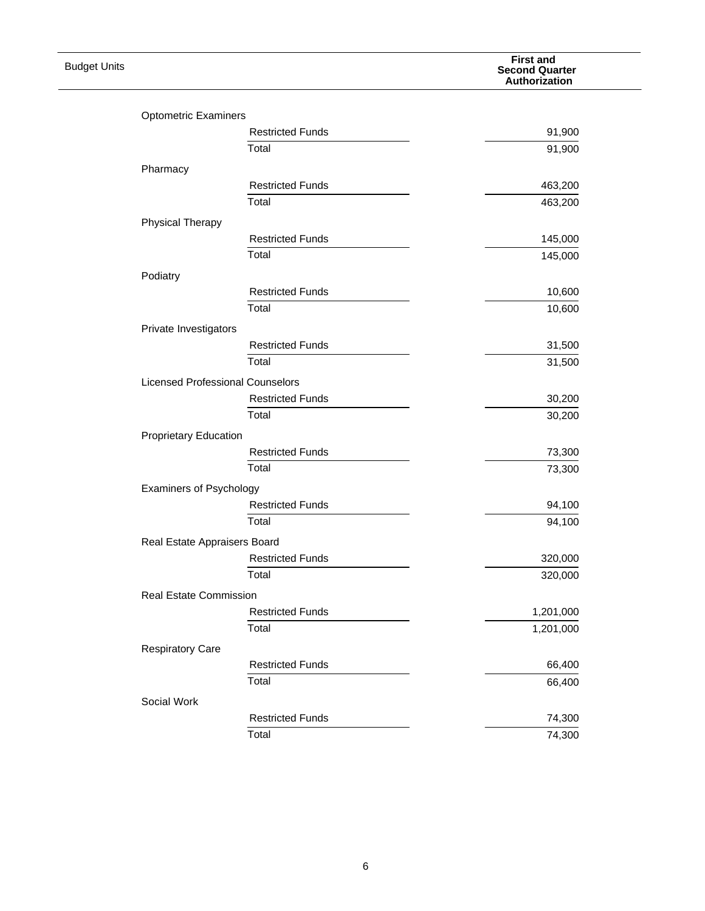| <b>Budget Units</b> |                                         |                         | <b>First and</b><br><b>Second Quarter</b><br>Authorization |
|---------------------|-----------------------------------------|-------------------------|------------------------------------------------------------|
|                     |                                         |                         |                                                            |
|                     | <b>Optometric Examiners</b>             |                         |                                                            |
|                     |                                         | <b>Restricted Funds</b> | 91,900                                                     |
|                     |                                         | Total                   | 91,900                                                     |
|                     | Pharmacy                                |                         |                                                            |
|                     |                                         | <b>Restricted Funds</b> | 463,200                                                    |
|                     |                                         | Total                   | 463,200                                                    |
|                     | <b>Physical Therapy</b>                 |                         |                                                            |
|                     |                                         | <b>Restricted Funds</b> | 145,000                                                    |
|                     |                                         | Total                   | 145,000                                                    |
|                     | Podiatry                                |                         |                                                            |
|                     |                                         | <b>Restricted Funds</b> | 10,600                                                     |
|                     |                                         | Total                   | 10,600                                                     |
|                     | Private Investigators                   |                         |                                                            |
|                     |                                         | <b>Restricted Funds</b> | 31,500                                                     |
|                     |                                         | Total                   | 31,500                                                     |
|                     | <b>Licensed Professional Counselors</b> |                         |                                                            |
|                     |                                         | <b>Restricted Funds</b> | 30,200                                                     |
|                     |                                         | Total                   | 30,200                                                     |
|                     |                                         |                         |                                                            |
|                     | <b>Proprietary Education</b>            | <b>Restricted Funds</b> | 73,300                                                     |
|                     |                                         | Total                   | 73,300                                                     |
|                     |                                         |                         |                                                            |
|                     | Examiners of Psychology                 | <b>Restricted Funds</b> | 94,100                                                     |
|                     |                                         | Total                   | 94,100                                                     |
|                     |                                         |                         |                                                            |
|                     | Real Estate Appraisers Board            |                         |                                                            |
|                     |                                         | <b>Restricted Funds</b> | 320,000                                                    |
|                     |                                         | Total                   | 320,000                                                    |
|                     | Real Estate Commission                  |                         |                                                            |
|                     |                                         | <b>Restricted Funds</b> | 1,201,000                                                  |
|                     |                                         | Total                   | 1,201,000                                                  |
|                     | <b>Respiratory Care</b>                 |                         |                                                            |
|                     |                                         | <b>Restricted Funds</b> | 66,400                                                     |
|                     |                                         | Total                   | 66,400                                                     |
|                     | Social Work                             |                         |                                                            |
|                     |                                         | <b>Restricted Funds</b> | 74,300                                                     |
|                     |                                         | Total                   | 74,300                                                     |
|                     |                                         |                         |                                                            |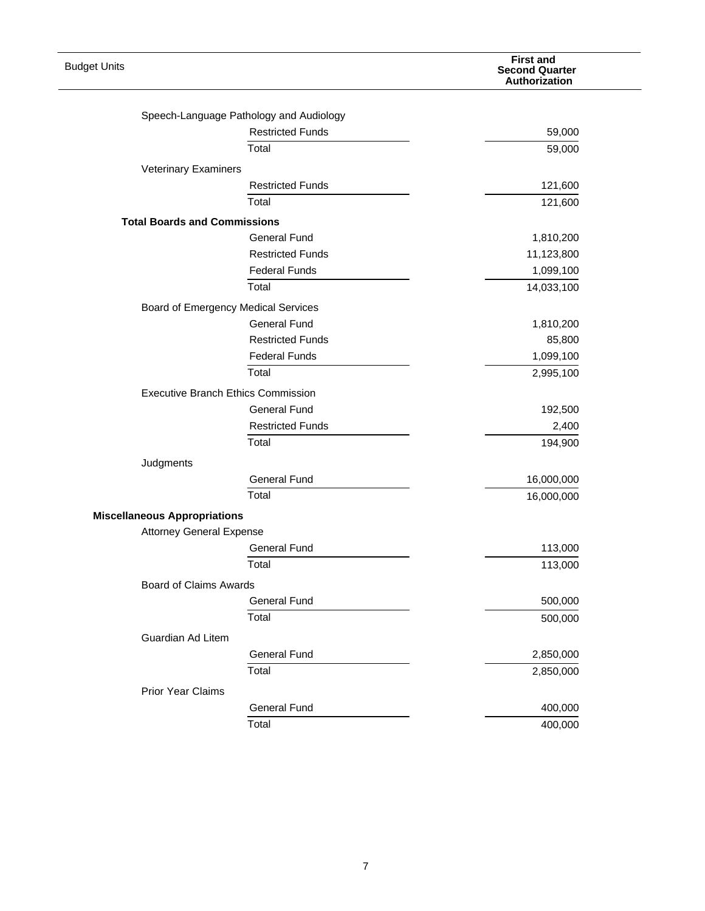| <b>Budget Units</b>                 |                                           | <b>First and</b><br><b>Second Quarter</b><br>Authorization |
|-------------------------------------|-------------------------------------------|------------------------------------------------------------|
|                                     |                                           |                                                            |
|                                     | Speech-Language Pathology and Audiology   |                                                            |
|                                     | <b>Restricted Funds</b>                   | 59,000                                                     |
|                                     | Total                                     | 59,000                                                     |
| <b>Veterinary Examiners</b>         |                                           |                                                            |
|                                     | <b>Restricted Funds</b>                   | 121,600                                                    |
|                                     | Total                                     | 121,600                                                    |
| <b>Total Boards and Commissions</b> |                                           |                                                            |
|                                     | <b>General Fund</b>                       | 1,810,200                                                  |
|                                     | <b>Restricted Funds</b>                   | 11,123,800                                                 |
|                                     | <b>Federal Funds</b>                      | 1,099,100                                                  |
|                                     | Total                                     | 14,033,100                                                 |
|                                     | Board of Emergency Medical Services       |                                                            |
|                                     | <b>General Fund</b>                       | 1,810,200                                                  |
|                                     | <b>Restricted Funds</b>                   | 85,800                                                     |
|                                     | <b>Federal Funds</b>                      | 1,099,100                                                  |
|                                     | Total                                     | 2,995,100                                                  |
|                                     | <b>Executive Branch Ethics Commission</b> |                                                            |
|                                     | <b>General Fund</b>                       | 192,500                                                    |
|                                     | <b>Restricted Funds</b>                   |                                                            |
|                                     | Total                                     | 2,400                                                      |
|                                     |                                           | 194,900                                                    |
| Judgments                           |                                           |                                                            |
|                                     | <b>General Fund</b>                       | 16,000,000                                                 |
|                                     | Total                                     | 16,000,000                                                 |
| <b>Miscellaneous Appropriations</b> |                                           |                                                            |
| <b>Attorney General Expense</b>     |                                           |                                                            |
|                                     | <b>General Fund</b>                       | 113,000                                                    |
|                                     | Total                                     | 113,000                                                    |
| <b>Board of Claims Awards</b>       |                                           |                                                            |
|                                     | <b>General Fund</b>                       | 500,000                                                    |
|                                     | Total                                     | 500,000                                                    |
| Guardian Ad Litem                   |                                           |                                                            |
|                                     | <b>General Fund</b>                       | 2,850,000                                                  |
|                                     | Total                                     | 2,850,000                                                  |
| <b>Prior Year Claims</b>            |                                           |                                                            |
|                                     | <b>General Fund</b>                       | 400,000                                                    |
|                                     | Total                                     | 400,000                                                    |
|                                     |                                           |                                                            |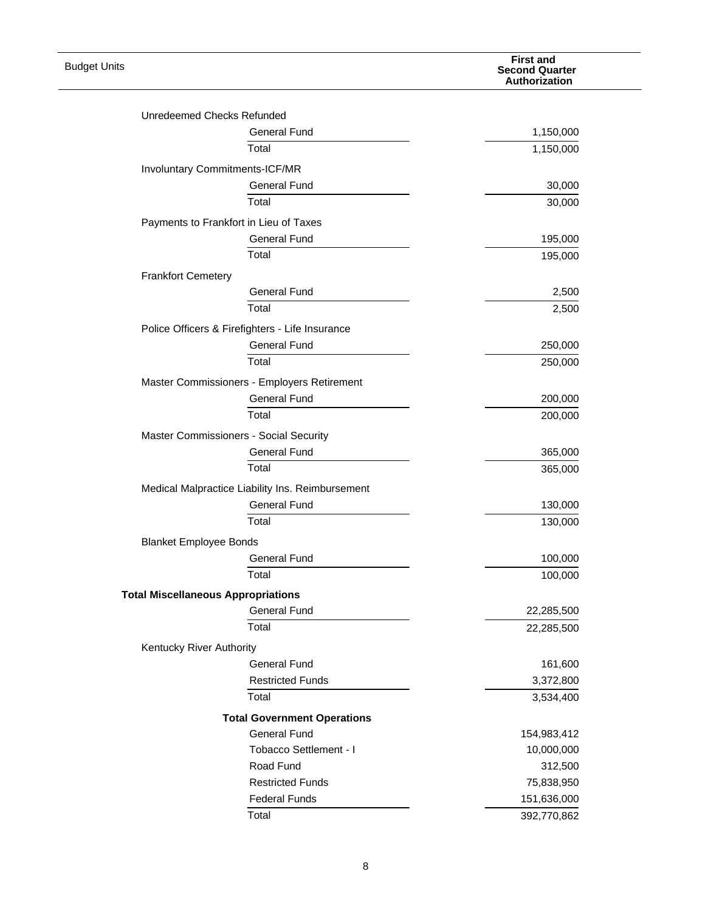| <b>Budget Units</b>                       |                                                  | <b>First and</b><br><b>Second Quarter</b><br>Authorization |
|-------------------------------------------|--------------------------------------------------|------------------------------------------------------------|
| Unredeemed Checks Refunded                |                                                  |                                                            |
|                                           | <b>General Fund</b>                              | 1,150,000                                                  |
|                                           | Total                                            |                                                            |
|                                           |                                                  | 1,150,000                                                  |
| Involuntary Commitments-ICF/MR            |                                                  |                                                            |
|                                           | <b>General Fund</b>                              | 30,000                                                     |
|                                           | Total                                            | 30,000                                                     |
|                                           | Payments to Frankfort in Lieu of Taxes           |                                                            |
|                                           | <b>General Fund</b>                              | 195,000                                                    |
|                                           | Total                                            | 195,000                                                    |
| <b>Frankfort Cemetery</b>                 |                                                  |                                                            |
|                                           | <b>General Fund</b>                              | 2,500                                                      |
|                                           | Total                                            | 2,500                                                      |
|                                           | Police Officers & Firefighters - Life Insurance  |                                                            |
|                                           | <b>General Fund</b>                              | 250,000                                                    |
|                                           | Total                                            | 250,000                                                    |
|                                           | Master Commissioners - Employers Retirement      |                                                            |
|                                           | <b>General Fund</b>                              | 200,000                                                    |
|                                           | Total                                            | 200,000                                                    |
|                                           | Master Commissioners - Social Security           |                                                            |
|                                           | <b>General Fund</b>                              | 365,000                                                    |
|                                           | Total                                            | 365,000                                                    |
|                                           | Medical Malpractice Liability Ins. Reimbursement |                                                            |
|                                           | <b>General Fund</b>                              | 130,000                                                    |
|                                           | Total                                            | 130,000                                                    |
| <b>Blanket Employee Bonds</b>             |                                                  |                                                            |
|                                           | <b>General Fund</b>                              | 100,000                                                    |
|                                           | Total                                            | 100,000                                                    |
|                                           |                                                  |                                                            |
| <b>Total Miscellaneous Appropriations</b> |                                                  |                                                            |
|                                           | <b>General Fund</b><br>Total                     | 22,285,500                                                 |
|                                           |                                                  | 22,285,500                                                 |
| Kentucky River Authority                  |                                                  |                                                            |
|                                           | <b>General Fund</b>                              | 161,600                                                    |
|                                           | <b>Restricted Funds</b>                          | 3,372,800                                                  |
|                                           | Total                                            | 3,534,400                                                  |
|                                           | <b>Total Government Operations</b>               |                                                            |
|                                           | <b>General Fund</b>                              | 154,983,412                                                |
|                                           | Tobacco Settlement - I                           | 10,000,000                                                 |
|                                           | Road Fund                                        | 312,500                                                    |
|                                           | <b>Restricted Funds</b>                          | 75,838,950                                                 |
|                                           | <b>Federal Funds</b>                             | 151,636,000                                                |
|                                           | Total                                            | 392,770,862                                                |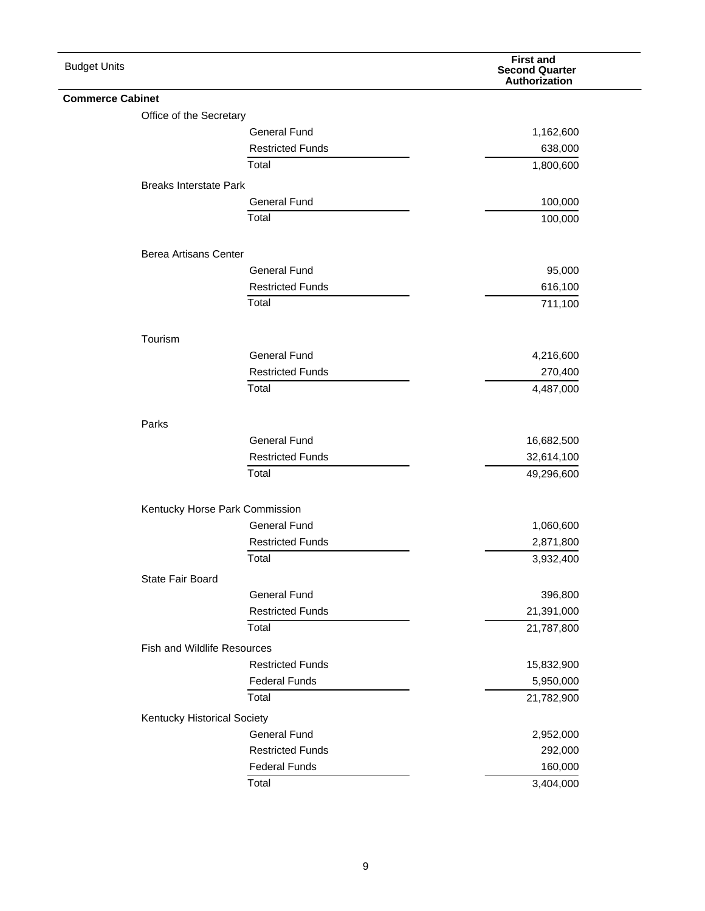| <b>Budget Units</b>     |                                    |                                | <b>First and</b><br><b>Second Quarter</b><br>Authorization |
|-------------------------|------------------------------------|--------------------------------|------------------------------------------------------------|
| <b>Commerce Cabinet</b> |                                    |                                |                                                            |
|                         | Office of the Secretary            |                                |                                                            |
|                         |                                    | <b>General Fund</b>            | 1,162,600                                                  |
|                         |                                    | <b>Restricted Funds</b>        | 638,000                                                    |
|                         |                                    | Total                          | 1,800,600                                                  |
|                         | <b>Breaks Interstate Park</b>      |                                |                                                            |
|                         |                                    | <b>General Fund</b>            | 100,000                                                    |
|                         |                                    | Total                          | 100,000                                                    |
|                         | Berea Artisans Center              |                                |                                                            |
|                         |                                    | <b>General Fund</b>            | 95,000                                                     |
|                         |                                    | <b>Restricted Funds</b>        | 616,100                                                    |
|                         |                                    | Total                          | 711,100                                                    |
|                         | Tourism                            |                                |                                                            |
|                         |                                    | <b>General Fund</b>            | 4,216,600                                                  |
|                         |                                    | <b>Restricted Funds</b>        | 270,400                                                    |
|                         |                                    | Total                          | 4,487,000                                                  |
|                         | Parks                              |                                |                                                            |
|                         |                                    | <b>General Fund</b>            | 16,682,500                                                 |
|                         |                                    | <b>Restricted Funds</b>        | 32,614,100                                                 |
|                         |                                    | Total                          | 49,296,600                                                 |
|                         |                                    | Kentucky Horse Park Commission |                                                            |
|                         |                                    | <b>General Fund</b>            | 1,060,600                                                  |
|                         |                                    | <b>Restricted Funds</b>        | 2,871,800                                                  |
|                         |                                    | Total                          | 3,932,400                                                  |
|                         | State Fair Board                   |                                |                                                            |
|                         |                                    | <b>General Fund</b>            | 396,800                                                    |
|                         |                                    | <b>Restricted Funds</b>        | 21,391,000                                                 |
|                         |                                    | Total                          | 21,787,800                                                 |
|                         | <b>Fish and Wildlife Resources</b> |                                |                                                            |
|                         |                                    | <b>Restricted Funds</b>        | 15,832,900                                                 |
|                         |                                    | <b>Federal Funds</b>           | 5,950,000                                                  |
|                         |                                    | Total                          | 21,782,900                                                 |
|                         | Kentucky Historical Society        |                                |                                                            |
|                         |                                    | <b>General Fund</b>            | 2,952,000                                                  |
|                         |                                    | <b>Restricted Funds</b>        | 292,000                                                    |
|                         |                                    | <b>Federal Funds</b>           | 160,000                                                    |
|                         |                                    | Total                          | 3,404,000                                                  |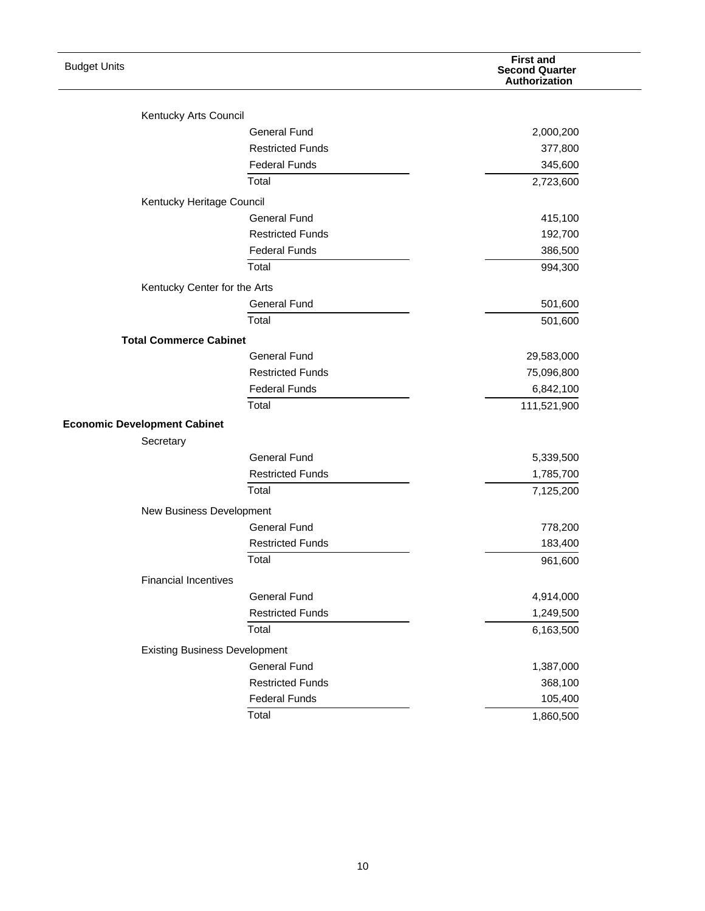| <b>Budget Units</b>                  |                         | <b>First and</b><br><b>Second Quarter</b><br>Authorization |
|--------------------------------------|-------------------------|------------------------------------------------------------|
| Kentucky Arts Council                |                         |                                                            |
|                                      | <b>General Fund</b>     | 2,000,200                                                  |
|                                      | <b>Restricted Funds</b> | 377,800                                                    |
|                                      | <b>Federal Funds</b>    | 345,600                                                    |
|                                      | Total                   | 2,723,600                                                  |
| Kentucky Heritage Council            |                         |                                                            |
|                                      | <b>General Fund</b>     | 415,100                                                    |
|                                      | <b>Restricted Funds</b> | 192,700                                                    |
|                                      | <b>Federal Funds</b>    | 386,500                                                    |
|                                      | Total                   | 994,300                                                    |
|                                      |                         |                                                            |
| Kentucky Center for the Arts         | <b>General Fund</b>     | 501,600                                                    |
|                                      | Total                   |                                                            |
|                                      |                         | 501,600                                                    |
| <b>Total Commerce Cabinet</b>        |                         |                                                            |
|                                      | <b>General Fund</b>     | 29,583,000                                                 |
|                                      | <b>Restricted Funds</b> | 75,096,800                                                 |
|                                      | <b>Federal Funds</b>    | 6,842,100                                                  |
|                                      | Total                   | 111,521,900                                                |
| <b>Economic Development Cabinet</b>  |                         |                                                            |
| Secretary                            |                         |                                                            |
|                                      | <b>General Fund</b>     | 5,339,500                                                  |
|                                      | <b>Restricted Funds</b> | 1,785,700                                                  |
|                                      | Total                   | 7,125,200                                                  |
| New Business Development             |                         |                                                            |
|                                      | <b>General Fund</b>     | 778,200                                                    |
|                                      | <b>Restricted Funds</b> | 183,400                                                    |
|                                      | Total                   | 961,600                                                    |
| <b>Financial Incentives</b>          |                         |                                                            |
|                                      | <b>General Fund</b>     | 4,914,000                                                  |
|                                      | <b>Restricted Funds</b> | 1,249,500                                                  |
|                                      | Total                   | 6,163,500                                                  |
| <b>Existing Business Development</b> |                         |                                                            |
|                                      | <b>General Fund</b>     | 1,387,000                                                  |
|                                      | <b>Restricted Funds</b> | 368,100                                                    |
|                                      | <b>Federal Funds</b>    | 105,400                                                    |
|                                      | Total                   | 1,860,500                                                  |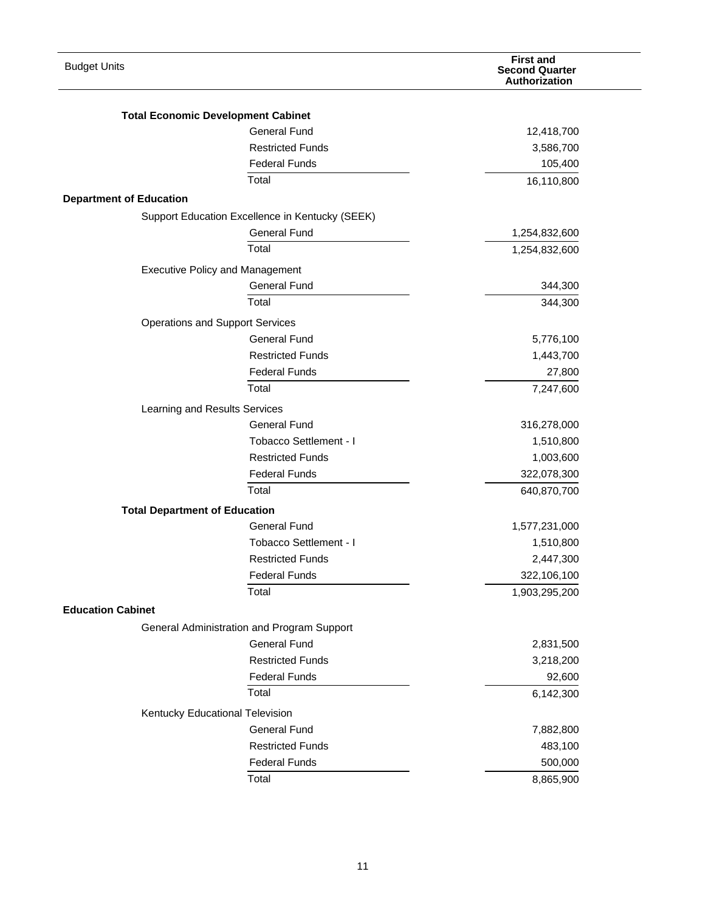| <b>Budget Units</b>                       |                                                 | <b>First and</b><br><b>Second Quarter</b><br>Authorization |
|-------------------------------------------|-------------------------------------------------|------------------------------------------------------------|
|                                           |                                                 |                                                            |
| <b>Total Economic Development Cabinet</b> | <b>General Fund</b>                             |                                                            |
|                                           |                                                 | 12,418,700                                                 |
|                                           | <b>Restricted Funds</b>                         | 3,586,700                                                  |
|                                           | <b>Federal Funds</b>                            | 105,400                                                    |
| <b>Department of Education</b>            | Total                                           | 16,110,800                                                 |
|                                           | Support Education Excellence in Kentucky (SEEK) |                                                            |
|                                           | <b>General Fund</b>                             |                                                            |
|                                           | Total                                           | 1,254,832,600                                              |
|                                           |                                                 | 1,254,832,600                                              |
| <b>Executive Policy and Management</b>    |                                                 |                                                            |
|                                           | <b>General Fund</b>                             | 344,300                                                    |
|                                           | Total                                           | 344,300                                                    |
| <b>Operations and Support Services</b>    |                                                 |                                                            |
|                                           | <b>General Fund</b>                             | 5,776,100                                                  |
|                                           | <b>Restricted Funds</b>                         | 1,443,700                                                  |
|                                           | <b>Federal Funds</b>                            | 27,800                                                     |
|                                           | Total                                           | 7,247,600                                                  |
| Learning and Results Services             |                                                 |                                                            |
|                                           | <b>General Fund</b>                             | 316,278,000                                                |
|                                           | Tobacco Settlement - I                          | 1,510,800                                                  |
|                                           | <b>Restricted Funds</b>                         | 1,003,600                                                  |
|                                           | <b>Federal Funds</b>                            | 322,078,300                                                |
|                                           | Total                                           | 640,870,700                                                |
| <b>Total Department of Education</b>      |                                                 |                                                            |
|                                           | <b>General Fund</b>                             | 1,577,231,000                                              |
|                                           | Tobacco Settlement - I                          | 1,510,800                                                  |
|                                           | <b>Restricted Funds</b>                         | 2,447,300                                                  |
|                                           | <b>Federal Funds</b>                            | 322,106,100                                                |
|                                           | Total                                           | 1,903,295,200                                              |
| <b>Education Cabinet</b>                  |                                                 |                                                            |
|                                           | General Administration and Program Support      |                                                            |
|                                           | <b>General Fund</b>                             | 2,831,500                                                  |
|                                           | <b>Restricted Funds</b>                         | 3,218,200                                                  |
|                                           | <b>Federal Funds</b>                            | 92,600                                                     |
|                                           | Total                                           | 6,142,300                                                  |
| Kentucky Educational Television           |                                                 |                                                            |
|                                           | <b>General Fund</b>                             | 7,882,800                                                  |
|                                           | <b>Restricted Funds</b>                         | 483,100                                                    |
|                                           | <b>Federal Funds</b>                            | 500,000                                                    |
|                                           | Total                                           | 8,865,900                                                  |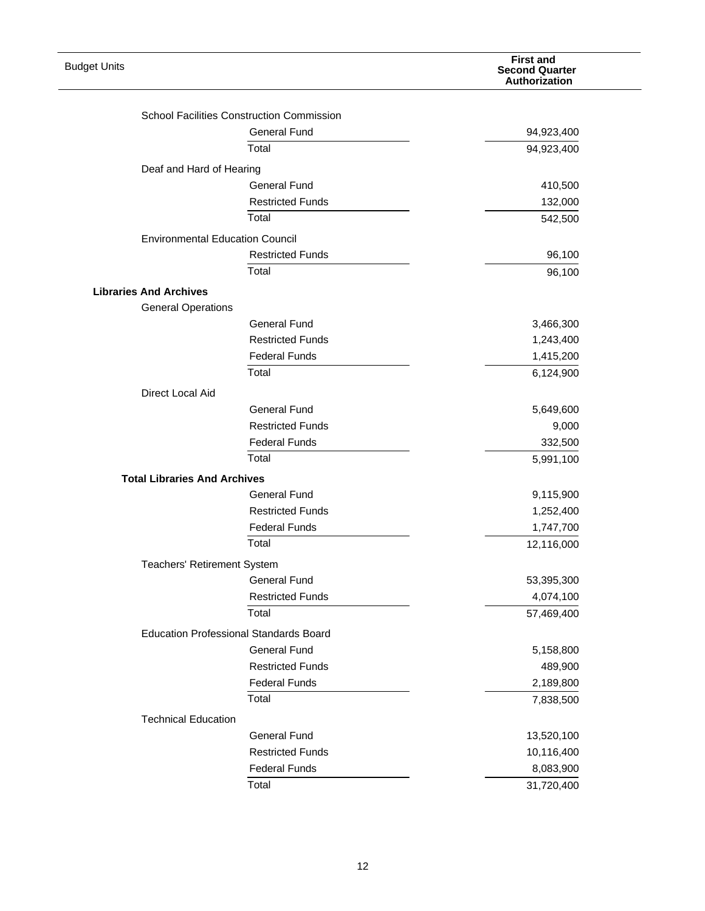| <b>Budget Units</b>                 |                                                  | <b>First and</b><br><b>Second Quarter</b><br>Authorization |
|-------------------------------------|--------------------------------------------------|------------------------------------------------------------|
|                                     | <b>School Facilities Construction Commission</b> |                                                            |
|                                     | <b>General Fund</b>                              | 94,923,400                                                 |
|                                     | Total                                            | 94,923,400                                                 |
|                                     |                                                  |                                                            |
| Deaf and Hard of Hearing            |                                                  |                                                            |
|                                     | <b>General Fund</b>                              | 410,500                                                    |
|                                     | <b>Restricted Funds</b>                          | 132,000                                                    |
|                                     | Total                                            | 542,500                                                    |
|                                     | <b>Environmental Education Council</b>           |                                                            |
|                                     | <b>Restricted Funds</b>                          | 96,100                                                     |
|                                     | Total                                            | 96,100                                                     |
| <b>Libraries And Archives</b>       |                                                  |                                                            |
| <b>General Operations</b>           |                                                  |                                                            |
|                                     | <b>General Fund</b>                              | 3,466,300                                                  |
|                                     | <b>Restricted Funds</b>                          | 1,243,400                                                  |
|                                     | <b>Federal Funds</b>                             | 1,415,200                                                  |
|                                     | Total                                            | 6,124,900                                                  |
| Direct Local Aid                    |                                                  |                                                            |
|                                     | <b>General Fund</b>                              | 5,649,600                                                  |
|                                     | <b>Restricted Funds</b>                          | 9,000                                                      |
|                                     | <b>Federal Funds</b>                             | 332,500                                                    |
|                                     | Total                                            | 5,991,100                                                  |
| <b>Total Libraries And Archives</b> |                                                  |                                                            |
|                                     | General Fund                                     | 9,115,900                                                  |
|                                     | <b>Restricted Funds</b>                          | 1,252,400                                                  |
|                                     | <b>Federal Funds</b>                             | 1,747,700                                                  |
|                                     | Total                                            | 12,116,000                                                 |
| Teachers' Retirement System         |                                                  |                                                            |
|                                     | <b>General Fund</b>                              | 53,395,300                                                 |
|                                     | <b>Restricted Funds</b>                          | 4,074,100                                                  |
|                                     | Total                                            | 57,469,400                                                 |
|                                     |                                                  |                                                            |
|                                     | <b>Education Professional Standards Board</b>    |                                                            |
|                                     | General Fund                                     | 5,158,800                                                  |
|                                     | <b>Restricted Funds</b>                          | 489,900                                                    |
|                                     | <b>Federal Funds</b>                             | 2,189,800                                                  |
|                                     | Total                                            | 7,838,500                                                  |
| <b>Technical Education</b>          |                                                  |                                                            |
|                                     | <b>General Fund</b>                              | 13,520,100                                                 |
|                                     | <b>Restricted Funds</b>                          | 10,116,400                                                 |
|                                     | <b>Federal Funds</b>                             | 8,083,900                                                  |
|                                     | Total                                            | 31,720,400                                                 |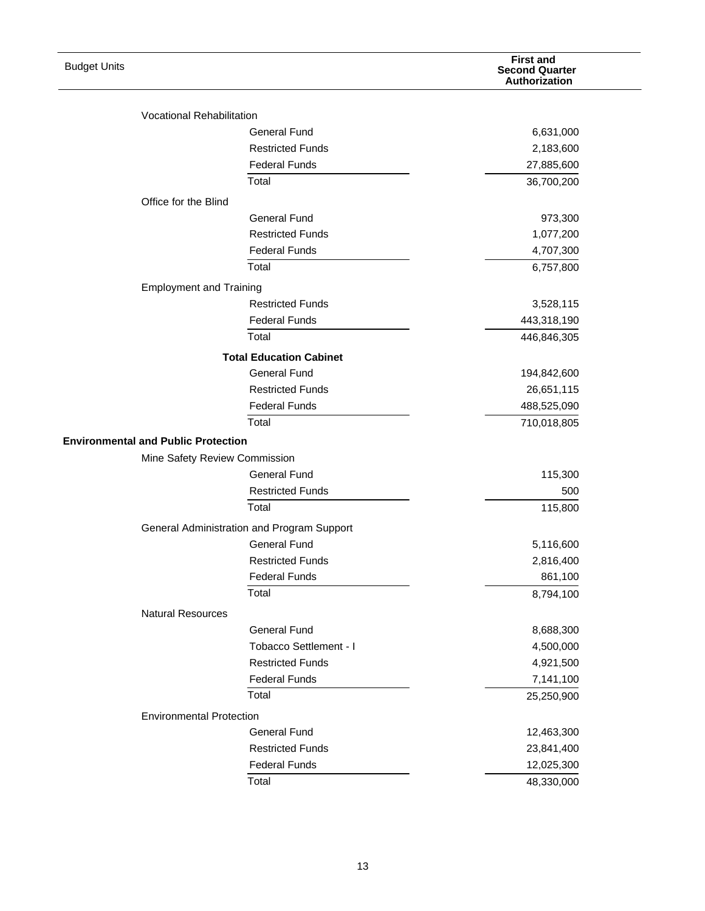| <b>Budget Units</b>                        |                                            | <b>First and</b><br><b>Second Quarter</b><br>Authorization |
|--------------------------------------------|--------------------------------------------|------------------------------------------------------------|
|                                            | <b>Vocational Rehabilitation</b>           |                                                            |
|                                            | <b>General Fund</b>                        | 6,631,000                                                  |
|                                            | <b>Restricted Funds</b>                    | 2,183,600                                                  |
|                                            | <b>Federal Funds</b>                       | 27,885,600                                                 |
|                                            | Total                                      | 36,700,200                                                 |
| Office for the Blind                       |                                            |                                                            |
|                                            | <b>General Fund</b>                        | 973,300                                                    |
|                                            | <b>Restricted Funds</b>                    | 1,077,200                                                  |
|                                            | <b>Federal Funds</b>                       | 4,707,300                                                  |
|                                            | Total                                      | 6,757,800                                                  |
|                                            | <b>Employment and Training</b>             |                                                            |
|                                            | <b>Restricted Funds</b>                    | 3,528,115                                                  |
|                                            | <b>Federal Funds</b>                       | 443,318,190                                                |
|                                            | Total                                      | 446,846,305                                                |
|                                            | <b>Total Education Cabinet</b>             |                                                            |
|                                            | <b>General Fund</b>                        | 194,842,600                                                |
|                                            | <b>Restricted Funds</b>                    | 26,651,115                                                 |
|                                            | <b>Federal Funds</b>                       | 488,525,090                                                |
|                                            | Total                                      | 710,018,805                                                |
| <b>Environmental and Public Protection</b> |                                            |                                                            |
|                                            | Mine Safety Review Commission              |                                                            |
|                                            | <b>General Fund</b>                        | 115,300                                                    |
|                                            | <b>Restricted Funds</b>                    | 500                                                        |
|                                            | Total                                      | 115,800                                                    |
|                                            | General Administration and Program Support |                                                            |
|                                            | <b>General Fund</b>                        | 5,116,600                                                  |
|                                            | <b>Restricted Funds</b>                    | 2,816,400                                                  |
|                                            | <b>Federal Funds</b>                       | 861,100                                                    |
|                                            | Total                                      | 8,794,100                                                  |
| <b>Natural Resources</b>                   |                                            |                                                            |
|                                            | <b>General Fund</b>                        | 8,688,300                                                  |
|                                            | Tobacco Settlement - I                     | 4,500,000                                                  |
|                                            | <b>Restricted Funds</b>                    | 4,921,500                                                  |
|                                            | <b>Federal Funds</b>                       | 7,141,100                                                  |
|                                            | Total                                      | 25,250,900                                                 |
|                                            | <b>Environmental Protection</b>            |                                                            |
|                                            | <b>General Fund</b>                        | 12,463,300                                                 |
|                                            | <b>Restricted Funds</b>                    | 23,841,400                                                 |
|                                            | <b>Federal Funds</b>                       | 12,025,300                                                 |
|                                            | Total                                      | 48,330,000                                                 |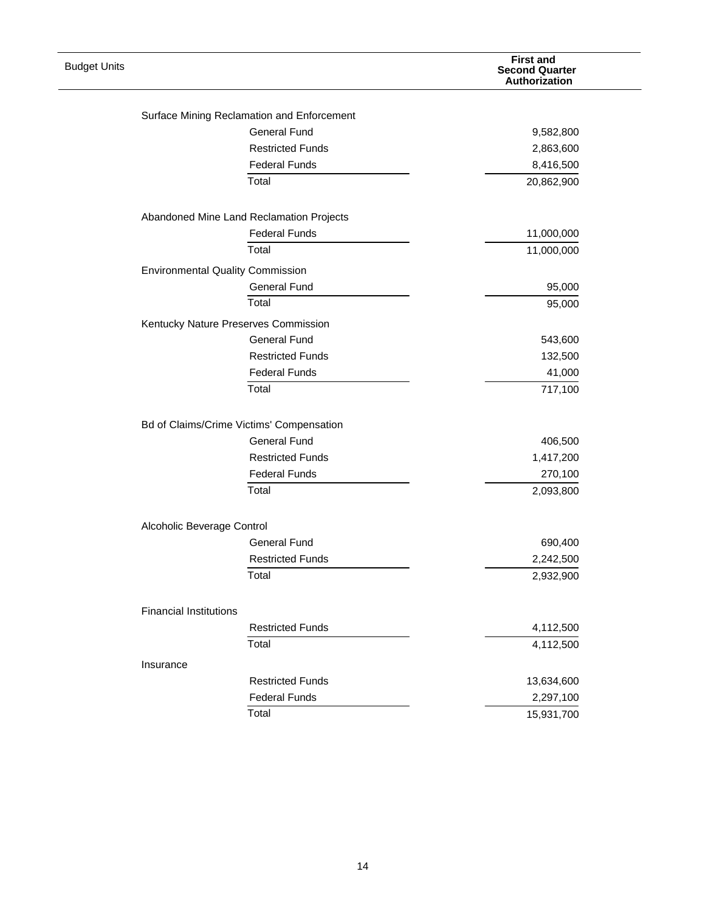| <b>Budget Units</b> |                                            | <b>First and</b><br><b>Second Quarter</b><br>Authorization |
|---------------------|--------------------------------------------|------------------------------------------------------------|
|                     |                                            |                                                            |
|                     | Surface Mining Reclamation and Enforcement |                                                            |
|                     | <b>General Fund</b>                        | 9,582,800                                                  |
|                     | <b>Restricted Funds</b>                    | 2,863,600                                                  |
|                     | <b>Federal Funds</b>                       | 8,416,500                                                  |
|                     | Total                                      | 20,862,900                                                 |
|                     | Abandoned Mine Land Reclamation Projects   |                                                            |
|                     | <b>Federal Funds</b>                       | 11,000,000                                                 |
|                     | Total                                      | 11,000,000                                                 |
|                     | <b>Environmental Quality Commission</b>    |                                                            |
|                     | <b>General Fund</b>                        | 95,000                                                     |
|                     | Total                                      | 95,000                                                     |
|                     | Kentucky Nature Preserves Commission       |                                                            |
|                     | <b>General Fund</b>                        | 543,600                                                    |
|                     | <b>Restricted Funds</b>                    | 132,500                                                    |
|                     | <b>Federal Funds</b>                       | 41,000                                                     |
|                     | Total                                      | 717,100                                                    |
|                     |                                            |                                                            |
|                     | Bd of Claims/Crime Victims' Compensation   |                                                            |
|                     | <b>General Fund</b>                        | 406,500                                                    |
|                     | <b>Restricted Funds</b>                    | 1,417,200                                                  |
|                     | <b>Federal Funds</b>                       | 270,100                                                    |
|                     | Total                                      | 2,093,800                                                  |
|                     | Alcoholic Beverage Control                 |                                                            |
|                     | <b>General Fund</b>                        | 690,400                                                    |
|                     | <b>Restricted Funds</b>                    | 2,242,500                                                  |
|                     | Total                                      | 2,932,900                                                  |
|                     | <b>Financial Institutions</b>              |                                                            |
|                     | <b>Restricted Funds</b>                    | 4,112,500                                                  |
|                     | Total                                      | 4,112,500                                                  |
|                     | Insurance                                  |                                                            |
|                     | <b>Restricted Funds</b>                    | 13,634,600                                                 |
|                     | <b>Federal Funds</b>                       | 2,297,100                                                  |
|                     | Total                                      | 15,931,700                                                 |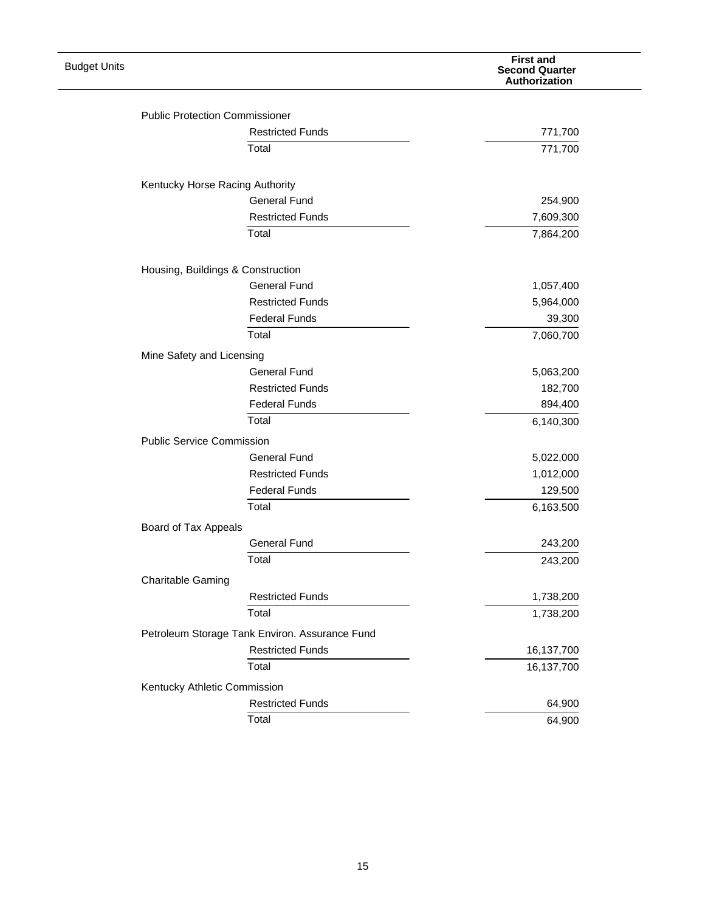| <b>Budget Units</b> |                                       |                                                | <b>First and</b><br><b>Second Quarter</b><br>Authorization |
|---------------------|---------------------------------------|------------------------------------------------|------------------------------------------------------------|
|                     |                                       |                                                |                                                            |
|                     | <b>Public Protection Commissioner</b> |                                                |                                                            |
|                     |                                       | <b>Restricted Funds</b>                        | 771,700                                                    |
|                     |                                       | Total                                          | 771,700                                                    |
|                     | Kentucky Horse Racing Authority       |                                                |                                                            |
|                     |                                       | <b>General Fund</b>                            | 254,900                                                    |
|                     |                                       | <b>Restricted Funds</b>                        | 7,609,300                                                  |
|                     |                                       | Total                                          | 7,864,200                                                  |
|                     | Housing, Buildings & Construction     |                                                |                                                            |
|                     |                                       | <b>General Fund</b>                            | 1,057,400                                                  |
|                     |                                       | <b>Restricted Funds</b>                        | 5,964,000                                                  |
|                     |                                       | <b>Federal Funds</b>                           | 39,300                                                     |
|                     |                                       | Total                                          | 7,060,700                                                  |
|                     |                                       |                                                |                                                            |
|                     | Mine Safety and Licensing             |                                                |                                                            |
|                     |                                       | <b>General Fund</b>                            | 5,063,200                                                  |
|                     |                                       | <b>Restricted Funds</b>                        | 182,700                                                    |
|                     |                                       | <b>Federal Funds</b>                           | 894,400                                                    |
|                     |                                       | Total                                          | 6,140,300                                                  |
|                     | <b>Public Service Commission</b>      |                                                |                                                            |
|                     |                                       | <b>General Fund</b>                            | 5,022,000                                                  |
|                     |                                       | <b>Restricted Funds</b>                        | 1,012,000                                                  |
|                     |                                       | <b>Federal Funds</b>                           | 129,500                                                    |
|                     |                                       | Total                                          | 6,163,500                                                  |
|                     | Board of Tax Appeals                  |                                                |                                                            |
|                     |                                       | <b>General Fund</b>                            | 243,200                                                    |
|                     |                                       | Total                                          | 243,200                                                    |
|                     | <b>Charitable Gaming</b>              |                                                |                                                            |
|                     |                                       | <b>Restricted Funds</b>                        | 1,738,200                                                  |
|                     |                                       | Total                                          | 1,738,200                                                  |
|                     |                                       | Petroleum Storage Tank Environ. Assurance Fund |                                                            |
|                     |                                       | <b>Restricted Funds</b>                        | 16,137,700                                                 |
|                     |                                       | Total                                          | 16,137,700                                                 |
|                     | Kentucky Athletic Commission          |                                                |                                                            |
|                     |                                       | <b>Restricted Funds</b>                        | 64,900                                                     |
|                     |                                       | Total                                          | 64,900                                                     |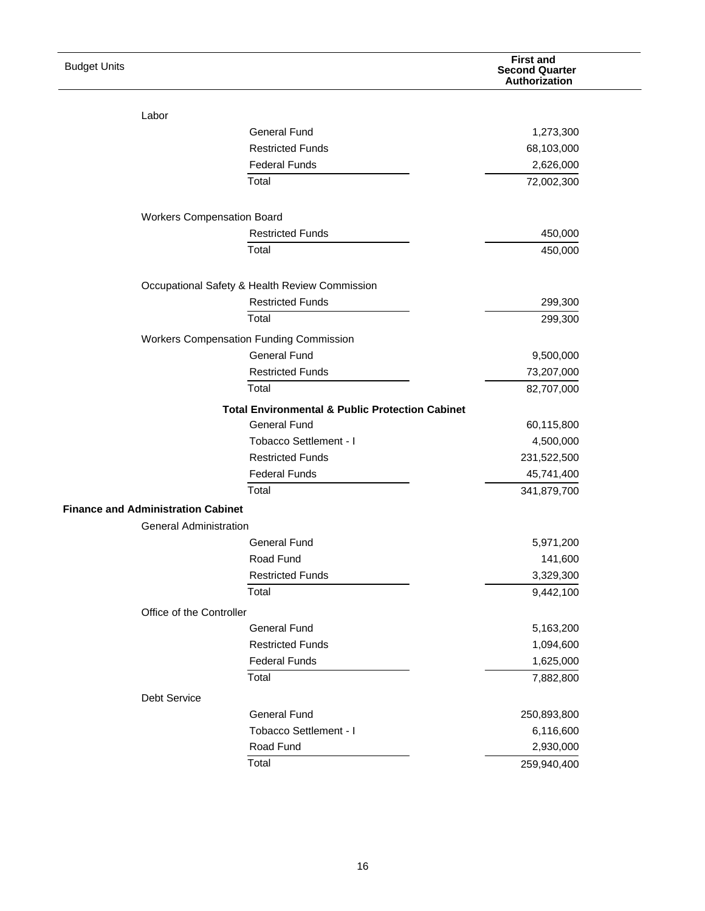| <b>Budget Units</b> |                                           |                                                            | <b>First and</b><br><b>Second Quarter</b><br>Authorization |
|---------------------|-------------------------------------------|------------------------------------------------------------|------------------------------------------------------------|
|                     | Labor                                     |                                                            |                                                            |
|                     |                                           | <b>General Fund</b>                                        | 1,273,300                                                  |
|                     |                                           | <b>Restricted Funds</b>                                    | 68,103,000                                                 |
|                     |                                           | <b>Federal Funds</b>                                       | 2,626,000                                                  |
|                     |                                           | Total                                                      | 72,002,300                                                 |
|                     |                                           |                                                            |                                                            |
|                     | <b>Workers Compensation Board</b>         |                                                            |                                                            |
|                     |                                           | <b>Restricted Funds</b>                                    | 450,000                                                    |
|                     |                                           | Total                                                      | 450,000                                                    |
|                     |                                           | Occupational Safety & Health Review Commission             |                                                            |
|                     |                                           | <b>Restricted Funds</b>                                    | 299,300                                                    |
|                     |                                           | Total                                                      | 299,300                                                    |
|                     |                                           | <b>Workers Compensation Funding Commission</b>             |                                                            |
|                     |                                           | <b>General Fund</b>                                        | 9,500,000                                                  |
|                     |                                           | <b>Restricted Funds</b>                                    | 73,207,000                                                 |
|                     |                                           | Total                                                      | 82,707,000                                                 |
|                     |                                           | <b>Total Environmental &amp; Public Protection Cabinet</b> |                                                            |
|                     |                                           | <b>General Fund</b>                                        | 60,115,800                                                 |
|                     |                                           | Tobacco Settlement - I                                     | 4,500,000                                                  |
|                     |                                           | <b>Restricted Funds</b>                                    | 231,522,500                                                |
|                     |                                           | <b>Federal Funds</b>                                       | 45,741,400                                                 |
|                     |                                           | Total                                                      | 341,879,700                                                |
|                     | <b>Finance and Administration Cabinet</b> |                                                            |                                                            |
|                     | <b>General Administration</b>             |                                                            |                                                            |
|                     |                                           | <b>General Fund</b>                                        | 5,971,200                                                  |
|                     |                                           | Road Fund                                                  | 141,600                                                    |
|                     |                                           | <b>Restricted Funds</b>                                    | 3,329,300                                                  |
|                     |                                           | Total                                                      | 9,442,100                                                  |
|                     | Office of the Controller                  |                                                            |                                                            |
|                     |                                           | <b>General Fund</b>                                        | 5,163,200                                                  |
|                     |                                           | <b>Restricted Funds</b>                                    | 1,094,600                                                  |
|                     |                                           | <b>Federal Funds</b>                                       | 1,625,000                                                  |
|                     |                                           | Total                                                      | 7,882,800                                                  |
|                     | Debt Service                              |                                                            |                                                            |
|                     |                                           | <b>General Fund</b>                                        | 250,893,800                                                |
|                     |                                           | Tobacco Settlement - I                                     | 6,116,600                                                  |
|                     |                                           | Road Fund                                                  | 2,930,000                                                  |
|                     |                                           | Total                                                      | 259,940,400                                                |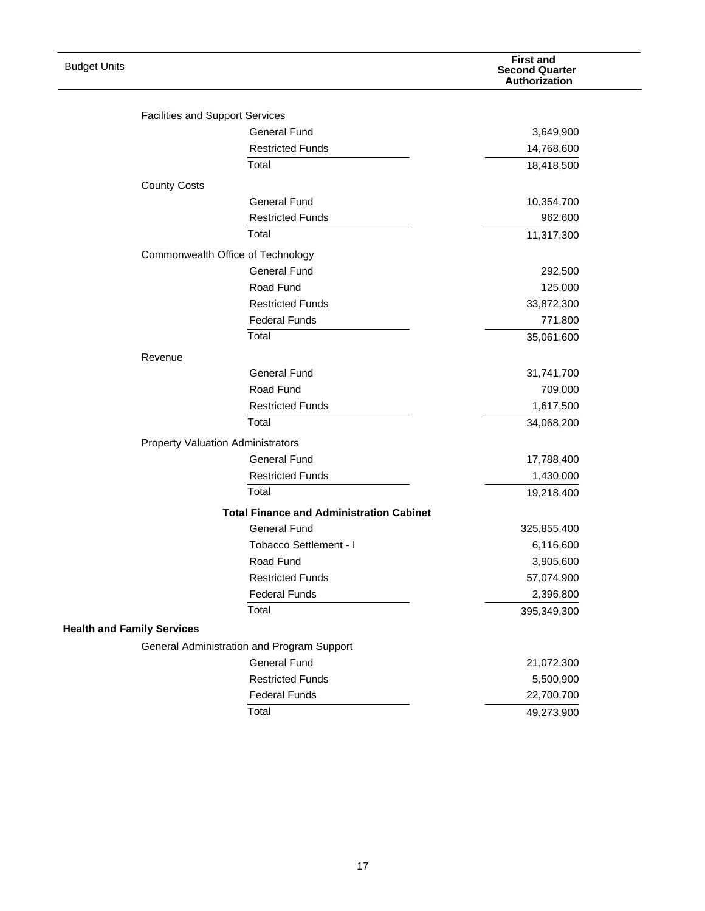| <b>Budget Units</b>               |                                          |                                                 | <b>First and</b><br><b>Second Quarter</b><br>Authorization |
|-----------------------------------|------------------------------------------|-------------------------------------------------|------------------------------------------------------------|
|                                   |                                          |                                                 |                                                            |
|                                   | <b>Facilities and Support Services</b>   |                                                 |                                                            |
|                                   |                                          | <b>General Fund</b>                             | 3,649,900                                                  |
|                                   |                                          | <b>Restricted Funds</b>                         | 14,768,600                                                 |
|                                   |                                          | Total                                           | 18,418,500                                                 |
|                                   | <b>County Costs</b>                      |                                                 |                                                            |
|                                   |                                          | General Fund                                    | 10,354,700                                                 |
|                                   |                                          | <b>Restricted Funds</b>                         | 962,600                                                    |
|                                   |                                          | Total                                           | 11,317,300                                                 |
|                                   | Commonwealth Office of Technology        |                                                 |                                                            |
|                                   |                                          | <b>General Fund</b>                             | 292,500                                                    |
|                                   |                                          | Road Fund                                       | 125,000                                                    |
|                                   |                                          | <b>Restricted Funds</b>                         | 33,872,300                                                 |
|                                   |                                          | <b>Federal Funds</b>                            | 771,800                                                    |
|                                   |                                          | Total                                           | 35,061,600                                                 |
|                                   | Revenue                                  |                                                 |                                                            |
|                                   |                                          | <b>General Fund</b>                             | 31,741,700                                                 |
|                                   |                                          | Road Fund                                       | 709,000                                                    |
|                                   |                                          | <b>Restricted Funds</b>                         | 1,617,500                                                  |
|                                   |                                          | Total                                           | 34,068,200                                                 |
|                                   | <b>Property Valuation Administrators</b> |                                                 |                                                            |
|                                   |                                          | <b>General Fund</b>                             | 17,788,400                                                 |
|                                   |                                          | <b>Restricted Funds</b>                         | 1,430,000                                                  |
|                                   |                                          | Total                                           | 19,218,400                                                 |
|                                   |                                          | <b>Total Finance and Administration Cabinet</b> |                                                            |
|                                   |                                          | <b>General Fund</b>                             | 325,855,400                                                |
|                                   |                                          | Tobacco Settlement - I                          | 6,116,600                                                  |
|                                   |                                          | Road Fund                                       | 3,905,600                                                  |
|                                   |                                          | <b>Restricted Funds</b>                         | 57,074,900                                                 |
|                                   |                                          | <b>Federal Funds</b>                            | 2,396,800                                                  |
|                                   |                                          | Total                                           | 395,349,300                                                |
| <b>Health and Family Services</b> |                                          |                                                 |                                                            |
|                                   |                                          | General Administration and Program Support      |                                                            |
|                                   |                                          | <b>General Fund</b>                             | 21,072,300                                                 |
|                                   |                                          | <b>Restricted Funds</b>                         | 5,500,900                                                  |
|                                   |                                          | <b>Federal Funds</b>                            | 22,700,700                                                 |
|                                   |                                          | Total                                           | 49,273,900                                                 |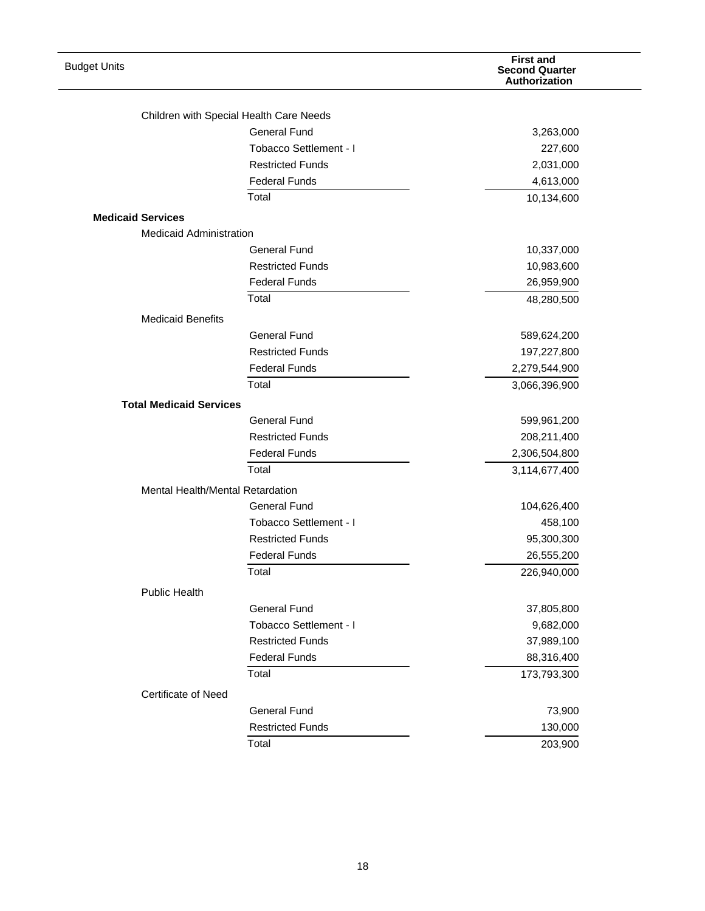| <b>Budget Units</b>                                        |                                                                | <b>First and</b><br><b>Second Quarter</b><br>Authorization |
|------------------------------------------------------------|----------------------------------------------------------------|------------------------------------------------------------|
|                                                            |                                                                |                                                            |
|                                                            | Children with Special Health Care Needs<br><b>General Fund</b> | 3,263,000                                                  |
|                                                            | Tobacco Settlement - I                                         | 227,600                                                    |
|                                                            | <b>Restricted Funds</b>                                        | 2,031,000                                                  |
|                                                            | <b>Federal Funds</b>                                           | 4,613,000                                                  |
|                                                            | Total                                                          | 10,134,600                                                 |
|                                                            |                                                                |                                                            |
| <b>Medicaid Services</b><br><b>Medicaid Administration</b> |                                                                |                                                            |
|                                                            | <b>General Fund</b>                                            |                                                            |
|                                                            | <b>Restricted Funds</b>                                        | 10,337,000<br>10,983,600                                   |
|                                                            | <b>Federal Funds</b>                                           | 26,959,900                                                 |
|                                                            | Total                                                          |                                                            |
|                                                            |                                                                | 48,280,500                                                 |
| <b>Medicaid Benefits</b>                                   | <b>General Fund</b>                                            |                                                            |
|                                                            | <b>Restricted Funds</b>                                        | 589,624,200<br>197,227,800                                 |
|                                                            | <b>Federal Funds</b>                                           | 2,279,544,900                                              |
|                                                            | Total                                                          |                                                            |
|                                                            |                                                                | 3,066,396,900                                              |
| <b>Total Medicaid Services</b>                             | <b>General Fund</b>                                            |                                                            |
|                                                            | <b>Restricted Funds</b>                                        | 599,961,200<br>208,211,400                                 |
|                                                            | <b>Federal Funds</b>                                           | 2,306,504,800                                              |
|                                                            | Total                                                          | 3,114,677,400                                              |
| Mental Health/Mental Retardation                           |                                                                |                                                            |
|                                                            | <b>General Fund</b>                                            | 104,626,400                                                |
|                                                            | Tobacco Settlement - I                                         | 458,100                                                    |
|                                                            | <b>Restricted Funds</b>                                        | 95,300,300                                                 |
|                                                            | <b>Federal Funds</b>                                           | 26,555,200                                                 |
|                                                            | Total                                                          | 226,940,000                                                |
| <b>Public Health</b>                                       |                                                                |                                                            |
|                                                            | <b>General Fund</b>                                            | 37,805,800                                                 |
|                                                            | Tobacco Settlement - I                                         | 9,682,000                                                  |
|                                                            | <b>Restricted Funds</b>                                        | 37,989,100                                                 |
|                                                            | <b>Federal Funds</b>                                           | 88,316,400                                                 |
|                                                            | Total                                                          | 173,793,300                                                |
| <b>Certificate of Need</b>                                 |                                                                |                                                            |
|                                                            | <b>General Fund</b>                                            | 73,900                                                     |
|                                                            | <b>Restricted Funds</b>                                        | 130,000                                                    |
|                                                            | Total                                                          | 203,900                                                    |
|                                                            |                                                                |                                                            |

—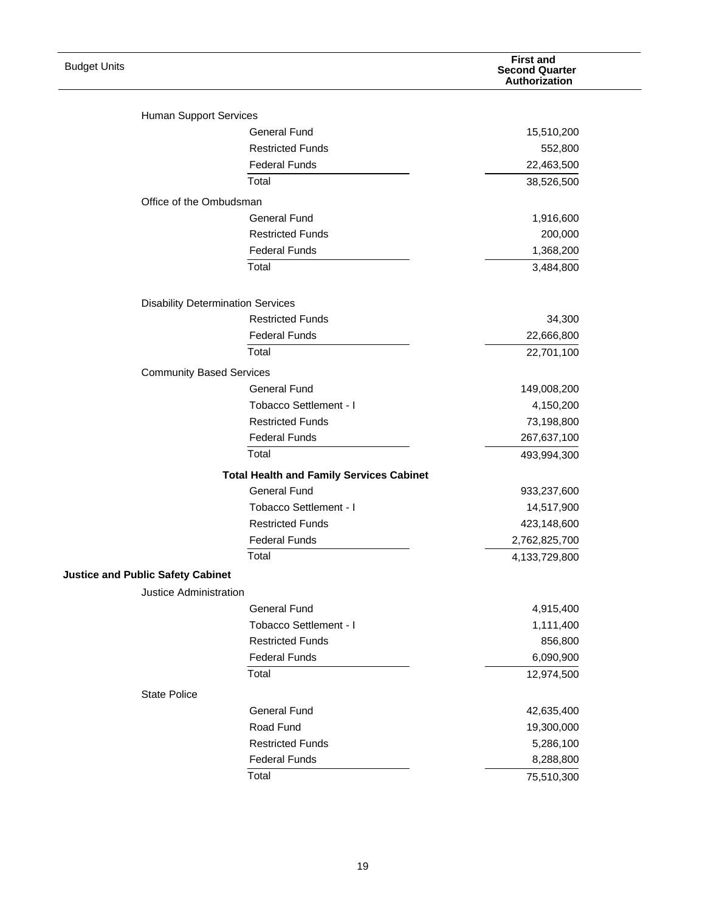| <b>Budget Units</b>                      |                                                 | <b>First and</b><br><b>Second Quarter</b><br>Authorization |
|------------------------------------------|-------------------------------------------------|------------------------------------------------------------|
| Human Support Services                   |                                                 |                                                            |
|                                          | <b>General Fund</b>                             | 15,510,200                                                 |
|                                          | <b>Restricted Funds</b>                         | 552,800                                                    |
|                                          | <b>Federal Funds</b>                            | 22,463,500                                                 |
|                                          | Total                                           | 38,526,500                                                 |
| Office of the Ombudsman                  |                                                 |                                                            |
|                                          | <b>General Fund</b>                             | 1,916,600                                                  |
|                                          | <b>Restricted Funds</b>                         | 200,000                                                    |
|                                          | <b>Federal Funds</b>                            | 1,368,200                                                  |
|                                          | Total                                           | 3,484,800                                                  |
|                                          |                                                 |                                                            |
|                                          | <b>Disability Determination Services</b>        |                                                            |
|                                          | <b>Restricted Funds</b>                         | 34,300                                                     |
|                                          | <b>Federal Funds</b>                            | 22,666,800                                                 |
|                                          | Total                                           | 22,701,100                                                 |
| <b>Community Based Services</b>          |                                                 |                                                            |
|                                          | <b>General Fund</b>                             | 149,008,200                                                |
|                                          | Tobacco Settlement - I                          | 4,150,200                                                  |
|                                          | <b>Restricted Funds</b>                         | 73,198,800                                                 |
|                                          | <b>Federal Funds</b>                            | 267,637,100                                                |
|                                          | Total                                           | 493,994,300                                                |
|                                          | <b>Total Health and Family Services Cabinet</b> |                                                            |
|                                          | <b>General Fund</b>                             | 933,237,600                                                |
|                                          | Tobacco Settlement - I                          | 14,517,900                                                 |
|                                          | <b>Restricted Funds</b>                         | 423,148,600                                                |
|                                          | <b>Federal Funds</b>                            | 2,762,825,700                                              |
|                                          | Total                                           | 4,133,729,800                                              |
| <b>Justice and Public Safety Cabinet</b> |                                                 |                                                            |
| Justice Administration                   |                                                 |                                                            |
|                                          | <b>General Fund</b>                             | 4,915,400                                                  |
|                                          | Tobacco Settlement - I                          | 1,111,400                                                  |
|                                          | <b>Restricted Funds</b>                         | 856,800                                                    |
|                                          | <b>Federal Funds</b>                            | 6,090,900                                                  |
|                                          | Total                                           | 12,974,500                                                 |
| <b>State Police</b>                      |                                                 |                                                            |
|                                          | <b>General Fund</b>                             | 42,635,400                                                 |
|                                          | Road Fund                                       | 19,300,000                                                 |
|                                          | <b>Restricted Funds</b>                         | 5,286,100                                                  |
|                                          | <b>Federal Funds</b>                            | 8,288,800                                                  |
|                                          | Total                                           | 75,510,300                                                 |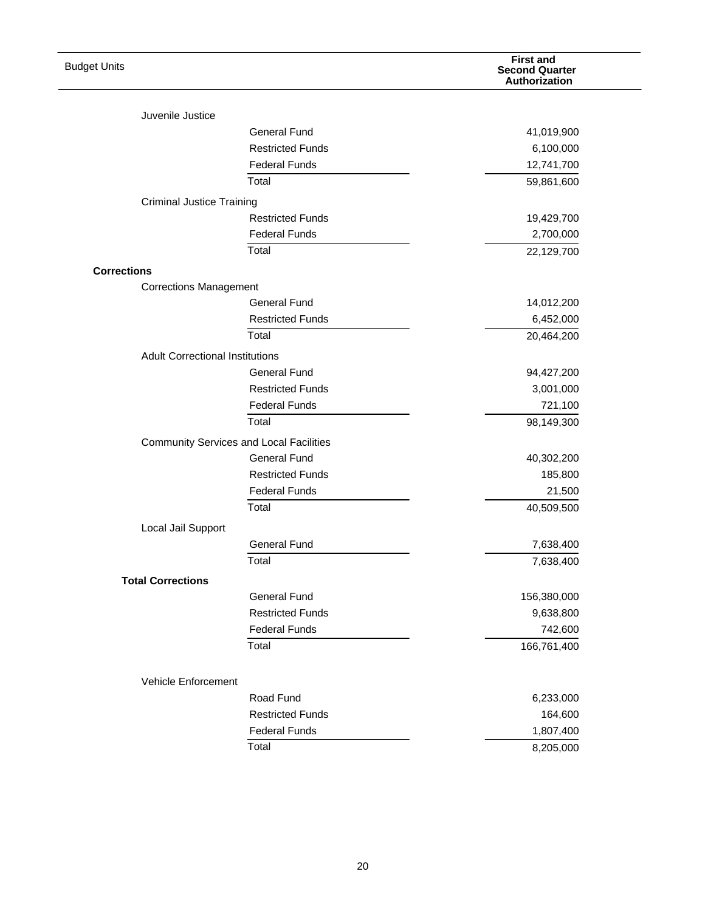| <b>Budget Units</b>                                 |                                                | <b>First and</b><br><b>Second Quarter</b><br>Authorization |
|-----------------------------------------------------|------------------------------------------------|------------------------------------------------------------|
| Juvenile Justice                                    |                                                |                                                            |
|                                                     | <b>General Fund</b>                            | 41,019,900                                                 |
|                                                     | <b>Restricted Funds</b>                        | 6,100,000                                                  |
|                                                     | <b>Federal Funds</b>                           | 12,741,700                                                 |
|                                                     | Total                                          | 59,861,600                                                 |
|                                                     |                                                |                                                            |
| <b>Criminal Justice Training</b>                    | <b>Restricted Funds</b>                        | 19,429,700                                                 |
|                                                     | <b>Federal Funds</b>                           | 2,700,000                                                  |
|                                                     | Total                                          | 22,129,700                                                 |
|                                                     |                                                |                                                            |
| <b>Corrections</b><br><b>Corrections Management</b> |                                                |                                                            |
|                                                     | <b>General Fund</b>                            | 14,012,200                                                 |
|                                                     | <b>Restricted Funds</b>                        | 6,452,000                                                  |
|                                                     | Total                                          | 20,464,200                                                 |
|                                                     |                                                |                                                            |
| <b>Adult Correctional Institutions</b>              |                                                |                                                            |
|                                                     | <b>General Fund</b>                            | 94,427,200                                                 |
|                                                     | <b>Restricted Funds</b>                        | 3,001,000                                                  |
|                                                     | <b>Federal Funds</b><br>Total                  | 721,100                                                    |
|                                                     |                                                | 98,149,300                                                 |
|                                                     | <b>Community Services and Local Facilities</b> |                                                            |
|                                                     | <b>General Fund</b>                            | 40,302,200                                                 |
|                                                     | <b>Restricted Funds</b>                        | 185,800                                                    |
|                                                     | <b>Federal Funds</b>                           | 21,500                                                     |
|                                                     | Total                                          | 40,509,500                                                 |
| Local Jail Support                                  |                                                |                                                            |
|                                                     | <b>General Fund</b>                            | 7,638,400                                                  |
|                                                     | Total                                          | 7,638,400                                                  |
| <b>Total Corrections</b>                            |                                                |                                                            |
|                                                     | <b>General Fund</b>                            | 156,380,000                                                |
|                                                     | <b>Restricted Funds</b>                        | 9,638,800                                                  |
|                                                     | <b>Federal Funds</b>                           | 742,600                                                    |
|                                                     | Total                                          | 166,761,400                                                |
| Vehicle Enforcement                                 |                                                |                                                            |
|                                                     | Road Fund                                      | 6,233,000                                                  |
|                                                     | <b>Restricted Funds</b>                        | 164,600                                                    |
|                                                     | <b>Federal Funds</b>                           | 1,807,400                                                  |
|                                                     | Total                                          | 8,205,000                                                  |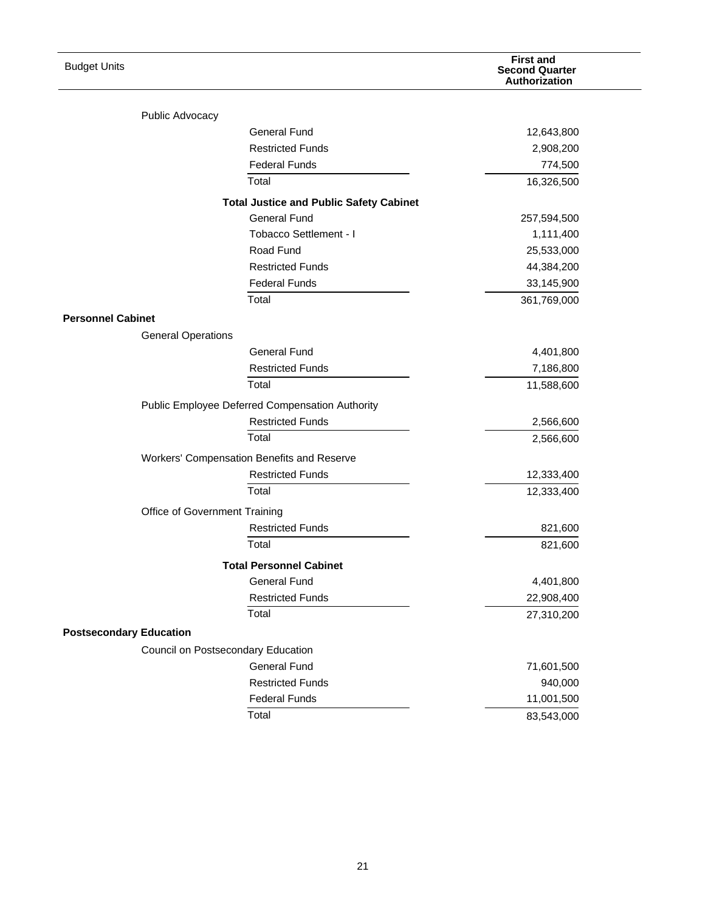| <b>Budget Units</b>            |                                                          | <b>First and</b><br><b>Second Quarter</b><br>Authorization |
|--------------------------------|----------------------------------------------------------|------------------------------------------------------------|
| Public Advocacy                |                                                          |                                                            |
|                                | <b>General Fund</b>                                      | 12,643,800                                                 |
|                                | <b>Restricted Funds</b>                                  | 2,908,200                                                  |
|                                | <b>Federal Funds</b>                                     | 774,500                                                    |
|                                | Total                                                    | 16,326,500                                                 |
|                                | <b>Total Justice and Public Safety Cabinet</b>           |                                                            |
|                                | <b>General Fund</b>                                      | 257,594,500                                                |
|                                | Tobacco Settlement - I                                   | 1,111,400                                                  |
|                                | Road Fund                                                | 25,533,000                                                 |
|                                | <b>Restricted Funds</b>                                  | 44,384,200                                                 |
|                                | <b>Federal Funds</b>                                     | 33,145,900                                                 |
|                                | Total                                                    | 361,769,000                                                |
| <b>Personnel Cabinet</b>       |                                                          |                                                            |
| <b>General Operations</b>      |                                                          |                                                            |
|                                | <b>General Fund</b>                                      | 4,401,800                                                  |
|                                | <b>Restricted Funds</b>                                  | 7,186,800                                                  |
|                                | Total                                                    | 11,588,600                                                 |
|                                | Public Employee Deferred Compensation Authority          |                                                            |
|                                | <b>Restricted Funds</b>                                  | 2,566,600                                                  |
|                                | Total                                                    | 2,566,600                                                  |
|                                | Workers' Compensation Benefits and Reserve               |                                                            |
|                                | <b>Restricted Funds</b>                                  | 12,333,400                                                 |
|                                | Total                                                    | 12,333,400                                                 |
|                                |                                                          |                                                            |
|                                | Office of Government Training<br><b>Restricted Funds</b> | 821,600                                                    |
|                                | Total                                                    | 821,600                                                    |
|                                |                                                          |                                                            |
|                                | <b>Total Personnel Cabinet</b>                           |                                                            |
|                                | <b>General Fund</b><br><b>Restricted Funds</b>           | 4,401,800                                                  |
|                                | Total                                                    | 22,908,400                                                 |
|                                |                                                          | 27,310,200                                                 |
| <b>Postsecondary Education</b> |                                                          |                                                            |
|                                | Council on Postsecondary Education                       |                                                            |
|                                | <b>General Fund</b>                                      | 71,601,500                                                 |
|                                | <b>Restricted Funds</b>                                  | 940,000                                                    |
|                                | <b>Federal Funds</b>                                     | 11,001,500                                                 |
|                                | Total                                                    | 83,543,000                                                 |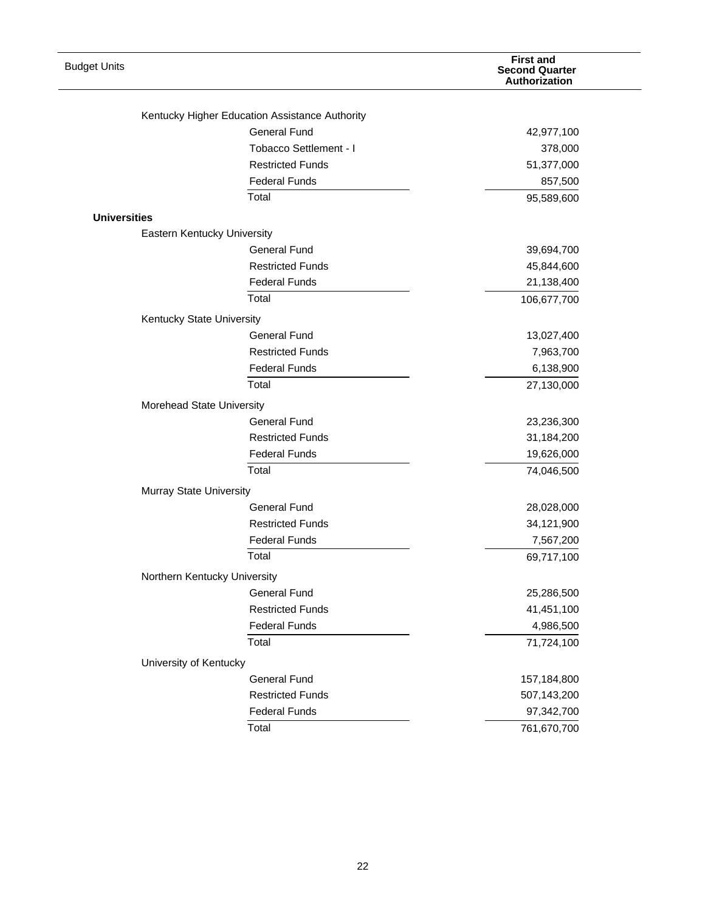| <b>Budget Units</b> |                                                  | <b>First and</b><br><b>Second Quarter</b><br>Authorization |
|---------------------|--------------------------------------------------|------------------------------------------------------------|
|                     | Kentucky Higher Education Assistance Authority   |                                                            |
|                     | <b>General Fund</b>                              | 42,977,100                                                 |
|                     | Tobacco Settlement - I                           | 378,000                                                    |
|                     | <b>Restricted Funds</b>                          | 51,377,000                                                 |
|                     | <b>Federal Funds</b>                             | 857,500                                                    |
|                     | Total                                            | 95,589,600                                                 |
| <b>Universities</b> |                                                  |                                                            |
|                     | Eastern Kentucky University                      |                                                            |
|                     | <b>General Fund</b>                              | 39,694,700                                                 |
|                     | <b>Restricted Funds</b>                          | 45,844,600                                                 |
|                     | <b>Federal Funds</b>                             | 21,138,400                                                 |
|                     | Total                                            | 106,677,700                                                |
|                     |                                                  |                                                            |
|                     | Kentucky State University<br><b>General Fund</b> |                                                            |
|                     | <b>Restricted Funds</b>                          | 13,027,400<br>7,963,700                                    |
|                     | <b>Federal Funds</b>                             | 6,138,900                                                  |
|                     | Total                                            | 27,130,000                                                 |
|                     |                                                  |                                                            |
|                     | Morehead State University                        |                                                            |
|                     | <b>General Fund</b>                              | 23,236,300                                                 |
|                     | <b>Restricted Funds</b><br><b>Federal Funds</b>  | 31,184,200                                                 |
|                     | Total                                            | 19,626,000<br>74,046,500                                   |
|                     |                                                  |                                                            |
|                     | Murray State University                          |                                                            |
|                     | <b>General Fund</b>                              | 28,028,000                                                 |
|                     | <b>Restricted Funds</b>                          | 34,121,900                                                 |
|                     | <b>Federal Funds</b><br>Total                    | 7,567,200                                                  |
|                     |                                                  | 69,717,100                                                 |
|                     | Northern Kentucky University                     |                                                            |
|                     | <b>General Fund</b>                              | 25,286,500                                                 |
|                     | <b>Restricted Funds</b>                          | 41,451,100                                                 |
|                     | <b>Federal Funds</b>                             | 4,986,500                                                  |
|                     | Total                                            | 71,724,100                                                 |
|                     | University of Kentucky                           |                                                            |
|                     | <b>General Fund</b>                              | 157,184,800                                                |
|                     | <b>Restricted Funds</b>                          | 507,143,200                                                |
|                     | <b>Federal Funds</b>                             | 97,342,700                                                 |
|                     | Total                                            | 761,670,700                                                |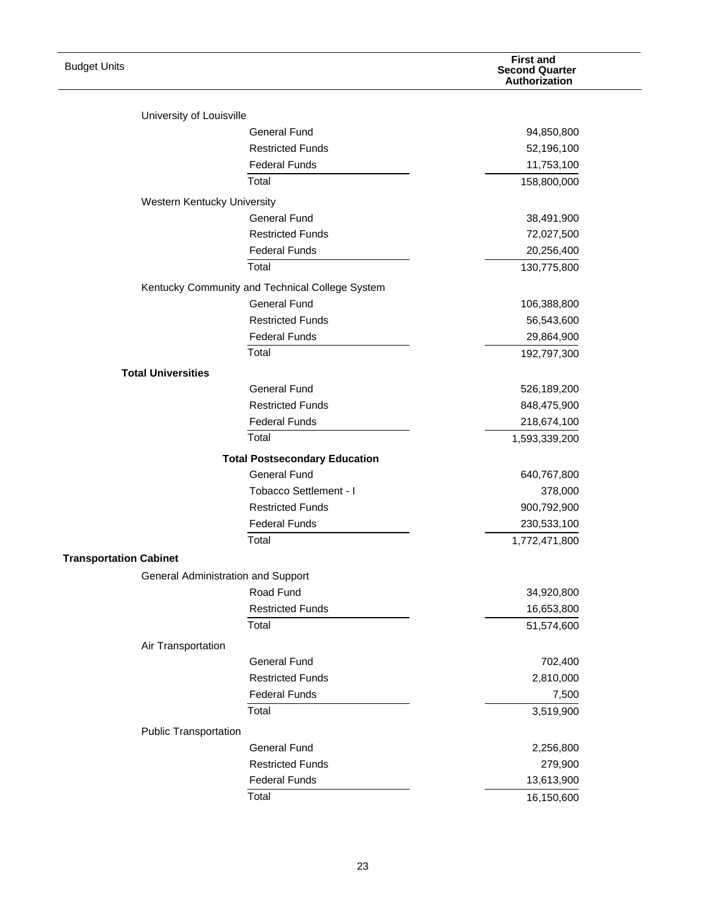| <b>Budget Units</b>                |                                                 | <b>First and</b><br><b>Second Quarter</b><br>Authorization |
|------------------------------------|-------------------------------------------------|------------------------------------------------------------|
| University of Louisville           |                                                 |                                                            |
|                                    | <b>General Fund</b>                             | 94,850,800                                                 |
|                                    | <b>Restricted Funds</b>                         | 52,196,100                                                 |
|                                    | <b>Federal Funds</b>                            | 11,753,100                                                 |
|                                    | Total                                           | 158,800,000                                                |
| Western Kentucky University        |                                                 |                                                            |
|                                    | <b>General Fund</b>                             | 38,491,900                                                 |
|                                    | <b>Restricted Funds</b>                         | 72,027,500                                                 |
|                                    | <b>Federal Funds</b>                            | 20,256,400                                                 |
|                                    | Total                                           | 130,775,800                                                |
|                                    | Kentucky Community and Technical College System |                                                            |
|                                    | <b>General Fund</b>                             | 106,388,800                                                |
|                                    | <b>Restricted Funds</b>                         | 56,543,600                                                 |
|                                    | <b>Federal Funds</b>                            | 29,864,900                                                 |
|                                    | Total                                           | 192,797,300                                                |
| <b>Total Universities</b>          |                                                 |                                                            |
|                                    | <b>General Fund</b>                             | 526,189,200                                                |
|                                    | <b>Restricted Funds</b>                         | 848,475,900                                                |
|                                    | <b>Federal Funds</b>                            | 218,674,100                                                |
|                                    | Total                                           | 1,593,339,200                                              |
|                                    | <b>Total Postsecondary Education</b>            |                                                            |
|                                    | <b>General Fund</b>                             | 640,767,800                                                |
|                                    | Tobacco Settlement - I                          | 378,000                                                    |
|                                    | <b>Restricted Funds</b>                         | 900,792,900                                                |
|                                    | <b>Federal Funds</b>                            | 230,533,100                                                |
|                                    | Total                                           | 1,772,471,800                                              |
| <b>Transportation Cabinet</b>      |                                                 |                                                            |
| General Administration and Support |                                                 |                                                            |
|                                    | Road Fund                                       | 34,920,800                                                 |
|                                    | <b>Restricted Funds</b>                         | 16,653,800                                                 |
|                                    | Total                                           | 51,574,600                                                 |
| Air Transportation                 |                                                 |                                                            |
|                                    | <b>General Fund</b>                             | 702,400                                                    |
|                                    | <b>Restricted Funds</b>                         | 2,810,000                                                  |
|                                    | <b>Federal Funds</b>                            | 7,500                                                      |
|                                    | Total                                           | 3,519,900                                                  |
| <b>Public Transportation</b>       |                                                 |                                                            |
|                                    | <b>General Fund</b>                             | 2,256,800                                                  |
|                                    | <b>Restricted Funds</b>                         | 279,900                                                    |
|                                    | <b>Federal Funds</b>                            | 13,613,900                                                 |
|                                    | Total                                           | 16,150,600                                                 |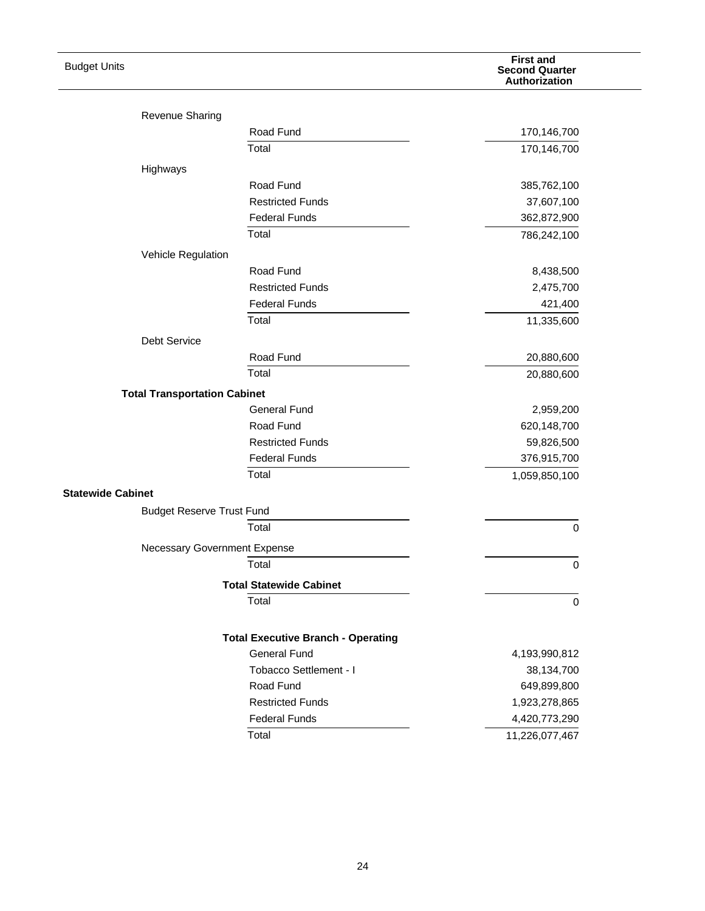| <b>Budget Units</b>                 |                                           | <b>First and</b><br><b>Second Quarter</b><br>Authorization |
|-------------------------------------|-------------------------------------------|------------------------------------------------------------|
| <b>Revenue Sharing</b>              |                                           |                                                            |
|                                     | Road Fund                                 | 170,146,700                                                |
|                                     | Total                                     | 170,146,700                                                |
| Highways                            |                                           |                                                            |
|                                     | Road Fund                                 | 385,762,100                                                |
|                                     | <b>Restricted Funds</b>                   | 37,607,100                                                 |
|                                     | <b>Federal Funds</b>                      | 362,872,900                                                |
|                                     | Total                                     | 786,242,100                                                |
| Vehicle Regulation                  |                                           |                                                            |
|                                     | Road Fund                                 | 8,438,500                                                  |
|                                     | <b>Restricted Funds</b>                   | 2,475,700                                                  |
|                                     | <b>Federal Funds</b>                      | 421,400                                                    |
|                                     | Total                                     | 11,335,600                                                 |
| <b>Debt Service</b>                 |                                           |                                                            |
|                                     | Road Fund                                 | 20,880,600                                                 |
|                                     | Total                                     | 20,880,600                                                 |
| <b>Total Transportation Cabinet</b> |                                           |                                                            |
|                                     | <b>General Fund</b>                       | 2,959,200                                                  |
|                                     | Road Fund                                 | 620,148,700                                                |
|                                     | <b>Restricted Funds</b>                   | 59,826,500                                                 |
|                                     | <b>Federal Funds</b>                      | 376,915,700                                                |
|                                     | Total                                     | 1,059,850,100                                              |
| <b>Statewide Cabinet</b>            |                                           |                                                            |
| <b>Budget Reserve Trust Fund</b>    |                                           |                                                            |
|                                     | Total                                     | $\mathbf 0$                                                |
|                                     |                                           |                                                            |
| Necessary Government Expense        | Total                                     |                                                            |
|                                     |                                           | 0                                                          |
|                                     | <b>Total Statewide Cabinet</b>            |                                                            |
|                                     | Total                                     | $\mathbf 0$                                                |
|                                     | <b>Total Executive Branch - Operating</b> |                                                            |
|                                     | <b>General Fund</b>                       | 4,193,990,812                                              |
|                                     | Tobacco Settlement - I                    | 38,134,700                                                 |
|                                     | Road Fund                                 | 649,899,800                                                |
|                                     | <b>Restricted Funds</b>                   | 1,923,278,865                                              |
|                                     | <b>Federal Funds</b>                      | 4,420,773,290                                              |
|                                     | Total                                     | 11,226,077,467                                             |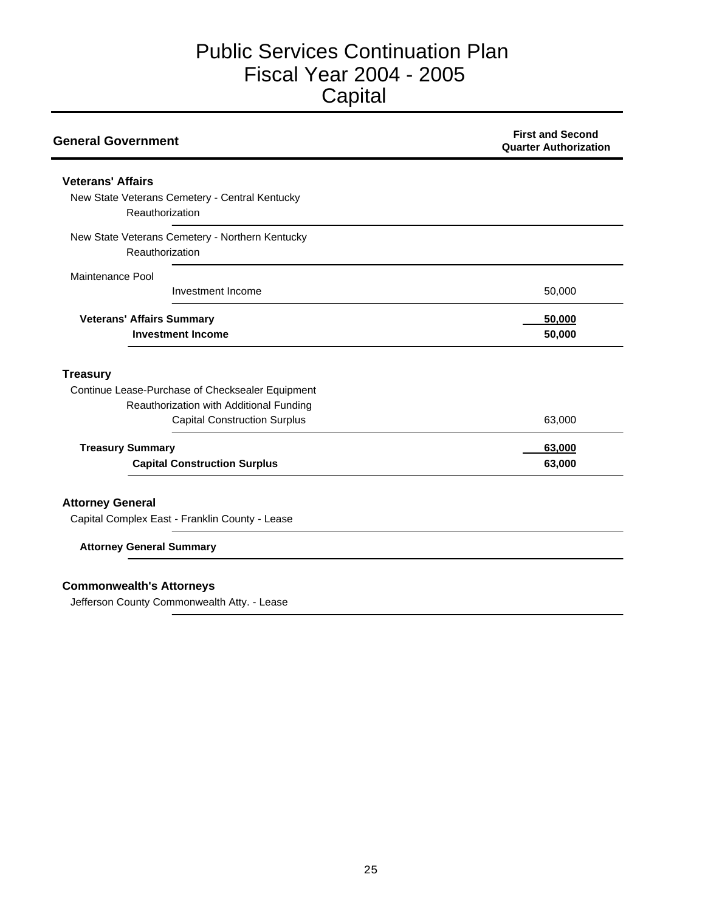# Public Services Continuation Plan Fiscal Year 2004 - 2005 **Capital**

| <b>General Government</b>                        | <b>First and Second</b><br><b>Quarter Authorization</b> |
|--------------------------------------------------|---------------------------------------------------------|
| <b>Veterans' Affairs</b>                         |                                                         |
| New State Veterans Cemetery - Central Kentucky   |                                                         |
| Reauthorization                                  |                                                         |
| New State Veterans Cemetery - Northern Kentucky  |                                                         |
| Reauthorization                                  |                                                         |
| Maintenance Pool                                 |                                                         |
| Investment Income                                | 50,000                                                  |
| <b>Veterans' Affairs Summary</b>                 | 50,000                                                  |
| <b>Investment Income</b>                         | 50,000                                                  |
| <b>Treasury</b>                                  |                                                         |
| Continue Lease-Purchase of Checksealer Equipment |                                                         |
| Reauthorization with Additional Funding          |                                                         |
| <b>Capital Construction Surplus</b>              | 63,000                                                  |
| <b>Treasury Summary</b>                          | 63,000                                                  |
| <b>Capital Construction Surplus</b>              | 63,000                                                  |
| <b>Attorney General</b>                          |                                                         |
| Capital Complex East - Franklin County - Lease   |                                                         |
| <b>Attorney General Summary</b>                  |                                                         |

Jefferson County Commonwealth Atty. - Lease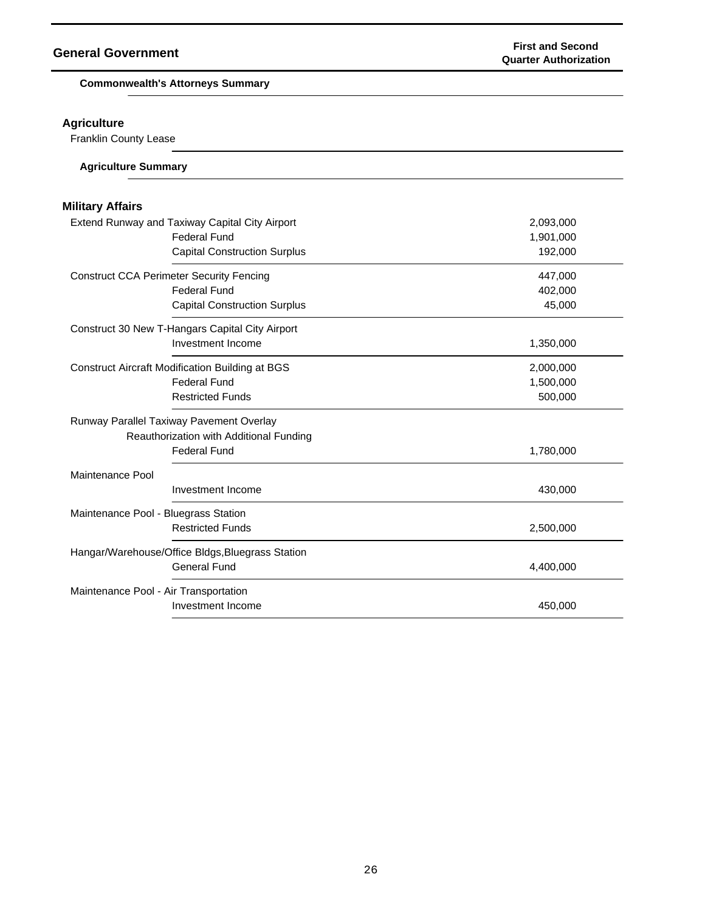**Commonwealth's Attorneys Summary**

## **Agriculture**

Franklin County Lease

| <b>Agriculture Summary</b> |  |  |  |
|----------------------------|--|--|--|
|                            |  |  |  |

# **Military Affairs**

| Extend Runway and Taxiway Capital City Airport         | 2,093,000 |  |
|--------------------------------------------------------|-----------|--|
| <b>Federal Fund</b>                                    | 1,901,000 |  |
| <b>Capital Construction Surplus</b>                    | 192,000   |  |
| <b>Construct CCA Perimeter Security Fencing</b>        | 447,000   |  |
| <b>Federal Fund</b>                                    | 402,000   |  |
| <b>Capital Construction Surplus</b>                    | 45,000    |  |
| Construct 30 New T-Hangars Capital City Airport        |           |  |
| Investment Income                                      | 1,350,000 |  |
| <b>Construct Aircraft Modification Building at BGS</b> | 2,000,000 |  |
| <b>Federal Fund</b>                                    | 1,500,000 |  |
| <b>Restricted Funds</b>                                | 500,000   |  |
| Runway Parallel Taxiway Pavement Overlay               |           |  |
| Reauthorization with Additional Funding                |           |  |
| <b>Federal Fund</b>                                    | 1,780,000 |  |
| Maintenance Pool                                       |           |  |
| Investment Income                                      | 430,000   |  |
| Maintenance Pool - Bluegrass Station                   |           |  |
| <b>Restricted Funds</b>                                | 2,500,000 |  |
| Hangar/Warehouse/Office Bldgs, Bluegrass Station       |           |  |
| <b>General Fund</b>                                    | 4,400,000 |  |
| Maintenance Pool - Air Transportation                  |           |  |
| Investment Income                                      | 450,000   |  |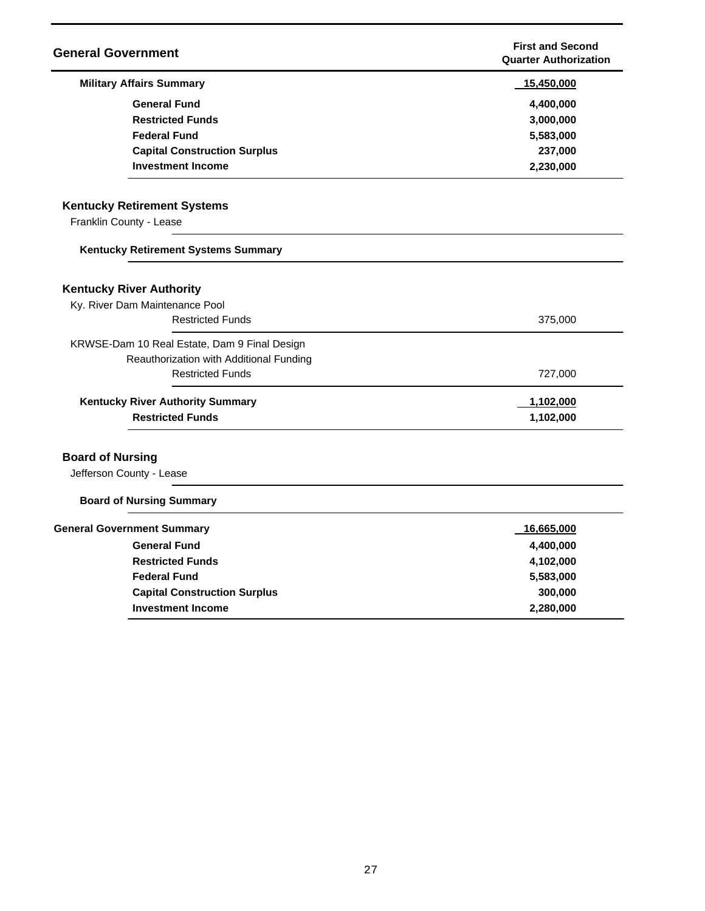| <b>General Government</b>                                         |                                              | <b>First and Second</b><br><b>Quarter Authorization</b> |
|-------------------------------------------------------------------|----------------------------------------------|---------------------------------------------------------|
| <b>Military Affairs Summary</b>                                   |                                              | 15,450,000                                              |
|                                                                   | <b>General Fund</b>                          | 4,400,000                                               |
|                                                                   | <b>Restricted Funds</b>                      | 3,000,000                                               |
|                                                                   | <b>Federal Fund</b>                          | 5,583,000                                               |
|                                                                   | <b>Capital Construction Surplus</b>          | 237,000                                                 |
|                                                                   | <b>Investment Income</b>                     | 2,230,000                                               |
| <b>Kentucky Retirement Systems</b>                                |                                              |                                                         |
| Franklin County - Lease                                           |                                              |                                                         |
|                                                                   | Kentucky Retirement Systems Summary          |                                                         |
| <b>Kentucky River Authority</b><br>Ky. River Dam Maintenance Pool | <b>Restricted Funds</b>                      | 375,000                                                 |
|                                                                   | KRWSE-Dam 10 Real Estate, Dam 9 Final Design |                                                         |
|                                                                   | Reauthorization with Additional Funding      |                                                         |
|                                                                   | <b>Restricted Funds</b>                      | 727,000                                                 |
|                                                                   | <b>Kentucky River Authority Summary</b>      | 1,102,000                                               |
|                                                                   | <b>Restricted Funds</b>                      | 1,102,000                                               |
| <b>Board of Nursing</b><br>Jefferson County - Lease               |                                              |                                                         |
| <b>Board of Nursing Summary</b>                                   |                                              |                                                         |
| <b>General Government Summary</b>                                 |                                              | 16,665,000                                              |
|                                                                   | <b>General Fund</b>                          | 4,400,000                                               |
|                                                                   | <b>Restricted Funds</b>                      | 4,102,000                                               |
|                                                                   | <b>Federal Fund</b>                          | 5,583,000                                               |
|                                                                   | <b>Capital Construction Surplus</b>          | 300,000                                                 |
|                                                                   | <b>Investment Income</b>                     | 2,280,000                                               |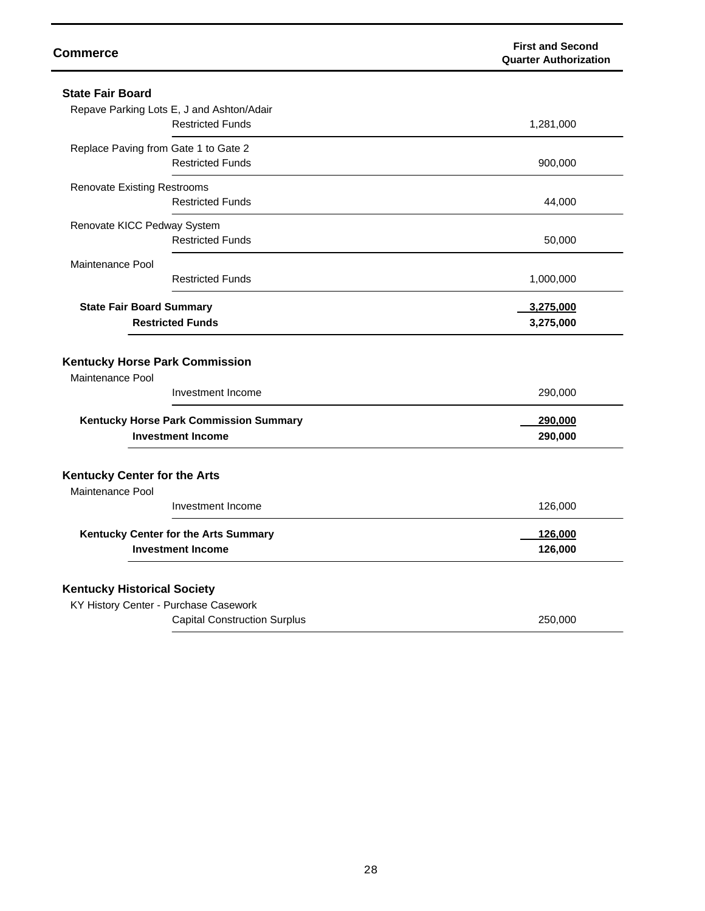| <b>Commerce</b>                                                                       | <b>First and Second</b><br><b>Quarter Authorization</b> |
|---------------------------------------------------------------------------------------|---------------------------------------------------------|
| <b>State Fair Board</b>                                                               |                                                         |
| Repave Parking Lots E, J and Ashton/Adair                                             |                                                         |
| <b>Restricted Funds</b>                                                               | 1,281,000                                               |
| Replace Paving from Gate 1 to Gate 2                                                  |                                                         |
| <b>Restricted Funds</b>                                                               | 900,000                                                 |
| <b>Renovate Existing Restrooms</b>                                                    |                                                         |
| <b>Restricted Funds</b>                                                               | 44,000                                                  |
| Renovate KICC Pedway System                                                           |                                                         |
| <b>Restricted Funds</b>                                                               | 50,000                                                  |
| Maintenance Pool                                                                      |                                                         |
| <b>Restricted Funds</b>                                                               | 1,000,000                                               |
| <b>State Fair Board Summary</b>                                                       | 3,275,000                                               |
| <b>Restricted Funds</b>                                                               | 3,275,000                                               |
| <b>Kentucky Horse Park Commission</b><br><b>Maintenance Pool</b><br>Investment Income | 290,000                                                 |
| Kentucky Horse Park Commission Summary                                                | 290,000                                                 |
| <b>Investment Income</b>                                                              | 290,000                                                 |
| Kentucky Center for the Arts<br>Maintenance Pool                                      |                                                         |
| Investment Income                                                                     | 126,000                                                 |
| Kentucky Center for the Arts Summary                                                  | 126,000                                                 |
| <b>Investment Income</b>                                                              | 126,000                                                 |
| <b>Kentucky Historical Society</b>                                                    |                                                         |
| KY History Center - Purchase Casework                                                 |                                                         |
| <b>Capital Construction Surplus</b>                                                   | 250,000                                                 |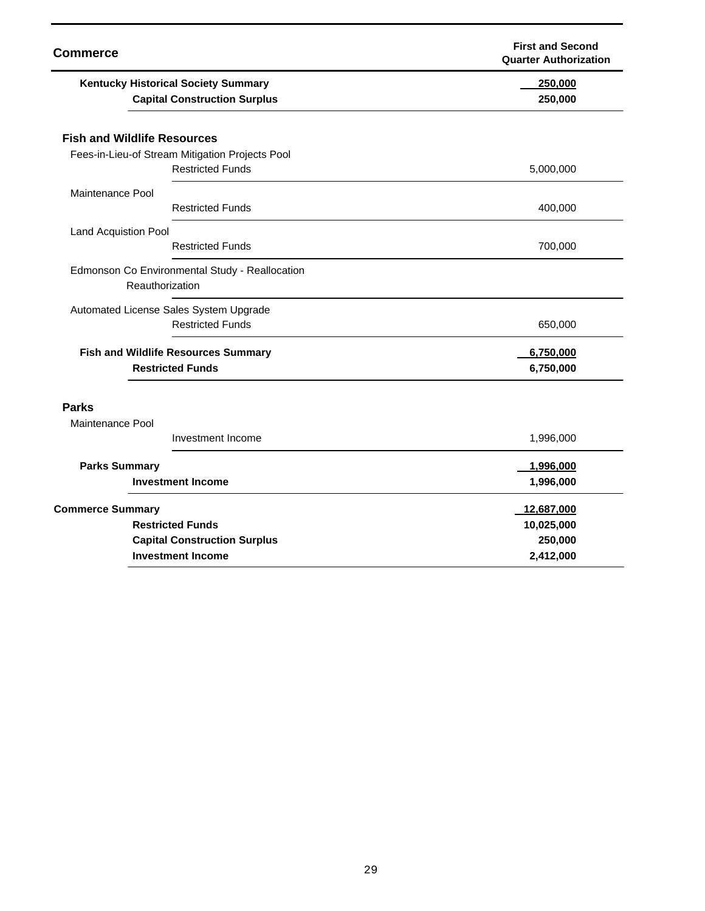| <b>Commerce</b>                                                                   | <b>First and Second</b><br><b>Quarter Authorization</b> |
|-----------------------------------------------------------------------------------|---------------------------------------------------------|
| <b>Kentucky Historical Society Summary</b><br><b>Capital Construction Surplus</b> | 250,000<br>250,000                                      |
| <b>Fish and Wildlife Resources</b>                                                |                                                         |
| Fees-in-Lieu-of Stream Mitigation Projects Pool                                   |                                                         |
| <b>Restricted Funds</b>                                                           | 5,000,000                                               |
| Maintenance Pool                                                                  |                                                         |
| <b>Restricted Funds</b>                                                           | 400,000                                                 |
| Land Acquistion Pool                                                              |                                                         |
| <b>Restricted Funds</b>                                                           | 700,000                                                 |
| Edmonson Co Environmental Study - Reallocation<br>Reauthorization                 |                                                         |
| Automated License Sales System Upgrade                                            |                                                         |
| <b>Restricted Funds</b>                                                           | 650,000                                                 |
| <b>Fish and Wildlife Resources Summary</b>                                        | 6,750,000                                               |
| <b>Restricted Funds</b>                                                           | 6,750,000                                               |
| <b>Parks</b>                                                                      |                                                         |
| Maintenance Pool                                                                  |                                                         |
| Investment Income                                                                 | 1,996,000                                               |
| <b>Parks Summary</b>                                                              | 1,996,000                                               |
| <b>Investment Income</b>                                                          | 1,996,000                                               |
| <b>Commerce Summary</b>                                                           | 12,687,000                                              |
| <b>Restricted Funds</b>                                                           | 10,025,000                                              |
| <b>Capital Construction Surplus</b>                                               | 250,000                                                 |
| <b>Investment Income</b>                                                          | 2,412,000                                               |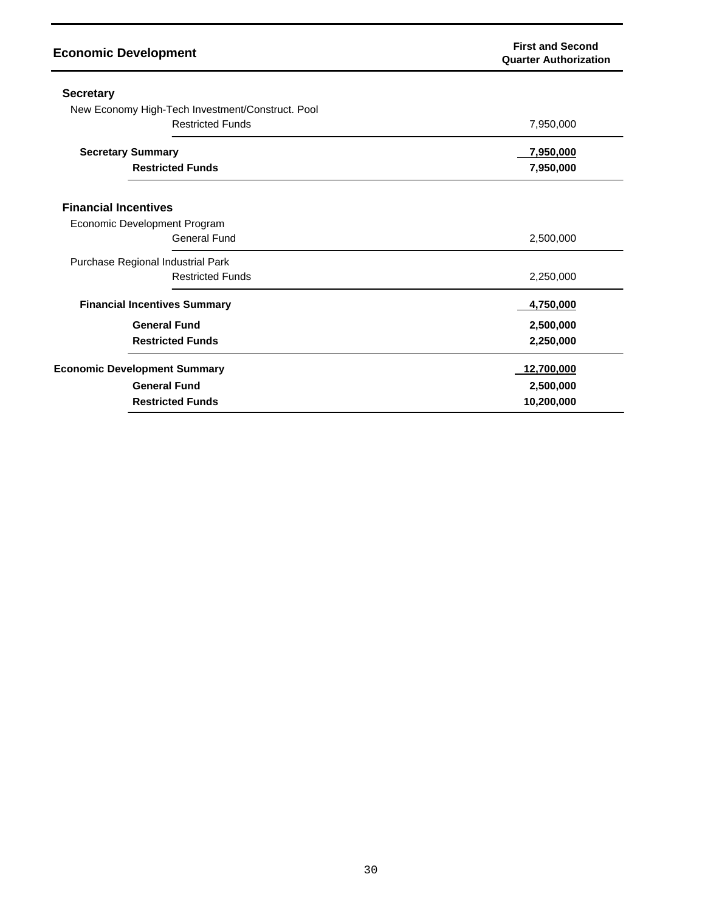| <b>Economic Development</b>                      | <b>First and Second</b><br><b>Quarter Authorization</b> |
|--------------------------------------------------|---------------------------------------------------------|
| <b>Secretary</b>                                 |                                                         |
| New Economy High-Tech Investment/Construct. Pool |                                                         |
| <b>Restricted Funds</b>                          | 7,950,000                                               |
| <b>Secretary Summary</b>                         | 7,950,000                                               |
| <b>Restricted Funds</b>                          | 7,950,000                                               |
| <b>Financial Incentives</b>                      |                                                         |
| Economic Development Program                     |                                                         |
| General Fund                                     | 2,500,000                                               |
| Purchase Regional Industrial Park                |                                                         |
| <b>Restricted Funds</b>                          | 2,250,000                                               |
| <b>Financial Incentives Summary</b>              | 4,750,000                                               |
| <b>General Fund</b>                              | 2,500,000                                               |
| <b>Restricted Funds</b>                          | 2,250,000                                               |
| <b>Economic Development Summary</b>              | <u>12,700,000</u>                                       |
| <b>General Fund</b>                              | 2,500,000                                               |
| <b>Restricted Funds</b>                          | 10,200,000                                              |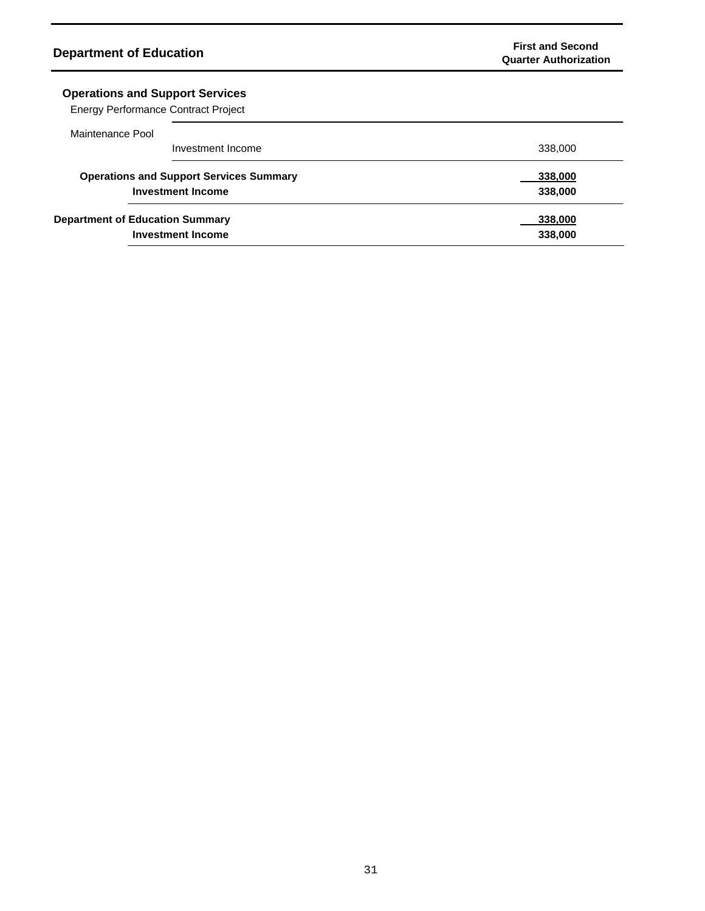# **Operations and Support Services**

Energy Performance Contract Project

| Maintenance Pool                                                           |                                                                    |                    |
|----------------------------------------------------------------------------|--------------------------------------------------------------------|--------------------|
|                                                                            | Investment Income                                                  | 338,000            |
| <b>Operations and Support Services Summary</b><br><b>Investment Income</b> |                                                                    | 338,000<br>338,000 |
|                                                                            | <b>Department of Education Summary</b><br><b>Investment Income</b> | 338,000<br>338,000 |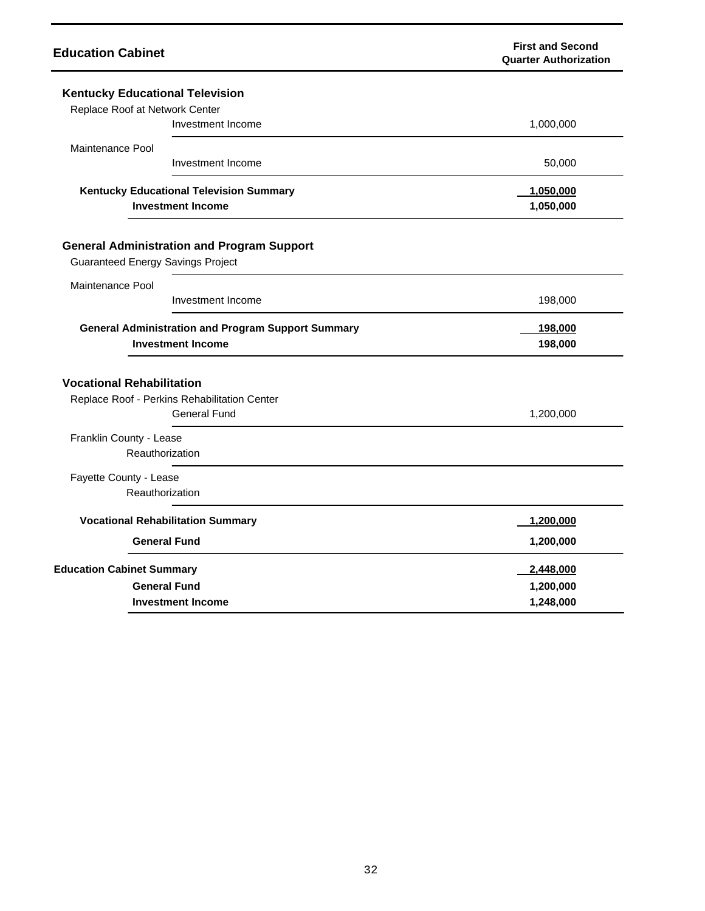| <b>Education Cabinet</b>                                                                      | <b>First and Second</b><br><b>Quarter Authorization</b> |
|-----------------------------------------------------------------------------------------------|---------------------------------------------------------|
| <b>Kentucky Educational Television</b>                                                        |                                                         |
| Replace Roof at Network Center                                                                |                                                         |
| Investment Income                                                                             | 1,000,000                                               |
| Maintenance Pool                                                                              |                                                         |
| Investment Income                                                                             | 50,000                                                  |
| <b>Kentucky Educational Television Summary</b>                                                | 1,050,000                                               |
| <b>Investment Income</b>                                                                      | 1,050,000                                               |
|                                                                                               |                                                         |
| <b>General Administration and Program Support</b><br><b>Guaranteed Energy Savings Project</b> |                                                         |
|                                                                                               |                                                         |
| <b>Maintenance Pool</b>                                                                       |                                                         |
| Investment Income                                                                             | 198,000                                                 |
| <b>General Administration and Program Support Summary</b>                                     | 198,000                                                 |
| <b>Investment Income</b>                                                                      | 198,000                                                 |
| <b>Vocational Rehabilitation</b>                                                              |                                                         |
| Replace Roof - Perkins Rehabilitation Center                                                  |                                                         |
| General Fund                                                                                  | 1,200,000                                               |
| Franklin County - Lease                                                                       |                                                         |
| Reauthorization                                                                               |                                                         |
| Fayette County - Lease                                                                        |                                                         |
| Reauthorization                                                                               |                                                         |
| <b>Vocational Rehabilitation Summary</b>                                                      | 1,200,000                                               |
| <b>General Fund</b>                                                                           | 1,200,000                                               |
| <b>Education Cabinet Summary</b>                                                              | <u>2,448,000</u>                                        |
| <b>General Fund</b>                                                                           | 1,200,000                                               |
| <b>Investment Income</b>                                                                      | 1,248,000                                               |

l,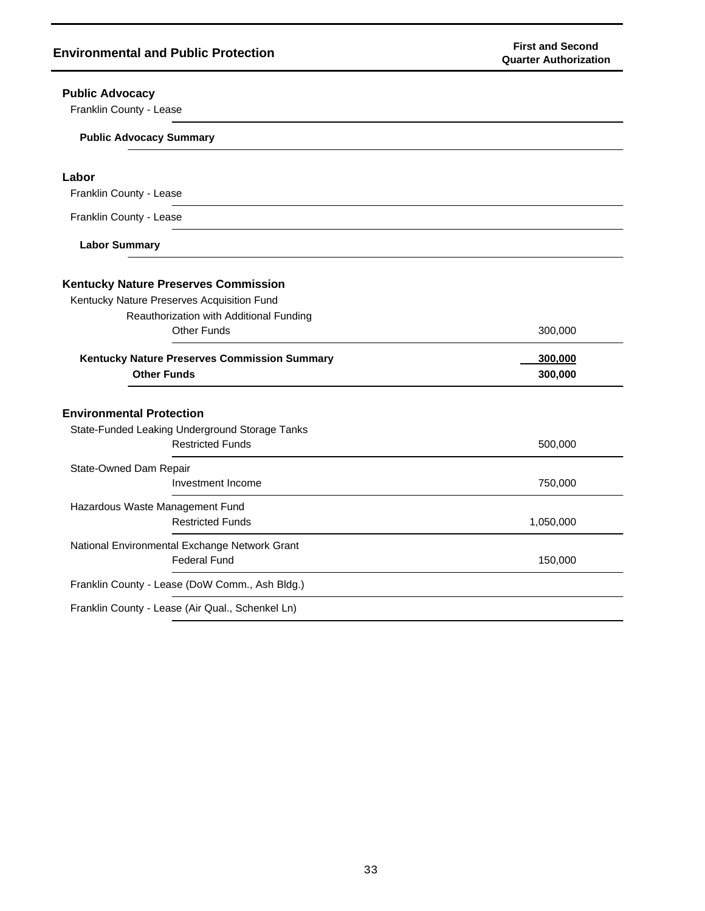| <b>Public Advocacy</b>                                                    |           |
|---------------------------------------------------------------------------|-----------|
| Franklin County - Lease                                                   |           |
| <b>Public Advocacy Summary</b>                                            |           |
| Labor                                                                     |           |
| Franklin County - Lease                                                   |           |
| Franklin County - Lease                                                   |           |
| <b>Labor Summary</b>                                                      |           |
| <b>Kentucky Nature Preserves Commission</b>                               |           |
| Kentucky Nature Preserves Acquisition Fund                                |           |
| Reauthorization with Additional Funding                                   |           |
| <b>Other Funds</b>                                                        | 300,000   |
| Kentucky Nature Preserves Commission Summary                              | 300,000   |
| <b>Other Funds</b>                                                        | 300,000   |
|                                                                           |           |
|                                                                           |           |
| <b>Environmental Protection</b>                                           |           |
| State-Funded Leaking Underground Storage Tanks<br><b>Restricted Funds</b> | 500,000   |
| State-Owned Dam Repair                                                    |           |
| Investment Income                                                         | 750,000   |
| Hazardous Waste Management Fund                                           |           |
| <b>Restricted Funds</b>                                                   | 1,050,000 |
| National Environmental Exchange Network Grant                             |           |
| <b>Federal Fund</b>                                                       | 150,000   |
| Franklin County - Lease (DoW Comm., Ash Bldg.)                            |           |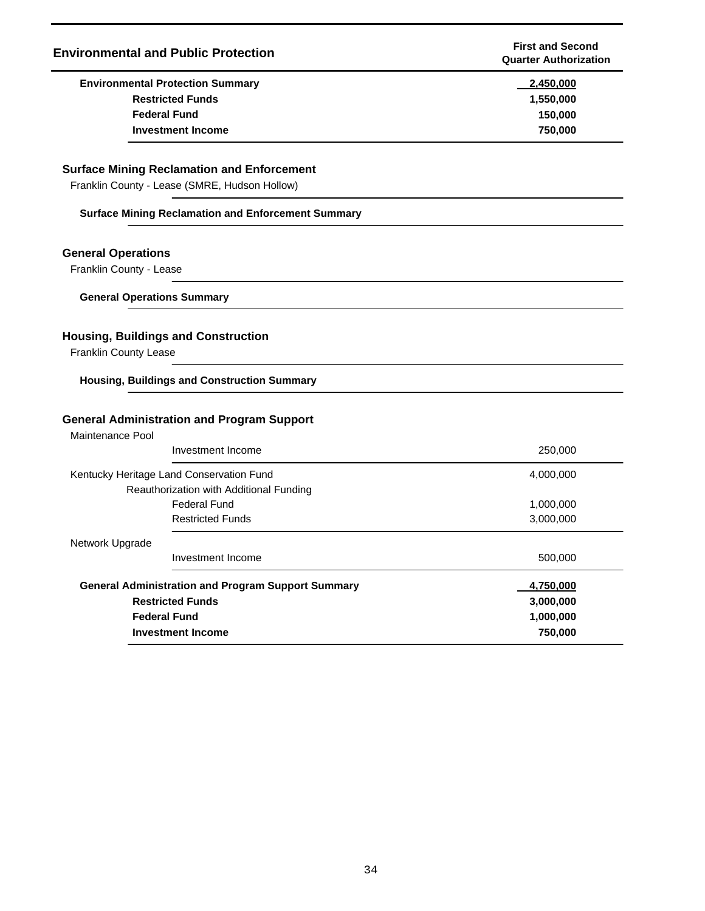| <b>Environmental and Public Protection</b>        | <b>First and Second</b><br><b>Quarter Authorization</b> |
|---------------------------------------------------|---------------------------------------------------------|
| <b>Environmental Protection Summary</b>           | 2,450,000                                               |
| <b>Restricted Funds</b>                           | 1,550,000                                               |
| <b>Federal Fund</b>                               | 150,000                                                 |
| <b>Investment Income</b>                          | 750,000                                                 |
| <b>Surface Mining Reclamation and Enforcement</b> |                                                         |
| Franklin County - Lease (SMRE, Hudson Hollow)     |                                                         |

#### **Surface Mining Reclamation and Enforcement Summary**

### **General Operations**

Franklin County - Lease

**General Operations Summary**

## **Housing, Buildings and Construction**

Franklin County Lease

**Housing, Buildings and Construction Summary**

### **General Administration and Program Support**

Maintenance Pool

| Investment Income                                         | 250,000   |
|-----------------------------------------------------------|-----------|
| Kentucky Heritage Land Conservation Fund                  | 4,000,000 |
| Reauthorization with Additional Funding                   |           |
| Federal Fund                                              | 1,000,000 |
| <b>Restricted Funds</b>                                   | 3,000,000 |
| Network Upgrade                                           |           |
| Investment Income                                         | 500,000   |
| <b>General Administration and Program Support Summary</b> | 4,750,000 |
| <b>Restricted Funds</b>                                   | 3,000,000 |
| <b>Federal Fund</b>                                       | 1,000,000 |
| <b>Investment Income</b>                                  | 750,000   |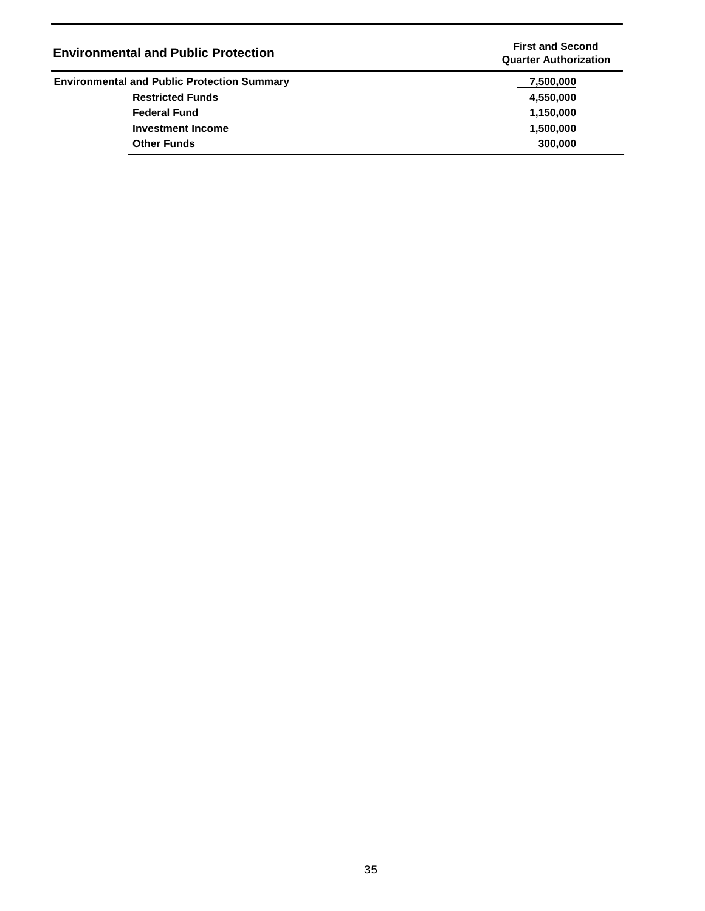| <b>Environmental and Public Protection</b>         | <b>First and Second</b><br><b>Quarter Authorization</b> |
|----------------------------------------------------|---------------------------------------------------------|
| <b>Environmental and Public Protection Summary</b> | 7,500,000                                               |
| <b>Restricted Funds</b>                            | 4,550,000                                               |
| <b>Federal Fund</b>                                | 1,150,000                                               |
| <b>Investment Income</b>                           | 1,500,000                                               |
| <b>Other Funds</b>                                 | 300,000                                                 |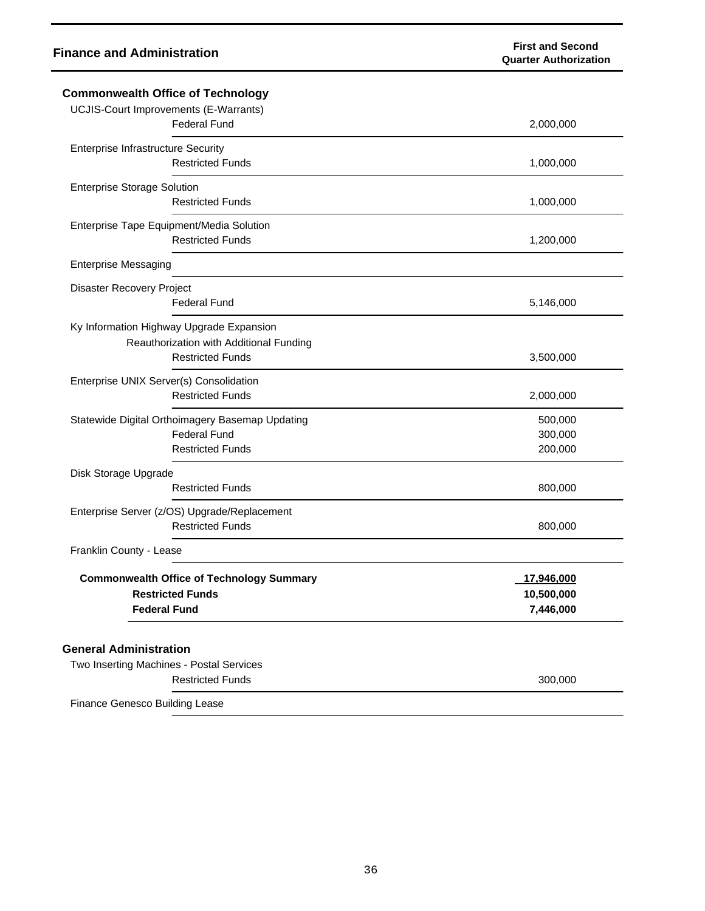| <b>Commonwealth Office of Technology</b>                                                                       |                                       |
|----------------------------------------------------------------------------------------------------------------|---------------------------------------|
| <b>UCJIS-Court Improvements (E-Warrants)</b><br><b>Federal Fund</b>                                            | 2,000,000                             |
| <b>Enterprise Infrastructure Security</b><br><b>Restricted Funds</b>                                           | 1,000,000                             |
| <b>Enterprise Storage Solution</b><br><b>Restricted Funds</b>                                                  | 1,000,000                             |
| Enterprise Tape Equipment/Media Solution<br><b>Restricted Funds</b>                                            | 1,200,000                             |
| <b>Enterprise Messaging</b>                                                                                    |                                       |
| Disaster Recovery Project<br><b>Federal Fund</b>                                                               | 5,146,000                             |
| Ky Information Highway Upgrade Expansion<br>Reauthorization with Additional Funding<br><b>Restricted Funds</b> | 3,500,000                             |
| Enterprise UNIX Server(s) Consolidation<br><b>Restricted Funds</b>                                             | 2,000,000                             |
| Statewide Digital Orthoimagery Basemap Updating<br><b>Federal Fund</b><br><b>Restricted Funds</b>              | 500,000<br>300,000<br>200,000         |
| Disk Storage Upgrade<br><b>Restricted Funds</b>                                                                | 800,000                               |
| Enterprise Server (z/OS) Upgrade/Replacement<br><b>Restricted Funds</b>                                        | 800,000                               |
| Franklin County - Lease                                                                                        |                                       |
| <b>Commonwealth Office of Technology Summary</b><br><b>Restricted Funds</b><br><b>Federal Fund</b>             | 17,946,000<br>10,500,000<br>7,446,000 |
| <b>General Administration</b><br>Two Inserting Machines - Postal Services<br><b>Restricted Funds</b>           | 300,000                               |
| Finance Genesco Building Lease                                                                                 |                                       |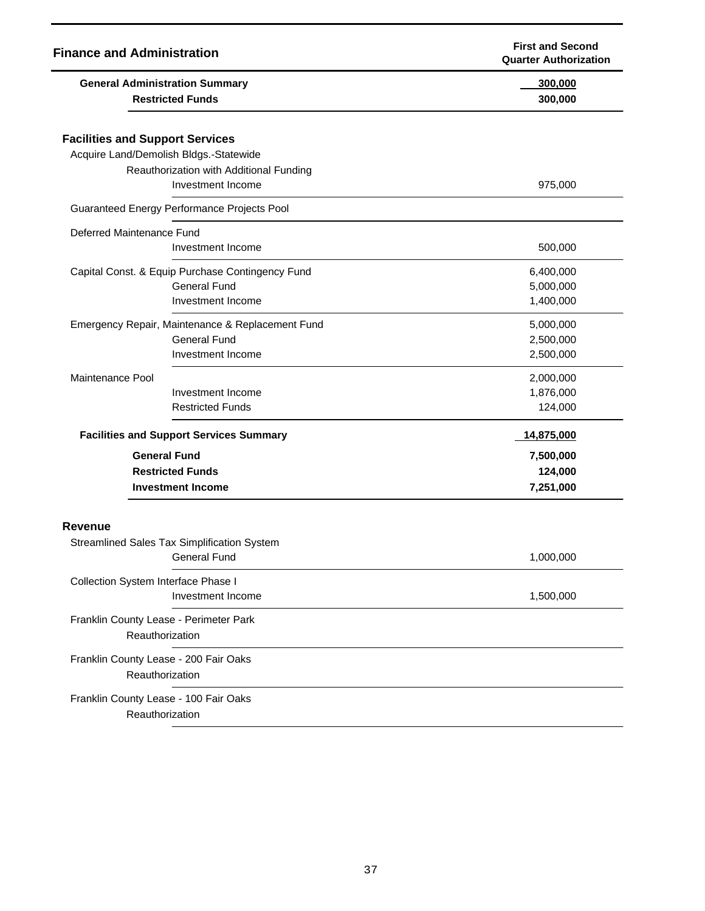| <b>Finance and Administration</b>                                                |                                                                                              | <b>First and Second</b><br><b>Quarter Authorization</b> |
|----------------------------------------------------------------------------------|----------------------------------------------------------------------------------------------|---------------------------------------------------------|
| <b>General Administration Summary</b><br><b>Restricted Funds</b>                 |                                                                                              | 300,000<br>300,000                                      |
| <b>Facilities and Support Services</b><br>Acquire Land/Demolish Bldgs.-Statewide | Reauthorization with Additional Funding<br>Investment Income                                 | 975,000                                                 |
| Guaranteed Energy Performance Projects Pool                                      |                                                                                              |                                                         |
| Deferred Maintenance Fund                                                        | Investment Income                                                                            | 500,000                                                 |
|                                                                                  | Capital Const. & Equip Purchase Contingency Fund<br><b>General Fund</b><br>Investment Income | 6,400,000<br>5,000,000<br>1,400,000                     |
|                                                                                  | Emergency Repair, Maintenance & Replacement Fund<br><b>General Fund</b><br>Investment Income | 5,000,000<br>2,500,000<br>2,500,000                     |
| Maintenance Pool                                                                 | Investment Income<br><b>Restricted Funds</b>                                                 | 2,000,000<br>1,876,000<br>124,000                       |
|                                                                                  | <b>Facilities and Support Services Summary</b>                                               | 14,875,000                                              |
| <b>General Fund</b><br><b>Restricted Funds</b><br><b>Investment Income</b>       |                                                                                              | 7,500,000<br>124,000<br>7,251,000                       |
| <b>Revenue</b>                                                                   |                                                                                              |                                                         |
| Streamlined Sales Tax Simplification System                                      | <b>General Fund</b>                                                                          | 1,000,000                                               |
| Collection System Interface Phase I                                              | Investment Income                                                                            | 1,500,000                                               |
| Franklin County Lease - Perimeter Park<br>Reauthorization                        |                                                                                              |                                                         |
| Franklin County Lease - 200 Fair Oaks<br>Reauthorization                         |                                                                                              |                                                         |
| Franklin County Lease - 100 Fair Oaks<br>Reauthorization                         |                                                                                              |                                                         |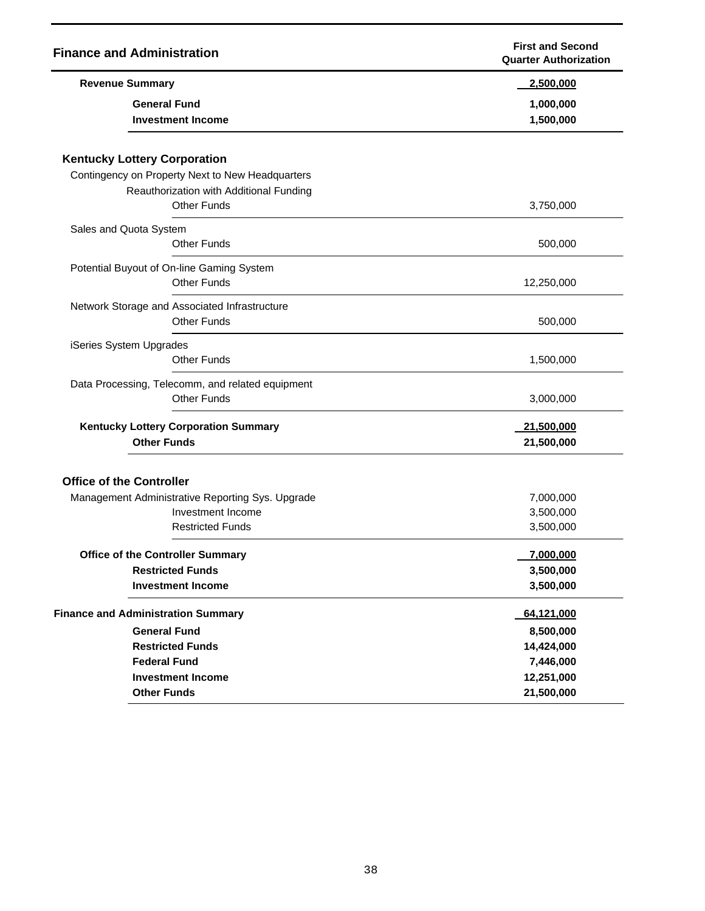| <b>Finance and Administration</b>                                      | <b>First and Second</b><br><b>Quarter Authorization</b> |
|------------------------------------------------------------------------|---------------------------------------------------------|
| <b>Revenue Summary</b>                                                 | 2,500,000                                               |
| <b>General Fund</b><br><b>Investment Income</b>                        | 1,000,000<br>1,500,000                                  |
| <b>Kentucky Lottery Corporation</b>                                    |                                                         |
| Contingency on Property Next to New Headquarters                       |                                                         |
| Reauthorization with Additional Funding                                |                                                         |
| <b>Other Funds</b>                                                     | 3,750,000                                               |
| Sales and Quota System                                                 |                                                         |
| <b>Other Funds</b>                                                     | 500,000                                                 |
| Potential Buyout of On-line Gaming System                              |                                                         |
| <b>Other Funds</b>                                                     | 12,250,000                                              |
| Network Storage and Associated Infrastructure                          |                                                         |
| <b>Other Funds</b>                                                     | 500,000                                                 |
| iSeries System Upgrades                                                |                                                         |
| <b>Other Funds</b>                                                     | 1,500,000                                               |
| Data Processing, Telecomm, and related equipment<br><b>Other Funds</b> | 3,000,000                                               |
|                                                                        |                                                         |
| <b>Kentucky Lottery Corporation Summary</b><br><b>Other Funds</b>      | 21,500,000<br>21,500,000                                |
|                                                                        |                                                         |
| <b>Office of the Controller</b>                                        |                                                         |
| Management Administrative Reporting Sys. Upgrade                       | 7,000,000                                               |
| Investment Income                                                      | 3,500,000                                               |
| <b>Restricted Funds</b>                                                | 3,500,000                                               |
| <b>Office of the Controller Summary</b>                                | 7,000,000                                               |
| <b>Restricted Funds</b>                                                | 3,500,000                                               |
| <b>Investment Income</b>                                               | 3,500,000                                               |
| <b>Finance and Administration Summary</b>                              | 64,121,000                                              |
| <b>General Fund</b>                                                    | 8,500,000                                               |
| <b>Restricted Funds</b>                                                | 14,424,000                                              |
| <b>Federal Fund</b>                                                    | 7,446,000                                               |
| <b>Investment Income</b>                                               | 12,251,000                                              |
| <b>Other Funds</b>                                                     | 21,500,000                                              |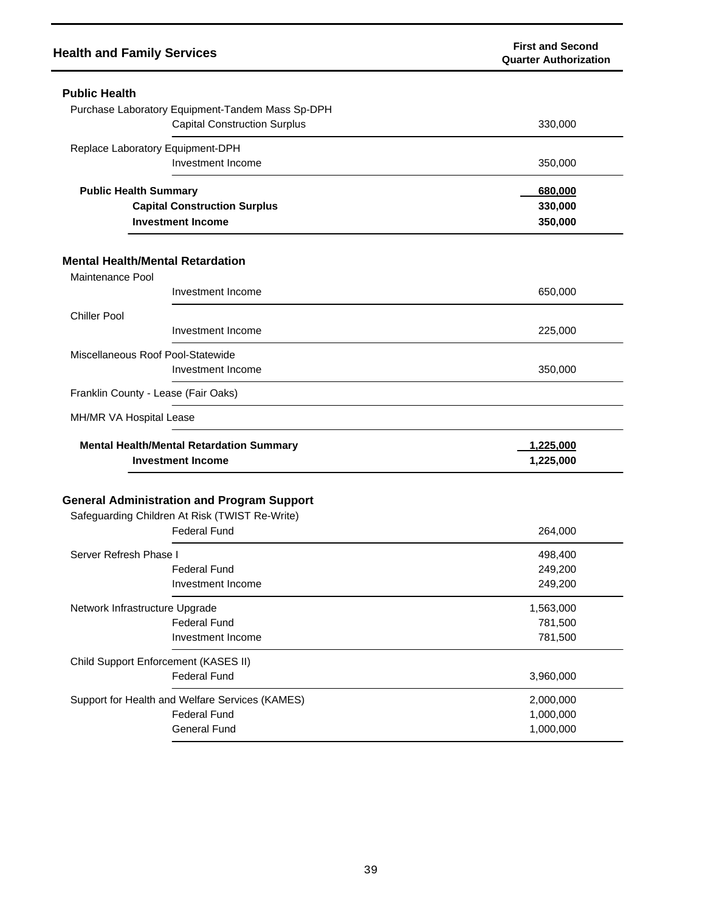| <b>Health and Family Services</b>       |                                                                                                                            | <b>First and Second</b><br><b>Quarter Authorization</b> |
|-----------------------------------------|----------------------------------------------------------------------------------------------------------------------------|---------------------------------------------------------|
| <b>Public Health</b>                    |                                                                                                                            |                                                         |
|                                         | Purchase Laboratory Equipment-Tandem Mass Sp-DPH                                                                           |                                                         |
|                                         | <b>Capital Construction Surplus</b>                                                                                        | 330,000                                                 |
| Replace Laboratory Equipment-DPH        |                                                                                                                            |                                                         |
|                                         | Investment Income                                                                                                          | 350,000                                                 |
| <b>Public Health Summary</b>            |                                                                                                                            | 680,000                                                 |
|                                         | <b>Capital Construction Surplus</b>                                                                                        | 330,000                                                 |
|                                         | <b>Investment Income</b>                                                                                                   | 350,000                                                 |
| <b>Mental Health/Mental Retardation</b> |                                                                                                                            |                                                         |
| Maintenance Pool                        |                                                                                                                            |                                                         |
|                                         | Investment Income                                                                                                          | 650,000                                                 |
| <b>Chiller Pool</b>                     |                                                                                                                            |                                                         |
|                                         | Investment Income                                                                                                          | 225,000                                                 |
| Miscellaneous Roof Pool-Statewide       |                                                                                                                            |                                                         |
|                                         | Investment Income                                                                                                          | 350,000                                                 |
| Franklin County - Lease (Fair Oaks)     |                                                                                                                            |                                                         |
| MH/MR VA Hospital Lease                 |                                                                                                                            |                                                         |
|                                         | <b>Mental Health/Mental Retardation Summary</b>                                                                            | 1,225,000                                               |
| <b>Investment Income</b>                |                                                                                                                            | 1,225,000                                               |
|                                         | <b>General Administration and Program Support</b><br>Safeguarding Children At Risk (TWIST Re-Write)<br><b>Federal Fund</b> | 264,000                                                 |
| Server Refresh Phase I                  |                                                                                                                            | 498,400                                                 |
|                                         | <b>Federal Fund</b>                                                                                                        | 249,200                                                 |
|                                         | Investment Income                                                                                                          | 249,200                                                 |
| Network Infrastructure Upgrade          |                                                                                                                            | 1,563,000                                               |
|                                         | <b>Federal Fund</b>                                                                                                        | 781,500                                                 |
|                                         | Investment Income                                                                                                          | 781,500                                                 |
|                                         | Child Support Enforcement (KASES II)                                                                                       |                                                         |
|                                         | <b>Federal Fund</b>                                                                                                        | 3,960,000                                               |
|                                         | Support for Health and Welfare Services (KAMES)                                                                            | 2,000,000                                               |
|                                         | <b>Federal Fund</b>                                                                                                        | 1,000,000                                               |
|                                         | <b>General Fund</b>                                                                                                        | 1,000,000                                               |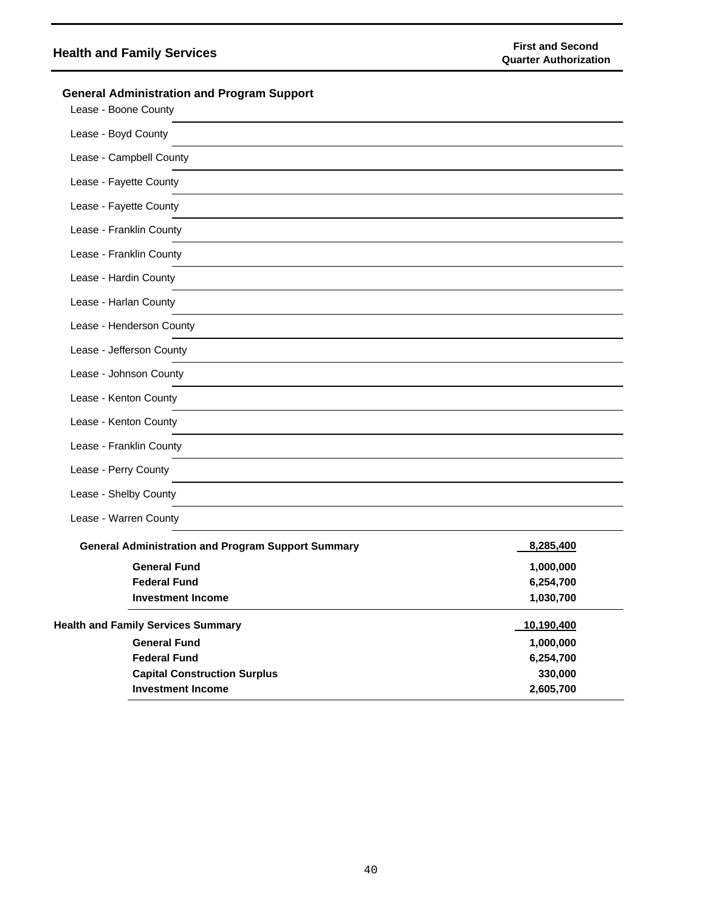# **Health and Family Services**<br> **Health and Family Services First and Second**<br> **Example 20** and the international property of the set of the set of the set of the set of the set of the set of the set of the set of the set

| <b>General Administration and Program Support</b><br>Lease - Boone County |            |
|---------------------------------------------------------------------------|------------|
| Lease - Boyd County                                                       |            |
| Lease - Campbell County                                                   |            |
| Lease - Fayette County                                                    |            |
| Lease - Fayette County                                                    |            |
| Lease - Franklin County                                                   |            |
| Lease - Franklin County                                                   |            |
| Lease - Hardin County                                                     |            |
| Lease - Harlan County                                                     |            |
| Lease - Henderson County                                                  |            |
| Lease - Jefferson County                                                  |            |
| Lease - Johnson County                                                    |            |
| Lease - Kenton County                                                     |            |
| Lease - Kenton County                                                     |            |
| Lease - Franklin County                                                   |            |
| Lease - Perry County                                                      |            |
| Lease - Shelby County                                                     |            |
| Lease - Warren County                                                     |            |
| <b>General Administration and Program Support Summary</b>                 | 8,285,400  |
| <b>General Fund</b>                                                       | 1,000,000  |
| <b>Federal Fund</b>                                                       | 6,254,700  |
| <b>Investment Income</b>                                                  | 1,030,700  |
| <b>Health and Family Services Summary</b>                                 | 10,190,400 |
| <b>General Fund</b>                                                       | 1,000,000  |
| <b>Federal Fund</b>                                                       | 6,254,700  |
| <b>Capital Construction Surplus</b>                                       | 330,000    |
| <b>Investment Income</b>                                                  | 2,605,700  |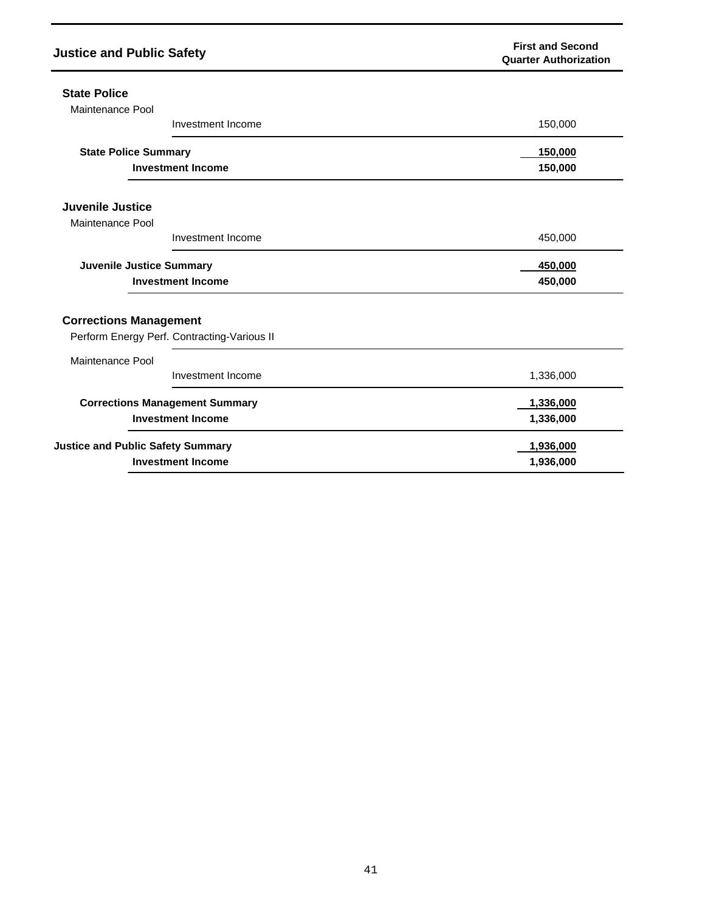| <b>Justice and Public Safety</b>            | <b>First and Second</b><br><b>Quarter Authorization</b> |
|---------------------------------------------|---------------------------------------------------------|
| <b>State Police</b>                         |                                                         |
| Maintenance Pool                            |                                                         |
| Investment Income                           | 150,000                                                 |
| <b>State Police Summary</b>                 | 150,000                                                 |
| <b>Investment Income</b>                    | 150,000                                                 |
| Juvenile Justice                            |                                                         |
| Maintenance Pool                            |                                                         |
| Investment Income                           | 450,000                                                 |
| Juvenile Justice Summary                    | 450,000                                                 |
| <b>Investment Income</b>                    | 450,000                                                 |
| <b>Corrections Management</b>               |                                                         |
| Perform Energy Perf. Contracting-Various II |                                                         |
| Maintenance Pool                            |                                                         |
| Investment Income                           | 1,336,000                                               |
| <b>Corrections Management Summary</b>       | 1,336,000                                               |
| <b>Investment Income</b>                    | 1,336,000                                               |
| <b>Justice and Public Safety Summary</b>    | 1,936,000                                               |
| <b>Investment Income</b>                    | 1,936,000                                               |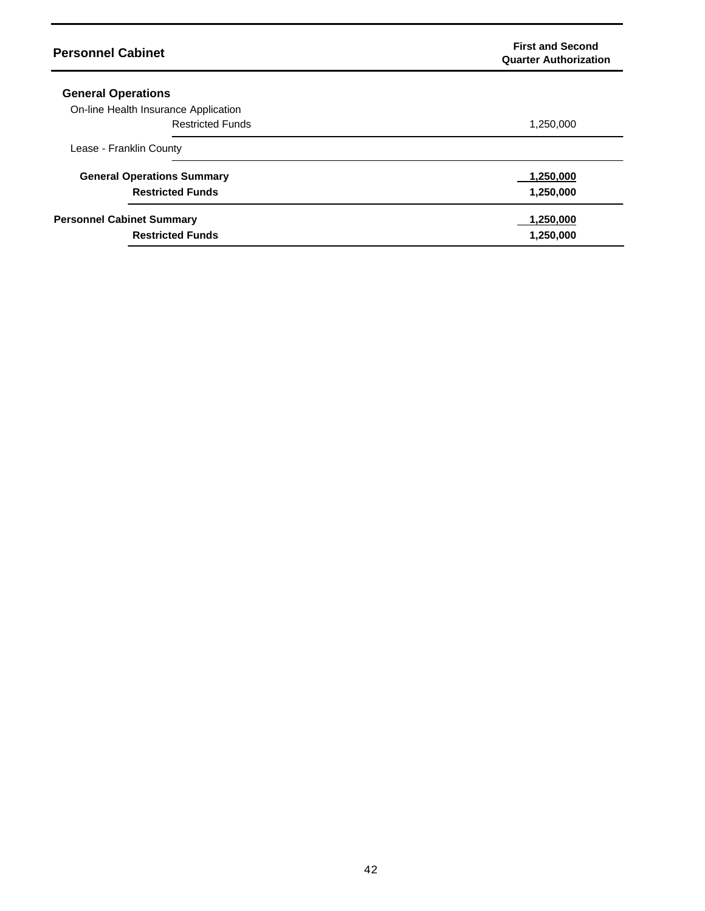| <b>Personnel Cabinet</b>             | <b>First and Second</b><br><b>Quarter Authorization</b> |
|--------------------------------------|---------------------------------------------------------|
| <b>General Operations</b>            |                                                         |
| On-line Health Insurance Application |                                                         |
| <b>Restricted Funds</b>              | 1,250,000                                               |
| Lease - Franklin County              |                                                         |
| <b>General Operations Summary</b>    | 1,250,000                                               |
| <b>Restricted Funds</b>              | 1,250,000                                               |
| <b>Personnel Cabinet Summary</b>     | 1,250,000                                               |
| <b>Restricted Funds</b>              | 1,250,000                                               |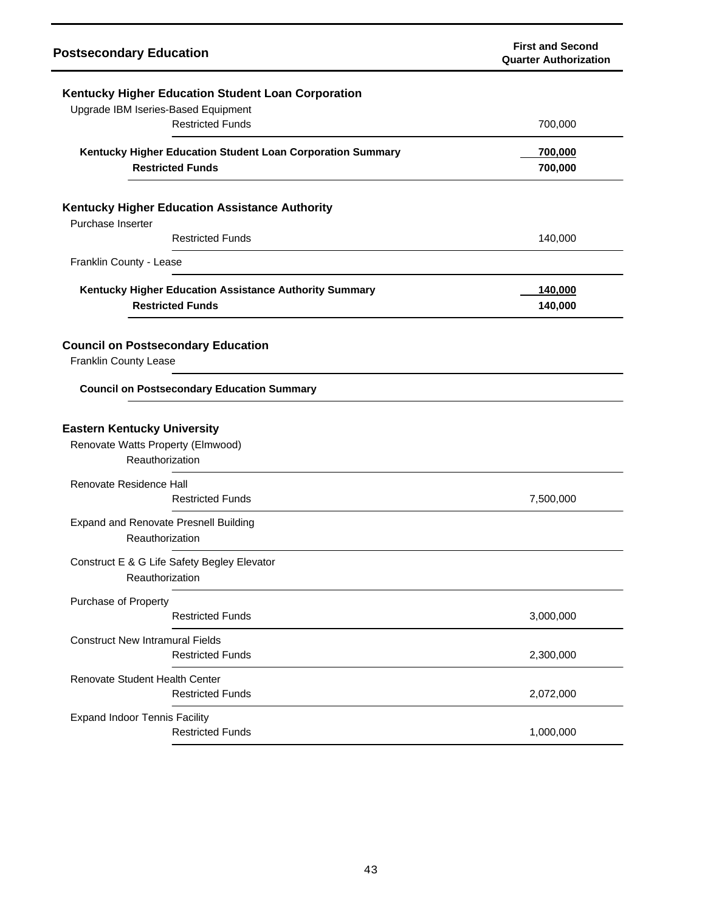| <b>Postsecondary Education</b>                                                                 | <b>First and Second</b><br><b>Quarter Authorization</b> |
|------------------------------------------------------------------------------------------------|---------------------------------------------------------|
| Kentucky Higher Education Student Loan Corporation<br>Upgrade IBM Iseries-Based Equipment      |                                                         |
| <b>Restricted Funds</b>                                                                        | 700,000                                                 |
| Kentucky Higher Education Student Loan Corporation Summary<br><b>Restricted Funds</b>          | 700,000<br>700,000                                      |
| Kentucky Higher Education Assistance Authority<br>Purchase Inserter<br><b>Restricted Funds</b> | 140,000                                                 |
| Franklin County - Lease                                                                        |                                                         |
| Kentucky Higher Education Assistance Authority Summary<br><b>Restricted Funds</b>              | 140,000<br>140,000                                      |
| <b>Council on Postsecondary Education</b><br>Franklin County Lease                             |                                                         |
| <b>Council on Postsecondary Education Summary</b>                                              |                                                         |
| <b>Eastern Kentucky University</b><br>Renovate Watts Property (Elmwood)<br>Reauthorization     |                                                         |
| Renovate Residence Hall<br><b>Restricted Funds</b>                                             | 7,500,000                                               |
| <b>Expand and Renovate Presnell Building</b><br>Reauthorization                                |                                                         |
| Construct E & G Life Safety Begley Elevator<br>Reauthorization                                 |                                                         |
| Purchase of Property<br><b>Restricted Funds</b>                                                | 3,000,000                                               |
| <b>Construct New Intramural Fields</b><br><b>Restricted Funds</b>                              | 2,300,000                                               |
| Renovate Student Health Center<br><b>Restricted Funds</b>                                      | 2,072,000                                               |
| <b>Expand Indoor Tennis Facility</b><br><b>Restricted Funds</b>                                | 1,000,000                                               |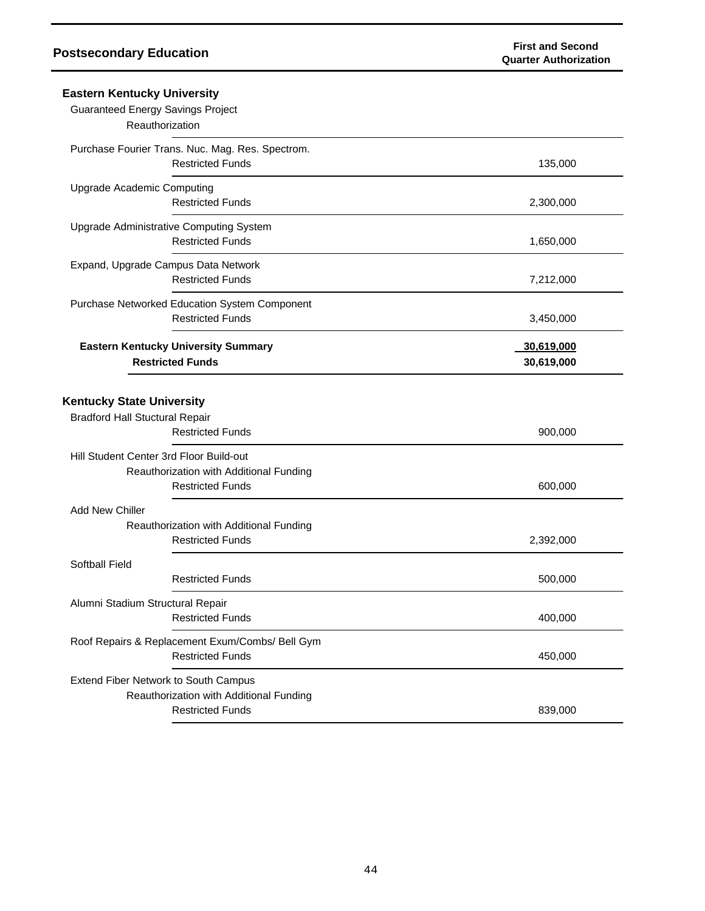| <b>Eastern Kentucky University</b>                                                                            |                          |
|---------------------------------------------------------------------------------------------------------------|--------------------------|
| <b>Guaranteed Energy Savings Project</b><br>Reauthorization                                                   |                          |
| Purchase Fourier Trans. Nuc. Mag. Res. Spectrom.<br><b>Restricted Funds</b>                                   | 135,000                  |
| Upgrade Academic Computing<br><b>Restricted Funds</b>                                                         | 2,300,000                |
| Upgrade Administrative Computing System<br><b>Restricted Funds</b>                                            | 1,650,000                |
| Expand, Upgrade Campus Data Network<br><b>Restricted Funds</b>                                                | 7,212,000                |
| Purchase Networked Education System Component<br><b>Restricted Funds</b>                                      | 3,450,000                |
| <b>Eastern Kentucky University Summary</b><br><b>Restricted Funds</b>                                         | 30,619,000<br>30,619,000 |
| <b>Kentucky State University</b><br><b>Bradford Hall Stuctural Repair</b><br><b>Restricted Funds</b>          | 900,000                  |
| Hill Student Center 3rd Floor Build-out<br>Reauthorization with Additional Funding<br><b>Restricted Funds</b> | 600,000                  |
| <b>Add New Chiller</b><br>Reauthorization with Additional Funding<br><b>Restricted Funds</b>                  | 2,392,000                |
| Softball Field<br><b>Restricted Funds</b>                                                                     | 500,000                  |
| Alumni Stadium Structural Repair<br><b>Restricted Funds</b>                                                   | 400,000                  |
| Roof Repairs & Replacement Exum/Combs/ Bell Gym<br><b>Restricted Funds</b>                                    | 450,000                  |
| Extend Fiber Network to South Campus<br>Reauthorization with Additional Funding<br><b>Restricted Funds</b>    | 839,000                  |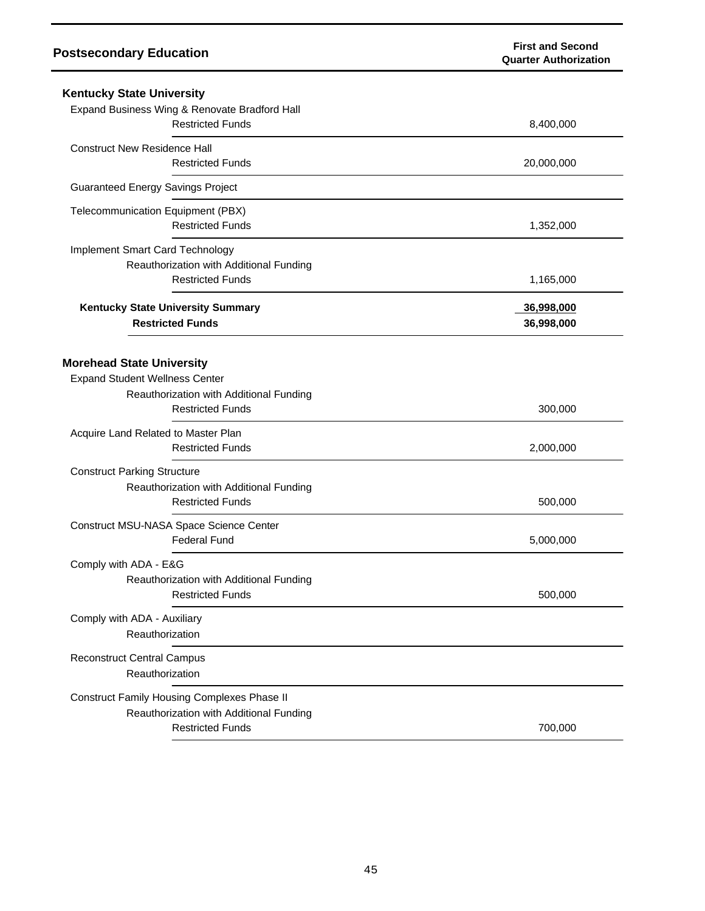| <b>Kentucky State University</b>                   |            |
|----------------------------------------------------|------------|
| Expand Business Wing & Renovate Bradford Hall      |            |
| <b>Restricted Funds</b>                            | 8,400,000  |
| <b>Construct New Residence Hall</b>                |            |
| <b>Restricted Funds</b>                            | 20,000,000 |
| <b>Guaranteed Energy Savings Project</b>           |            |
| Telecommunication Equipment (PBX)                  |            |
| <b>Restricted Funds</b>                            | 1,352,000  |
| Implement Smart Card Technology                    |            |
| Reauthorization with Additional Funding            |            |
| <b>Restricted Funds</b>                            | 1,165,000  |
| Kentucky State University Summary                  | 36,998,000 |
| <b>Restricted Funds</b>                            | 36,998,000 |
|                                                    |            |
| <b>Morehead State University</b>                   |            |
| <b>Expand Student Wellness Center</b>              |            |
| Reauthorization with Additional Funding            |            |
| <b>Restricted Funds</b>                            | 300,000    |
| Acquire Land Related to Master Plan                |            |
| <b>Restricted Funds</b>                            | 2,000,000  |
| <b>Construct Parking Structure</b>                 |            |
| Reauthorization with Additional Funding            |            |
| <b>Restricted Funds</b>                            | 500,000    |
| Construct MSU-NASA Space Science Center            |            |
| <b>Federal Fund</b>                                | 5,000,000  |
| Comply with ADA - E&G                              |            |
| Reauthorization with Additional Funding            |            |
| <b>Restricted Funds</b>                            | 500,000    |
| Comply with ADA - Auxiliary                        |            |
| Reauthorization                                    |            |
| <b>Reconstruct Central Campus</b>                  |            |
| Reauthorization                                    |            |
| <b>Construct Family Housing Complexes Phase II</b> |            |
| Reauthorization with Additional Funding            |            |
| <b>Restricted Funds</b>                            | 700,000    |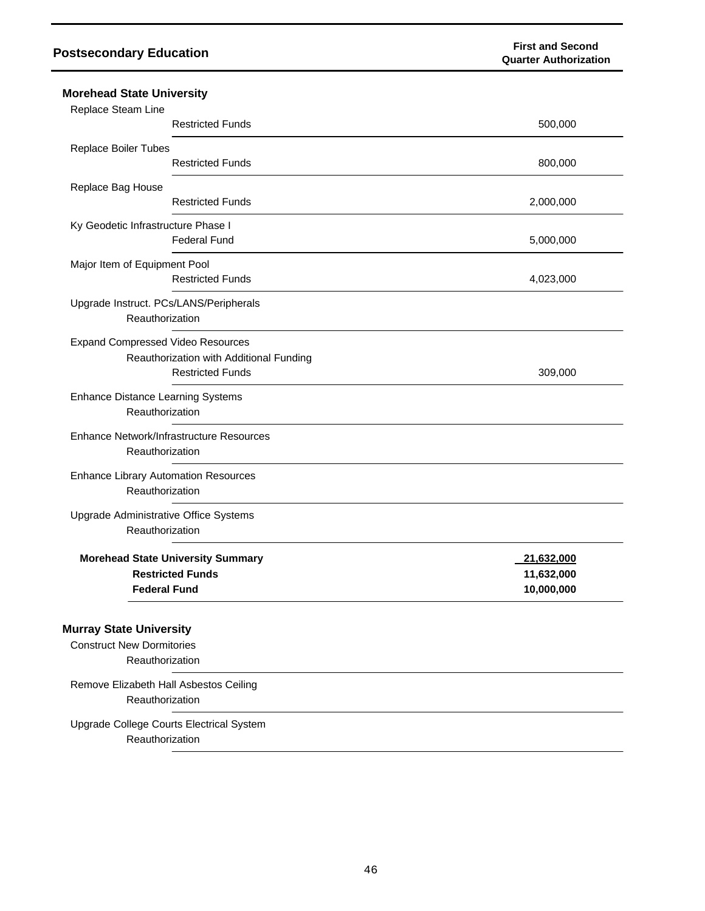| <b>Morehead State University</b>                                                      |                                                                     |                                        |  |
|---------------------------------------------------------------------------------------|---------------------------------------------------------------------|----------------------------------------|--|
| Replace Steam Line                                                                    | <b>Restricted Funds</b>                                             | 500,000                                |  |
| Replace Boiler Tubes                                                                  | <b>Restricted Funds</b>                                             | 800,000                                |  |
| Replace Bag House                                                                     | <b>Restricted Funds</b>                                             | 2,000,000                              |  |
| Ky Geodetic Infrastructure Phase I                                                    | <b>Federal Fund</b>                                                 | 5,000,000                              |  |
| Major Item of Equipment Pool                                                          | <b>Restricted Funds</b>                                             | 4,023,000                              |  |
| Upgrade Instruct. PCs/LANS/Peripherals<br>Reauthorization                             |                                                                     |                                        |  |
| <b>Expand Compressed Video Resources</b>                                              | Reauthorization with Additional Funding<br><b>Restricted Funds</b>  | 309,000                                |  |
| <b>Enhance Distance Learning Systems</b><br>Reauthorization                           |                                                                     |                                        |  |
| Reauthorization                                                                       | Enhance Network/Infrastructure Resources                            |                                        |  |
| <b>Enhance Library Automation Resources</b><br>Reauthorization                        |                                                                     |                                        |  |
| Upgrade Administrative Office Systems<br>Reauthorization                              |                                                                     |                                        |  |
| <b>Federal Fund</b>                                                                   | <b>Morehead State University Summary</b><br><b>Restricted Funds</b> | 21,632,000<br>11,632,000<br>10,000,000 |  |
| <b>Murray State University</b><br><b>Construct New Dormitories</b><br>Reauthorization |                                                                     |                                        |  |
| Remove Elizabeth Hall Asbestos Ceiling<br>Reauthorization                             |                                                                     |                                        |  |
| Reauthorization                                                                       | Upgrade College Courts Electrical System                            |                                        |  |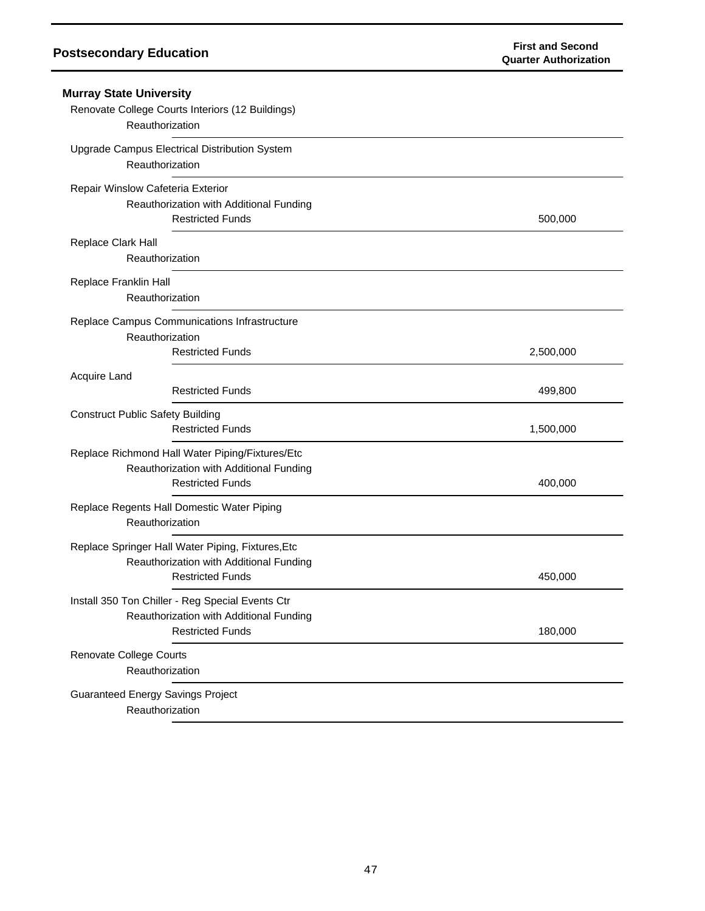| <b>Murray State University</b><br>Renovate College Courts Interiors (12 Buildings)<br>Reauthorization                   |           |
|-------------------------------------------------------------------------------------------------------------------------|-----------|
| Upgrade Campus Electrical Distribution System<br>Reauthorization                                                        |           |
| Repair Winslow Cafeteria Exterior<br>Reauthorization with Additional Funding<br><b>Restricted Funds</b>                 | 500,000   |
| Replace Clark Hall<br>Reauthorization                                                                                   |           |
| Replace Franklin Hall<br>Reauthorization                                                                                |           |
| Replace Campus Communications Infrastructure<br>Reauthorization<br><b>Restricted Funds</b>                              | 2,500,000 |
| Acquire Land<br><b>Restricted Funds</b>                                                                                 | 499,800   |
| <b>Construct Public Safety Building</b><br><b>Restricted Funds</b>                                                      | 1,500,000 |
| Replace Richmond Hall Water Piping/Fixtures/Etc<br>Reauthorization with Additional Funding<br><b>Restricted Funds</b>   | 400,000   |
| Replace Regents Hall Domestic Water Piping<br>Reauthorization                                                           |           |
| Replace Springer Hall Water Piping, Fixtures, Etc<br>Reauthorization with Additional Funding<br><b>Restricted Funds</b> | 450,000   |
| Install 350 Ton Chiller - Reg Special Events Ctr<br>Reauthorization with Additional Funding<br><b>Restricted Funds</b>  | 180,000   |
| Renovate College Courts<br>Reauthorization                                                                              |           |
| <b>Guaranteed Energy Savings Project</b><br>Reauthorization                                                             |           |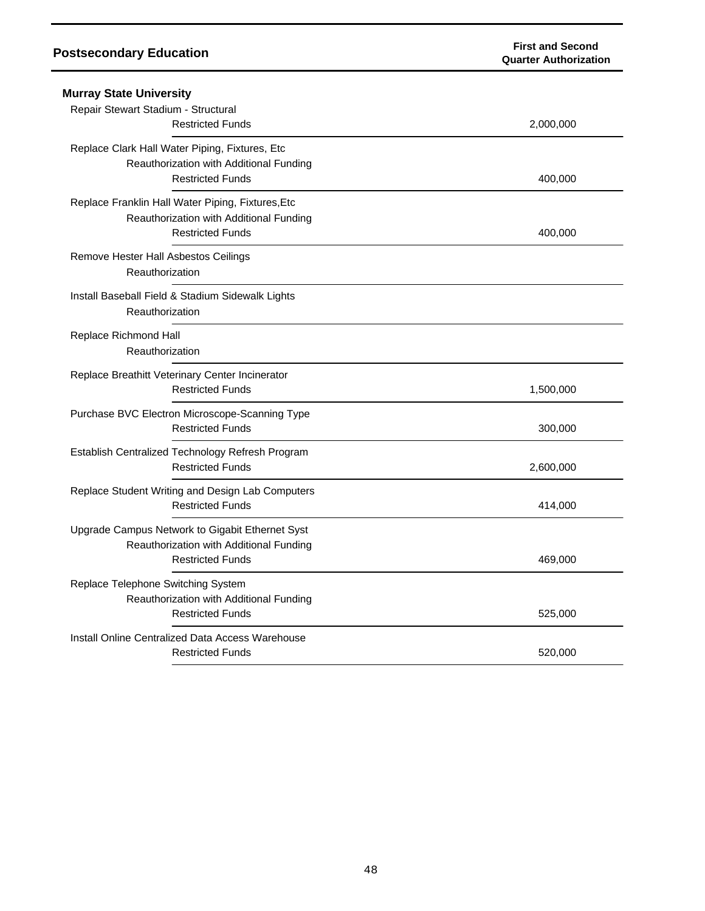| <b>Murray State University</b>                                                                                          |                    |
|-------------------------------------------------------------------------------------------------------------------------|--------------------|
| Repair Stewart Stadium - Structural<br><b>Restricted Funds</b>                                                          | 2,000,000          |
| Replace Clark Hall Water Piping, Fixtures, Etc<br>Reauthorization with Additional Funding<br><b>Restricted Funds</b>    | 400,000            |
| Replace Franklin Hall Water Piping, Fixtures, Etc<br>Reauthorization with Additional Funding<br><b>Restricted Funds</b> | 400,000            |
| Remove Hester Hall Asbestos Ceilings<br>Reauthorization                                                                 |                    |
| Install Baseball Field & Stadium Sidewalk Lights<br>Reauthorization                                                     |                    |
| Replace Richmond Hall<br>Reauthorization                                                                                |                    |
| Replace Breathitt Veterinary Center Incinerator<br><b>Restricted Funds</b>                                              | 1,500,000          |
| Purchase BVC Electron Microscope-Scanning Type<br><b>Restricted Funds</b>                                               | 300,000            |
| Establish Centralized Technology Refresh Program<br><b>Restricted Funds</b>                                             | 2,600,000          |
| Replace Student Writing and Design Lab Computers<br><b>Restricted Funds</b>                                             | 414,000            |
| Upgrade Campus Network to Gigabit Ethernet Syst<br>Reauthorization with Additional Funding<br><b>Restricted Funds</b>   | 469,000            |
| Replace Telephone Switching System<br>Reauthorization with Additional Funding                                           |                    |
| <b>Restricted Funds</b><br>Install Online Centralized Data Access Warehouse<br><b>Restricted Funds</b>                  | 525,000<br>520,000 |
|                                                                                                                         |                    |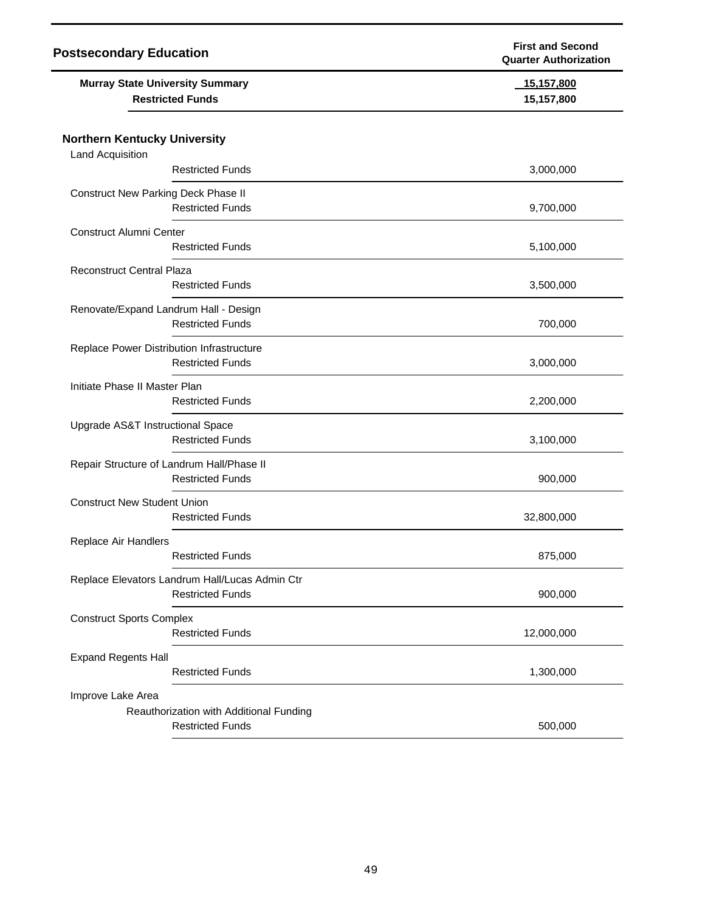| <b>Postsecondary Education</b>                                    | <b>First and Second</b><br><b>Quarter Authorization</b> |
|-------------------------------------------------------------------|---------------------------------------------------------|
| <b>Murray State University Summary</b><br><b>Restricted Funds</b> | 15,157,800<br>15,157,800                                |
| <b>Northern Kentucky University</b>                               |                                                         |
| <b>Land Acquisition</b>                                           |                                                         |
| <b>Restricted Funds</b>                                           | 3,000,000                                               |
| <b>Construct New Parking Deck Phase II</b>                        |                                                         |
| <b>Restricted Funds</b>                                           | 9,700,000                                               |
| <b>Construct Alumni Center</b>                                    |                                                         |
| <b>Restricted Funds</b>                                           | 5,100,000                                               |
| <b>Reconstruct Central Plaza</b>                                  |                                                         |
| <b>Restricted Funds</b>                                           | 3,500,000                                               |
| Renovate/Expand Landrum Hall - Design                             |                                                         |
| <b>Restricted Funds</b>                                           | 700,000                                                 |
| Replace Power Distribution Infrastructure                         |                                                         |
| <b>Restricted Funds</b>                                           | 3,000,000                                               |
| Initiate Phase II Master Plan                                     |                                                         |
| <b>Restricted Funds</b>                                           | 2,200,000                                               |
| Upgrade AS&T Instructional Space                                  |                                                         |
| <b>Restricted Funds</b>                                           | 3,100,000                                               |
| Repair Structure of Landrum Hall/Phase II                         |                                                         |
| <b>Restricted Funds</b>                                           | 900,000                                                 |
| <b>Construct New Student Union</b>                                |                                                         |
| <b>Restricted Funds</b>                                           | 32,800,000                                              |
| Replace Air Handlers                                              |                                                         |
| <b>Restricted Funds</b>                                           | 875,000                                                 |
| Replace Elevators Landrum Hall/Lucas Admin Ctr                    |                                                         |
| <b>Restricted Funds</b>                                           | 900,000                                                 |
| <b>Construct Sports Complex</b>                                   |                                                         |
| <b>Restricted Funds</b>                                           | 12,000,000                                              |
| <b>Expand Regents Hall</b>                                        |                                                         |
| <b>Restricted Funds</b>                                           | 1,300,000                                               |
| Improve Lake Area                                                 |                                                         |
| Reauthorization with Additional Funding                           |                                                         |
| <b>Restricted Funds</b>                                           | 500,000                                                 |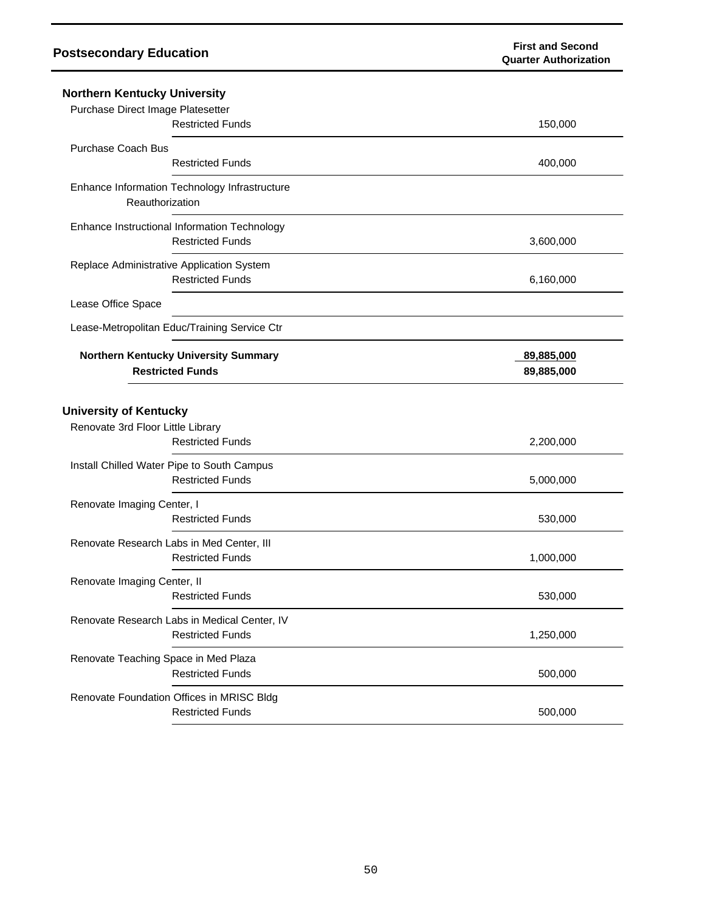| <b>Northern Kentucky University</b><br>Purchase Direct Image Platesetter                      |                          |  |
|-----------------------------------------------------------------------------------------------|--------------------------|--|
| <b>Restricted Funds</b>                                                                       | 150,000                  |  |
| Purchase Coach Bus                                                                            |                          |  |
| <b>Restricted Funds</b>                                                                       | 400,000                  |  |
| Enhance Information Technology Infrastructure<br>Reauthorization                              |                          |  |
| Enhance Instructional Information Technology<br><b>Restricted Funds</b>                       | 3,600,000                |  |
| Replace Administrative Application System<br><b>Restricted Funds</b>                          | 6,160,000                |  |
| Lease Office Space                                                                            |                          |  |
| Lease-Metropolitan Educ/Training Service Ctr                                                  |                          |  |
| Northern Kentucky University Summary<br><b>Restricted Funds</b>                               | 89,885,000<br>89,885,000 |  |
| <b>University of Kentucky</b><br>Renovate 3rd Floor Little Library<br><b>Restricted Funds</b> | 2,200,000                |  |
| Install Chilled Water Pipe to South Campus<br><b>Restricted Funds</b>                         | 5,000,000                |  |
| Renovate Imaging Center, I                                                                    |                          |  |
| <b>Restricted Funds</b>                                                                       | 530,000                  |  |
| Renovate Research Labs in Med Center, III<br><b>Restricted Funds</b>                          | 1,000,000                |  |
| Renovate Imaging Center, II<br><b>Restricted Funds</b>                                        | 530,000                  |  |
| Renovate Research Labs in Medical Center, IV<br><b>Restricted Funds</b>                       | 1,250,000                |  |
| Renovate Teaching Space in Med Plaza<br><b>Restricted Funds</b>                               | 500,000                  |  |
| Renovate Foundation Offices in MRISC Bldg<br><b>Restricted Funds</b>                          | 500,000                  |  |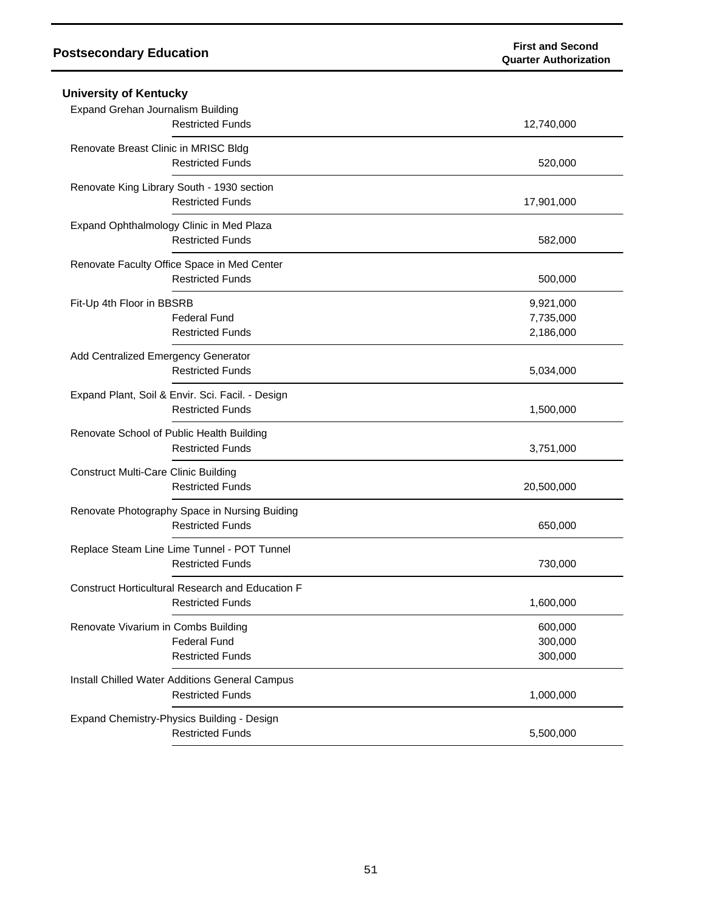| <b>University of Kentucky</b>                                |            |
|--------------------------------------------------------------|------------|
| Expand Grehan Journalism Building<br><b>Restricted Funds</b> | 12,740,000 |
| Renovate Breast Clinic in MRISC Bldg                         |            |
| <b>Restricted Funds</b>                                      | 520,000    |
| Renovate King Library South - 1930 section                   |            |
| <b>Restricted Funds</b>                                      | 17,901,000 |
| Expand Ophthalmology Clinic in Med Plaza                     |            |
| <b>Restricted Funds</b>                                      | 582,000    |
| Renovate Faculty Office Space in Med Center                  |            |
| <b>Restricted Funds</b>                                      | 500,000    |
| Fit-Up 4th Floor in BBSRB                                    | 9,921,000  |
| <b>Federal Fund</b>                                          | 7,735,000  |
| <b>Restricted Funds</b>                                      | 2,186,000  |
| Add Centralized Emergency Generator                          |            |
| <b>Restricted Funds</b>                                      | 5,034,000  |
| Expand Plant, Soil & Envir. Sci. Facil. - Design             |            |
| <b>Restricted Funds</b>                                      | 1,500,000  |
| Renovate School of Public Health Building                    |            |
| <b>Restricted Funds</b>                                      | 3,751,000  |
| <b>Construct Multi-Care Clinic Building</b>                  |            |
| <b>Restricted Funds</b>                                      | 20,500,000 |
| Renovate Photography Space in Nursing Buiding                |            |
| <b>Restricted Funds</b>                                      | 650,000    |
| Replace Steam Line Lime Tunnel - POT Tunnel                  |            |
| <b>Restricted Funds</b>                                      | 730,000    |
| Construct Horticultural Research and Education F             |            |
| <b>Restricted Funds</b>                                      | 1,600,000  |
| Renovate Vivarium in Combs Building                          | 600,000    |
| <b>Federal Fund</b>                                          | 300,000    |
| <b>Restricted Funds</b>                                      | 300,000    |
| Install Chilled Water Additions General Campus               |            |
| <b>Restricted Funds</b>                                      | 1,000,000  |
| Expand Chemistry-Physics Building - Design                   |            |
| <b>Restricted Funds</b>                                      | 5,500,000  |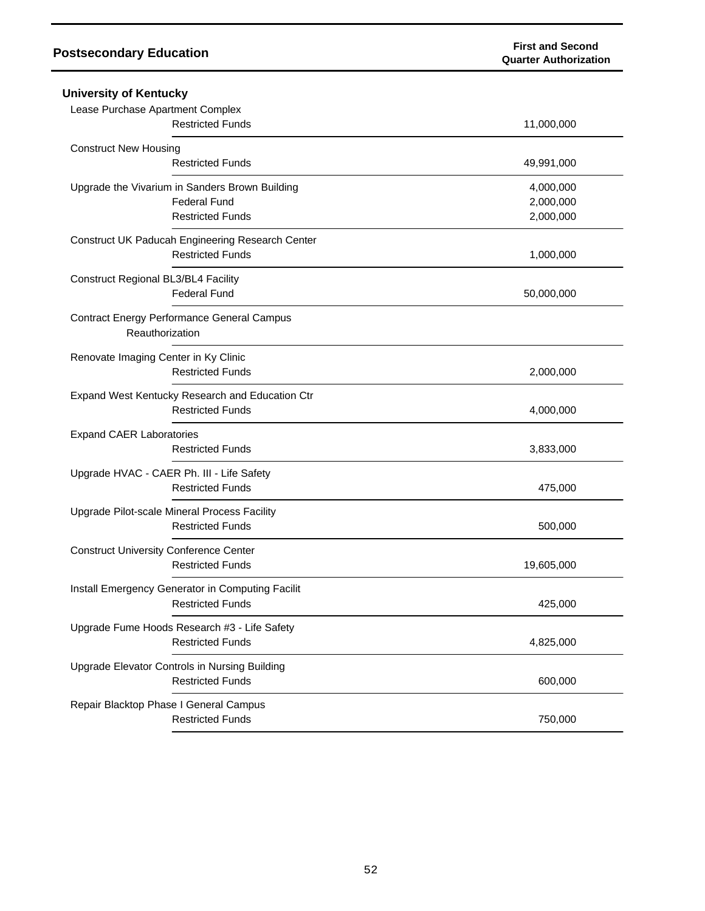## **Postsecondary Education**

| <b>First and Second</b>      |
|------------------------------|
| <b>Quarter Authorization</b> |

| <b>University of Kentucky</b>                     |            |
|---------------------------------------------------|------------|
| Lease Purchase Apartment Complex                  |            |
| <b>Restricted Funds</b>                           | 11,000,000 |
| <b>Construct New Housing</b>                      |            |
| <b>Restricted Funds</b>                           | 49,991,000 |
| Upgrade the Vivarium in Sanders Brown Building    | 4,000,000  |
| <b>Federal Fund</b>                               | 2,000,000  |
| <b>Restricted Funds</b>                           | 2,000,000  |
| Construct UK Paducah Engineering Research Center  |            |
| <b>Restricted Funds</b>                           | 1,000,000  |
| Construct Regional BL3/BL4 Facility               |            |
| <b>Federal Fund</b>                               | 50,000,000 |
| <b>Contract Energy Performance General Campus</b> |            |
| Reauthorization                                   |            |
| Renovate Imaging Center in Ky Clinic              |            |
| <b>Restricted Funds</b>                           | 2,000,000  |
| Expand West Kentucky Research and Education Ctr   |            |
| <b>Restricted Funds</b>                           | 4,000,000  |
| <b>Expand CAER Laboratories</b>                   |            |
| <b>Restricted Funds</b>                           | 3,833,000  |
| Upgrade HVAC - CAER Ph. III - Life Safety         |            |
| <b>Restricted Funds</b>                           | 475,000    |
| Upgrade Pilot-scale Mineral Process Facility      |            |
| <b>Restricted Funds</b>                           | 500,000    |
| <b>Construct University Conference Center</b>     |            |
| <b>Restricted Funds</b>                           | 19,605,000 |
| Install Emergency Generator in Computing Facilit  |            |
| <b>Restricted Funds</b>                           | 425,000    |
| Upgrade Fume Hoods Research #3 - Life Safety      |            |
| <b>Restricted Funds</b>                           | 4,825,000  |
| Upgrade Elevator Controls in Nursing Building     |            |
| <b>Restricted Funds</b>                           | 600,000    |
| Repair Blacktop Phase I General Campus            |            |
| <b>Restricted Funds</b>                           | 750,000    |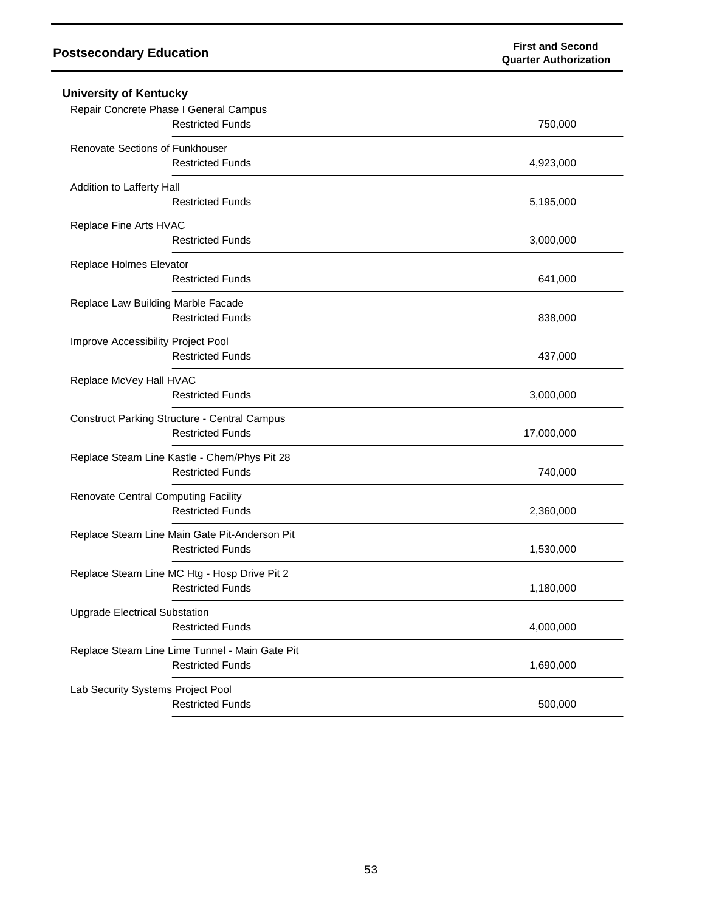| <b>University of Kentucky</b>                                                  |            |  |
|--------------------------------------------------------------------------------|------------|--|
| Repair Concrete Phase I General Campus<br><b>Restricted Funds</b>              | 750,000    |  |
| Renovate Sections of Funkhouser<br><b>Restricted Funds</b>                     | 4,923,000  |  |
| Addition to Lafferty Hall<br><b>Restricted Funds</b>                           | 5,195,000  |  |
| Replace Fine Arts HVAC<br><b>Restricted Funds</b>                              | 3,000,000  |  |
| Replace Holmes Elevator<br><b>Restricted Funds</b>                             | 641,000    |  |
| Replace Law Building Marble Facade<br><b>Restricted Funds</b>                  | 838,000    |  |
| Improve Accessibility Project Pool<br><b>Restricted Funds</b>                  | 437,000    |  |
| Replace McVey Hall HVAC<br><b>Restricted Funds</b>                             | 3,000,000  |  |
| <b>Construct Parking Structure - Central Campus</b><br><b>Restricted Funds</b> | 17,000,000 |  |
| Replace Steam Line Kastle - Chem/Phys Pit 28<br><b>Restricted Funds</b>        | 740,000    |  |
| <b>Renovate Central Computing Facility</b><br><b>Restricted Funds</b>          | 2,360,000  |  |
| Replace Steam Line Main Gate Pit-Anderson Pit<br><b>Restricted Funds</b>       | 1,530,000  |  |
| Replace Steam Line MC Htg - Hosp Drive Pit 2<br><b>Restricted Funds</b>        | 1,180,000  |  |
| <b>Upgrade Electrical Substation</b><br><b>Restricted Funds</b>                | 4,000,000  |  |
| Replace Steam Line Lime Tunnel - Main Gate Pit<br><b>Restricted Funds</b>      | 1,690,000  |  |
| Lab Security Systems Project Pool<br><b>Restricted Funds</b>                   | 500,000    |  |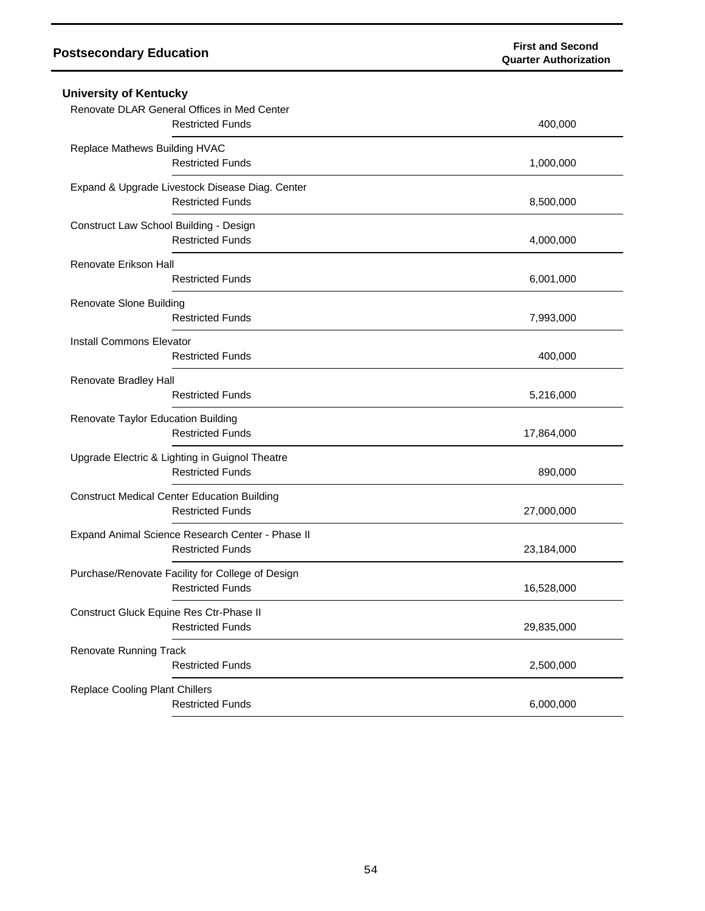| <b>University of Kentucky</b>                                          |            |
|------------------------------------------------------------------------|------------|
| Renovate DLAR General Offices in Med Center<br><b>Restricted Funds</b> | 400,000    |
| Replace Mathews Building HVAC                                          |            |
| <b>Restricted Funds</b>                                                | 1,000,000  |
| Expand & Upgrade Livestock Disease Diag. Center                        |            |
| <b>Restricted Funds</b>                                                | 8,500,000  |
| Construct Law School Building - Design                                 |            |
| <b>Restricted Funds</b>                                                | 4,000,000  |
| Renovate Erikson Hall                                                  |            |
| <b>Restricted Funds</b>                                                | 6,001,000  |
| Renovate Slone Building                                                |            |
| <b>Restricted Funds</b>                                                | 7,993,000  |
| <b>Install Commons Elevator</b>                                        |            |
| <b>Restricted Funds</b>                                                | 400,000    |
| Renovate Bradley Hall                                                  |            |
| <b>Restricted Funds</b>                                                | 5,216,000  |
| Renovate Taylor Education Building                                     |            |
| <b>Restricted Funds</b>                                                | 17,864,000 |
| Upgrade Electric & Lighting in Guignol Theatre                         |            |
| <b>Restricted Funds</b>                                                | 890,000    |
| <b>Construct Medical Center Education Building</b>                     |            |
| <b>Restricted Funds</b>                                                | 27,000,000 |
| Expand Animal Science Research Center - Phase II                       |            |
| <b>Restricted Funds</b>                                                | 23,184,000 |
| Purchase/Renovate Facility for College of Design                       |            |
| <b>Restricted Funds</b>                                                | 16,528,000 |
| Construct Gluck Equine Res Ctr-Phase II                                |            |
| <b>Restricted Funds</b>                                                | 29,835,000 |
| <b>Renovate Running Track</b>                                          |            |
| <b>Restricted Funds</b>                                                | 2,500,000  |
| <b>Replace Cooling Plant Chillers</b>                                  |            |
| <b>Restricted Funds</b>                                                | 6,000,000  |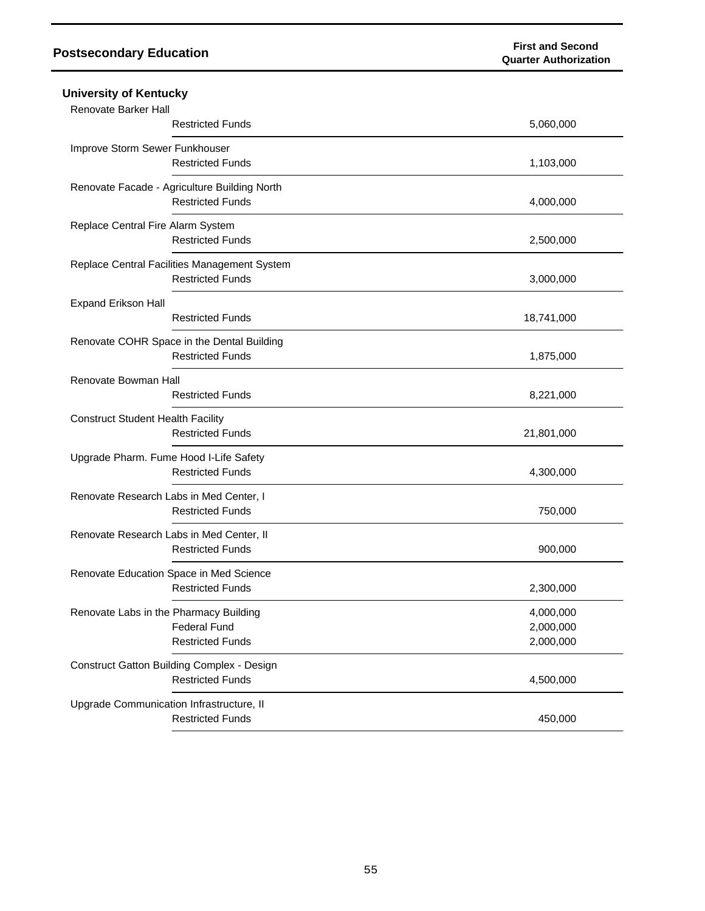| <b>University of Kentucky</b>                                           |                        |
|-------------------------------------------------------------------------|------------------------|
| Renovate Barker Hall<br><b>Restricted Funds</b>                         | 5,060,000              |
|                                                                         |                        |
| Improve Storm Sewer Funkhouser<br><b>Restricted Funds</b>               | 1,103,000              |
| Renovate Facade - Agriculture Building North<br><b>Restricted Funds</b> | 4,000,000              |
|                                                                         |                        |
| Replace Central Fire Alarm System<br><b>Restricted Funds</b>            | 2,500,000              |
| Replace Central Facilities Management System<br><b>Restricted Funds</b> | 3,000,000              |
| <b>Expand Erikson Hall</b><br><b>Restricted Funds</b>                   | 18,741,000             |
| Renovate COHR Space in the Dental Building<br><b>Restricted Funds</b>   | 1,875,000              |
| Renovate Bowman Hall                                                    |                        |
| <b>Restricted Funds</b>                                                 | 8,221,000              |
| <b>Construct Student Health Facility</b>                                |                        |
| <b>Restricted Funds</b>                                                 | 21,801,000             |
| Upgrade Pharm. Fume Hood I-Life Safety                                  |                        |
| <b>Restricted Funds</b>                                                 | 4,300,000              |
| Renovate Research Labs in Med Center, I<br><b>Restricted Funds</b>      | 750,000                |
|                                                                         |                        |
| Renovate Research Labs in Med Center, II<br><b>Restricted Funds</b>     | 900,000                |
| Renovate Education Space in Med Science                                 |                        |
| <b>Restricted Funds</b>                                                 | 2,300,000              |
| Renovate Labs in the Pharmacy Building                                  | 4,000,000              |
| <b>Federal Fund</b><br><b>Restricted Funds</b>                          | 2,000,000<br>2,000,000 |
|                                                                         |                        |
| Construct Gatton Building Complex - Design<br><b>Restricted Funds</b>   | 4,500,000              |
| Upgrade Communication Infrastructure, II                                |                        |
| <b>Restricted Funds</b>                                                 | 450,000                |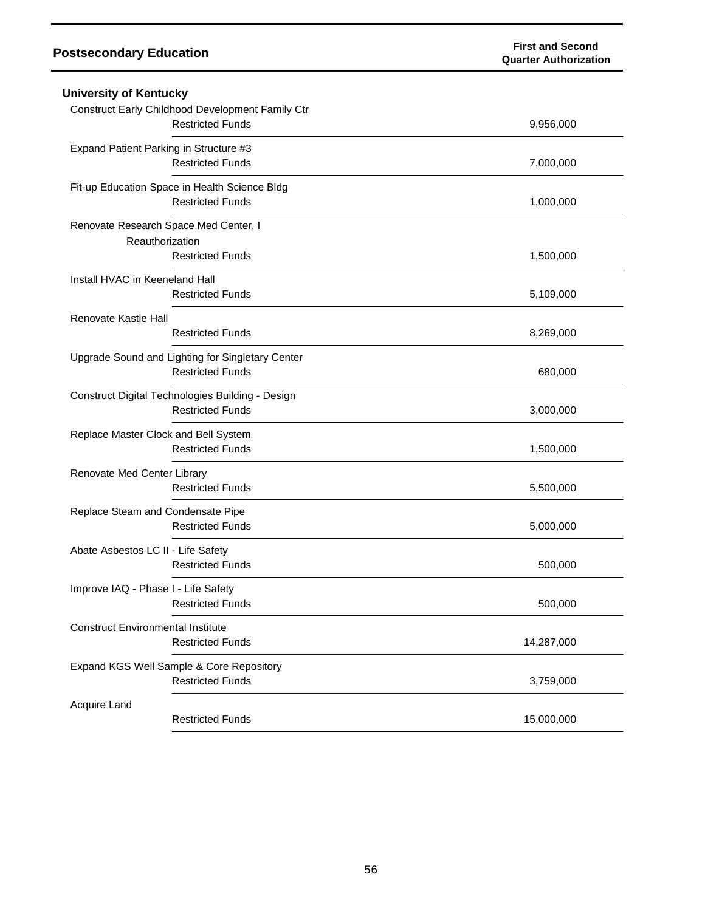| <b>University of Kentucky</b>                            |                                                                             |            |
|----------------------------------------------------------|-----------------------------------------------------------------------------|------------|
|                                                          | Construct Early Childhood Development Family Ctr<br><b>Restricted Funds</b> | 9,956,000  |
| Expand Patient Parking in Structure #3                   | <b>Restricted Funds</b>                                                     | 7,000,000  |
|                                                          | Fit-up Education Space in Health Science Bldg<br><b>Restricted Funds</b>    | 1,000,000  |
| Renovate Research Space Med Center, I<br>Reauthorization | <b>Restricted Funds</b>                                                     | 1,500,000  |
| Install HVAC in Keeneland Hall                           | <b>Restricted Funds</b>                                                     | 5,109,000  |
| Renovate Kastle Hall                                     | <b>Restricted Funds</b>                                                     | 8,269,000  |
|                                                          | Upgrade Sound and Lighting for Singletary Center<br><b>Restricted Funds</b> | 680,000    |
|                                                          | Construct Digital Technologies Building - Design<br><b>Restricted Funds</b> | 3,000,000  |
| Replace Master Clock and Bell System                     | <b>Restricted Funds</b>                                                     | 1,500,000  |
| Renovate Med Center Library                              | <b>Restricted Funds</b>                                                     | 5,500,000  |
| Replace Steam and Condensate Pipe                        | <b>Restricted Funds</b>                                                     | 5,000,000  |
| Abate Asbestos LC II - Life Safety                       | <b>Restricted Funds</b>                                                     | 500,000    |
| Improve IAQ - Phase I - Life Safety                      | <b>Restricted Funds</b>                                                     | 500,000    |
| <b>Construct Environmental Institute</b>                 | <b>Restricted Funds</b>                                                     | 14,287,000 |
|                                                          | Expand KGS Well Sample & Core Repository<br><b>Restricted Funds</b>         | 3,759,000  |
| Acquire Land                                             | <b>Restricted Funds</b>                                                     | 15,000,000 |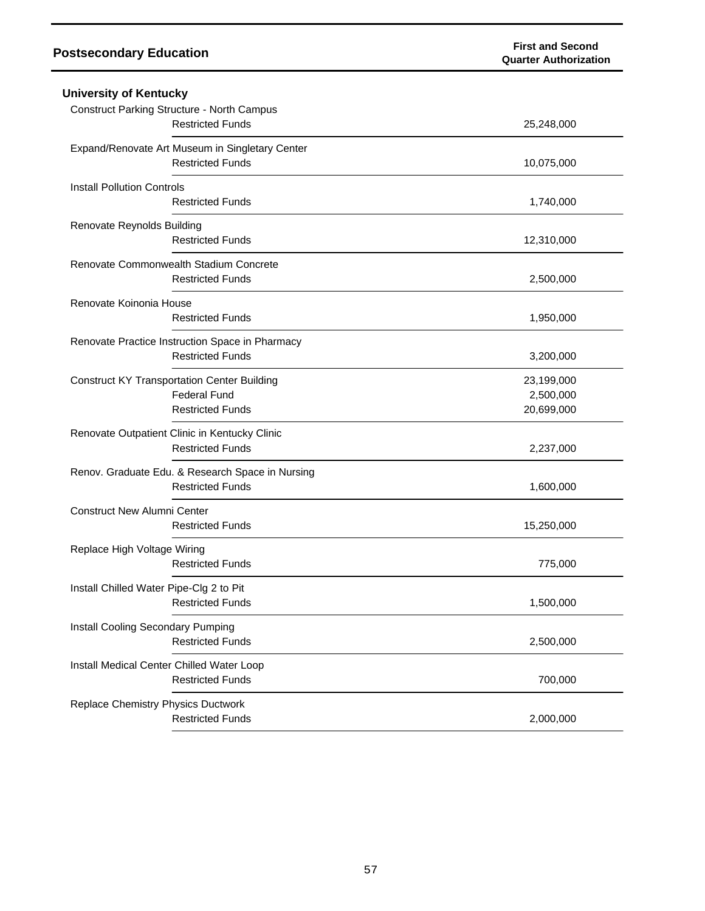| <b>University of Kentucky</b>                                                                        |                                       |
|------------------------------------------------------------------------------------------------------|---------------------------------------|
| <b>Construct Parking Structure - North Campus</b><br><b>Restricted Funds</b>                         | 25,248,000                            |
| Expand/Renovate Art Museum in Singletary Center<br><b>Restricted Funds</b>                           | 10,075,000                            |
| <b>Install Pollution Controls</b><br><b>Restricted Funds</b>                                         | 1,740,000                             |
| Renovate Reynolds Building<br><b>Restricted Funds</b>                                                | 12,310,000                            |
| Renovate Commonwealth Stadium Concrete<br><b>Restricted Funds</b>                                    | 2,500,000                             |
| Renovate Koinonia House<br><b>Restricted Funds</b>                                                   | 1,950,000                             |
| Renovate Practice Instruction Space in Pharmacy<br><b>Restricted Funds</b>                           | 3,200,000                             |
| <b>Construct KY Transportation Center Building</b><br><b>Federal Fund</b><br><b>Restricted Funds</b> | 23,199,000<br>2,500,000<br>20,699,000 |
| Renovate Outpatient Clinic in Kentucky Clinic<br><b>Restricted Funds</b>                             | 2,237,000                             |
| Renov. Graduate Edu. & Research Space in Nursing<br><b>Restricted Funds</b>                          | 1,600,000                             |
| <b>Construct New Alumni Center</b><br><b>Restricted Funds</b>                                        | 15,250,000                            |
| Replace High Voltage Wiring<br><b>Restricted Funds</b>                                               | 775,000                               |
| Install Chilled Water Pipe-Clg 2 to Pit<br><b>Restricted Funds</b>                                   | 1,500,000                             |
| Install Cooling Secondary Pumping<br><b>Restricted Funds</b>                                         | 2,500,000                             |
| Install Medical Center Chilled Water Loop<br><b>Restricted Funds</b>                                 | 700,000                               |
| <b>Replace Chemistry Physics Ductwork</b><br><b>Restricted Funds</b>                                 | 2,000,000                             |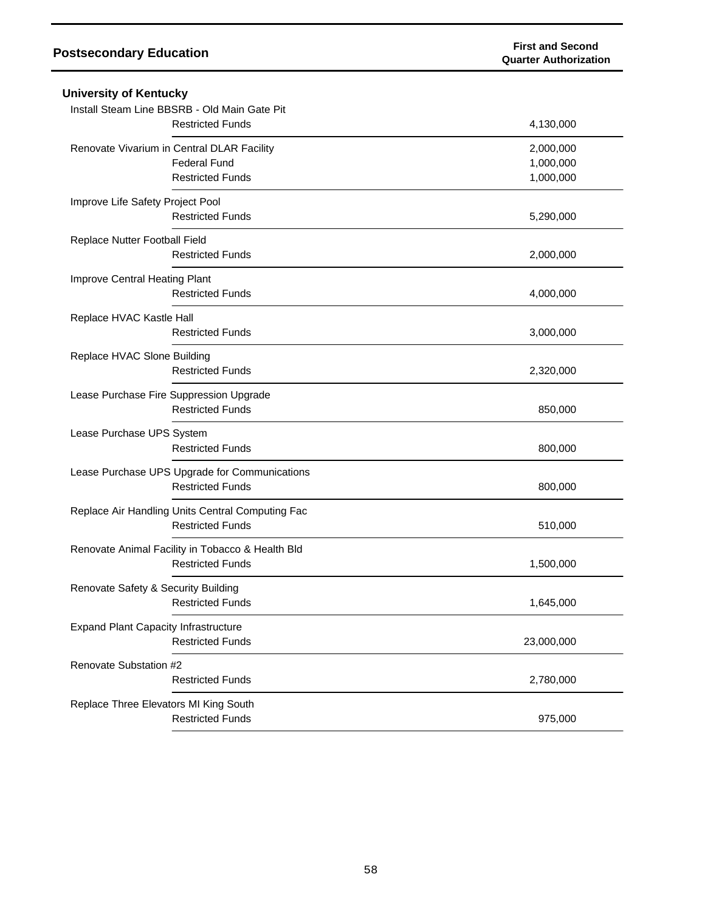| <b>University of Kentucky</b>                    |            |
|--------------------------------------------------|------------|
| Install Steam Line BBSRB - Old Main Gate Pit     |            |
| <b>Restricted Funds</b>                          | 4,130,000  |
| Renovate Vivarium in Central DLAR Facility       | 2,000,000  |
| <b>Federal Fund</b>                              | 1,000,000  |
| <b>Restricted Funds</b>                          | 1,000,000  |
| Improve Life Safety Project Pool                 |            |
| <b>Restricted Funds</b>                          | 5,290,000  |
| Replace Nutter Football Field                    |            |
| <b>Restricted Funds</b>                          | 2,000,000  |
| Improve Central Heating Plant                    |            |
| <b>Restricted Funds</b>                          | 4,000,000  |
| Replace HVAC Kastle Hall                         |            |
| <b>Restricted Funds</b>                          | 3,000,000  |
| Replace HVAC Slone Building                      |            |
| <b>Restricted Funds</b>                          | 2,320,000  |
| Lease Purchase Fire Suppression Upgrade          |            |
| <b>Restricted Funds</b>                          | 850,000    |
| Lease Purchase UPS System                        |            |
| <b>Restricted Funds</b>                          | 800,000    |
| Lease Purchase UPS Upgrade for Communications    |            |
| <b>Restricted Funds</b>                          | 800,000    |
| Replace Air Handling Units Central Computing Fac |            |
| <b>Restricted Funds</b>                          | 510,000    |
| Renovate Animal Facility in Tobacco & Health Bld |            |
| <b>Restricted Funds</b>                          | 1,500,000  |
| Renovate Safety & Security Building              |            |
| <b>Restricted Funds</b>                          | 1,645,000  |
| <b>Expand Plant Capacity Infrastructure</b>      |            |
| <b>Restricted Funds</b>                          | 23,000,000 |
| Renovate Substation #2                           |            |
| <b>Restricted Funds</b>                          | 2,780,000  |
| Replace Three Elevators MI King South            |            |
| <b>Restricted Funds</b>                          | 975,000    |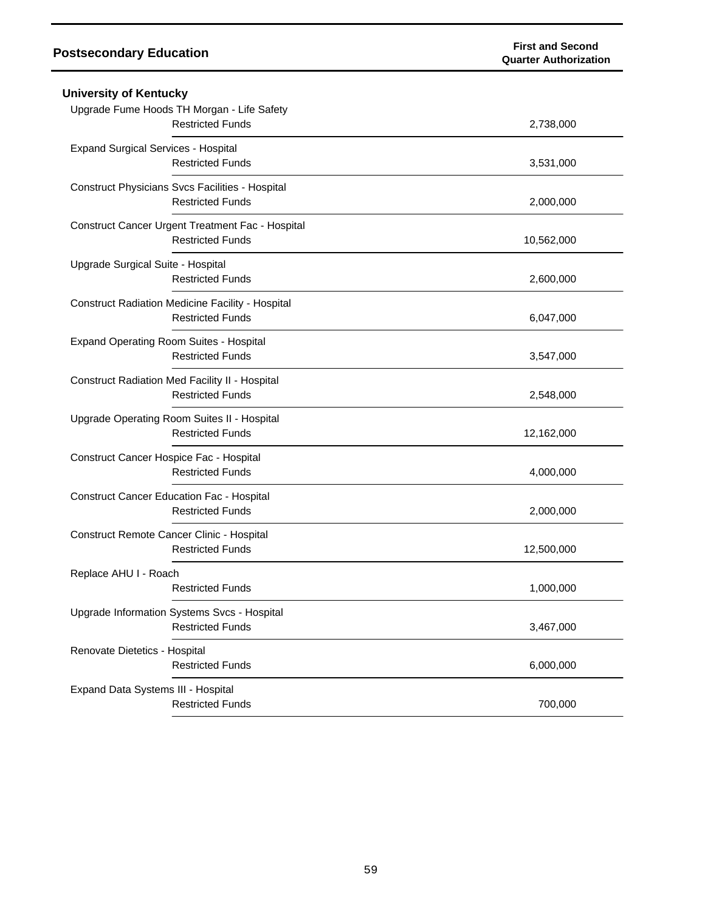| <b>Postsecondary Education</b>                                                     | <b>First and Second</b><br><b>Quarter Authorization</b> |
|------------------------------------------------------------------------------------|---------------------------------------------------------|
| <b>University of Kentucky</b>                                                      |                                                         |
| Upgrade Fume Hoods TH Morgan - Life Safety<br><b>Restricted Funds</b>              | 2,738,000                                               |
| <b>Expand Surgical Services - Hospital</b><br><b>Restricted Funds</b>              | 3,531,000                                               |
| Construct Physicians Svcs Facilities - Hospital<br><b>Restricted Funds</b>         | 2,000,000                                               |
| Construct Cancer Urgent Treatment Fac - Hospital<br><b>Restricted Funds</b>        | 10,562,000                                              |
| Upgrade Surgical Suite - Hospital<br><b>Restricted Funds</b>                       | 2,600,000                                               |
| <b>Construct Radiation Medicine Facility - Hospital</b><br><b>Restricted Funds</b> | 6,047,000                                               |
| <b>Expand Operating Room Suites - Hospital</b><br><b>Restricted Funds</b>          | 3,547,000                                               |
| Construct Radiation Med Facility II - Hospital<br><b>Restricted Funds</b>          | 2,548,000                                               |
| Upgrade Operating Room Suites II - Hospital<br><b>Restricted Funds</b>             | 12,162,000                                              |
| Construct Cancer Hospice Fac - Hospital<br><b>Restricted Funds</b>                 | 4,000,000                                               |
| Construct Cancer Education Fac - Hospital<br><b>Restricted Funds</b>               | 2,000,000                                               |
| Construct Remote Cancer Clinic - Hospital<br><b>Restricted Funds</b>               | 12,500,000                                              |
| Replace AHU I - Roach<br><b>Restricted Funds</b>                                   | 1,000,000                                               |
| Upgrade Information Systems Svcs - Hospital<br><b>Restricted Funds</b>             | 3,467,000                                               |
| Renovate Dietetics - Hospital<br><b>Restricted Funds</b>                           | 6,000,000                                               |
| Expand Data Systems III - Hospital<br><b>Restricted Funds</b>                      | 700,000                                                 |
|                                                                                    |                                                         |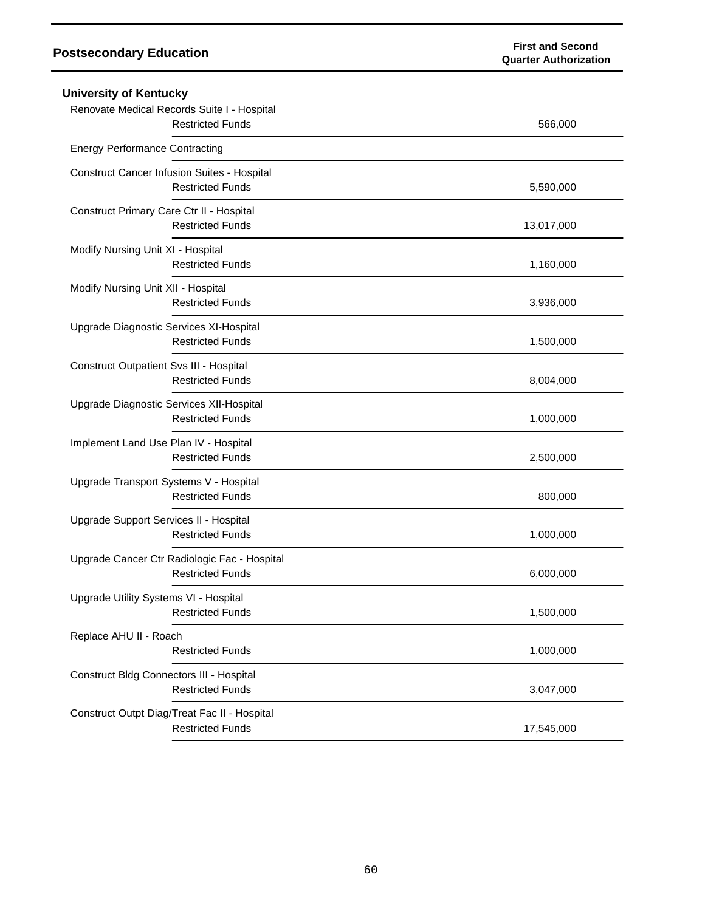| <b>University of Kentucky</b>                                           |            |
|-------------------------------------------------------------------------|------------|
| Renovate Medical Records Suite I - Hospital<br><b>Restricted Funds</b>  | 566,000    |
| <b>Energy Performance Contracting</b>                                   |            |
| Construct Cancer Infusion Suites - Hospital<br><b>Restricted Funds</b>  | 5,590,000  |
| Construct Primary Care Ctr II - Hospital<br><b>Restricted Funds</b>     | 13,017,000 |
| Modify Nursing Unit XI - Hospital<br><b>Restricted Funds</b>            | 1,160,000  |
| Modify Nursing Unit XII - Hospital<br><b>Restricted Funds</b>           | 3,936,000  |
| Upgrade Diagnostic Services XI-Hospital<br><b>Restricted Funds</b>      | 1,500,000  |
| Construct Outpatient Svs III - Hospital<br><b>Restricted Funds</b>      | 8,004,000  |
| Upgrade Diagnostic Services XII-Hospital<br><b>Restricted Funds</b>     | 1,000,000  |
| Implement Land Use Plan IV - Hospital<br><b>Restricted Funds</b>        | 2,500,000  |
| Upgrade Transport Systems V - Hospital<br><b>Restricted Funds</b>       | 800,000    |
| Upgrade Support Services II - Hospital<br><b>Restricted Funds</b>       | 1,000,000  |
| Upgrade Cancer Ctr Radiologic Fac - Hospital<br><b>Restricted Funds</b> | 6,000,000  |
| Upgrade Utility Systems VI - Hospital<br><b>Restricted Funds</b>        | 1,500,000  |
| Replace AHU II - Roach<br><b>Restricted Funds</b>                       | 1,000,000  |
| Construct Bldg Connectors III - Hospital<br><b>Restricted Funds</b>     | 3,047,000  |
| Construct Outpt Diag/Treat Fac II - Hospital<br><b>Restricted Funds</b> | 17,545,000 |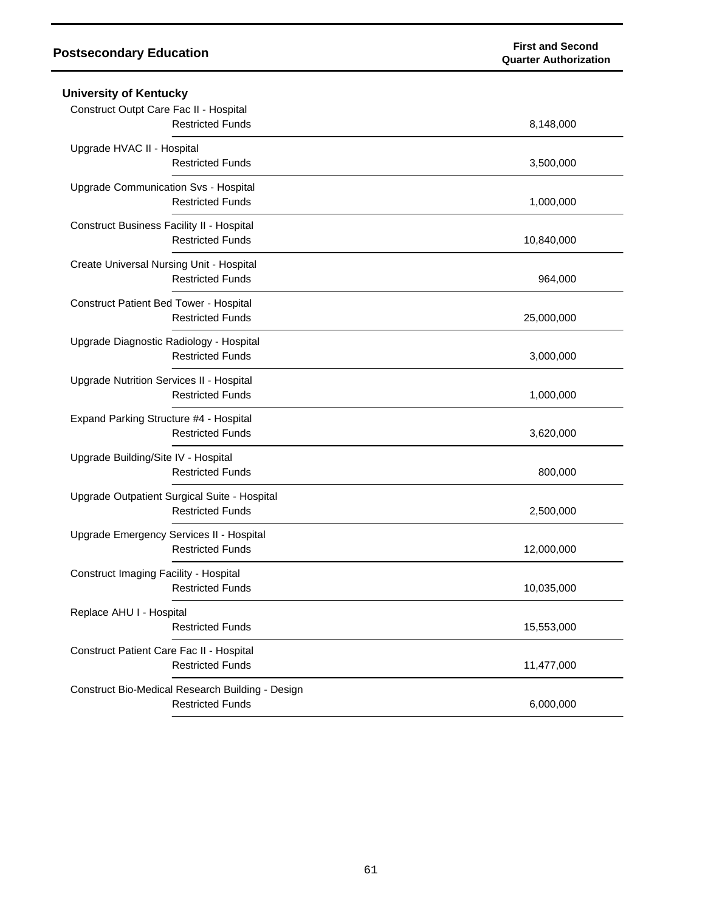| <b>University of Kentucky</b>                    |            |  |  |
|--------------------------------------------------|------------|--|--|
| Construct Outpt Care Fac II - Hospital           |            |  |  |
| <b>Restricted Funds</b>                          | 8,148,000  |  |  |
| Upgrade HVAC II - Hospital                       |            |  |  |
| <b>Restricted Funds</b>                          | 3,500,000  |  |  |
| Upgrade Communication Svs - Hospital             |            |  |  |
| <b>Restricted Funds</b>                          | 1,000,000  |  |  |
| Construct Business Facility II - Hospital        |            |  |  |
| <b>Restricted Funds</b>                          | 10,840,000 |  |  |
| Create Universal Nursing Unit - Hospital         |            |  |  |
| <b>Restricted Funds</b>                          | 964,000    |  |  |
| Construct Patient Bed Tower - Hospital           |            |  |  |
| <b>Restricted Funds</b>                          | 25,000,000 |  |  |
| Upgrade Diagnostic Radiology - Hospital          |            |  |  |
| <b>Restricted Funds</b>                          | 3,000,000  |  |  |
| Upgrade Nutrition Services II - Hospital         |            |  |  |
| <b>Restricted Funds</b>                          | 1,000,000  |  |  |
| Expand Parking Structure #4 - Hospital           |            |  |  |
| <b>Restricted Funds</b>                          | 3,620,000  |  |  |
| Upgrade Building/Site IV - Hospital              |            |  |  |
| <b>Restricted Funds</b>                          | 800,000    |  |  |
| Upgrade Outpatient Surgical Suite - Hospital     |            |  |  |
| <b>Restricted Funds</b>                          | 2,500,000  |  |  |
| Upgrade Emergency Services II - Hospital         |            |  |  |
| <b>Restricted Funds</b>                          | 12,000,000 |  |  |
| Construct Imaging Facility - Hospital            |            |  |  |
| <b>Restricted Funds</b>                          | 10,035,000 |  |  |
| Replace AHU I - Hospital                         |            |  |  |
| <b>Restricted Funds</b>                          | 15,553,000 |  |  |
| Construct Patient Care Fac II - Hospital         |            |  |  |
| <b>Restricted Funds</b>                          | 11,477,000 |  |  |
| Construct Bio-Medical Research Building - Design |            |  |  |
| <b>Restricted Funds</b>                          | 6,000,000  |  |  |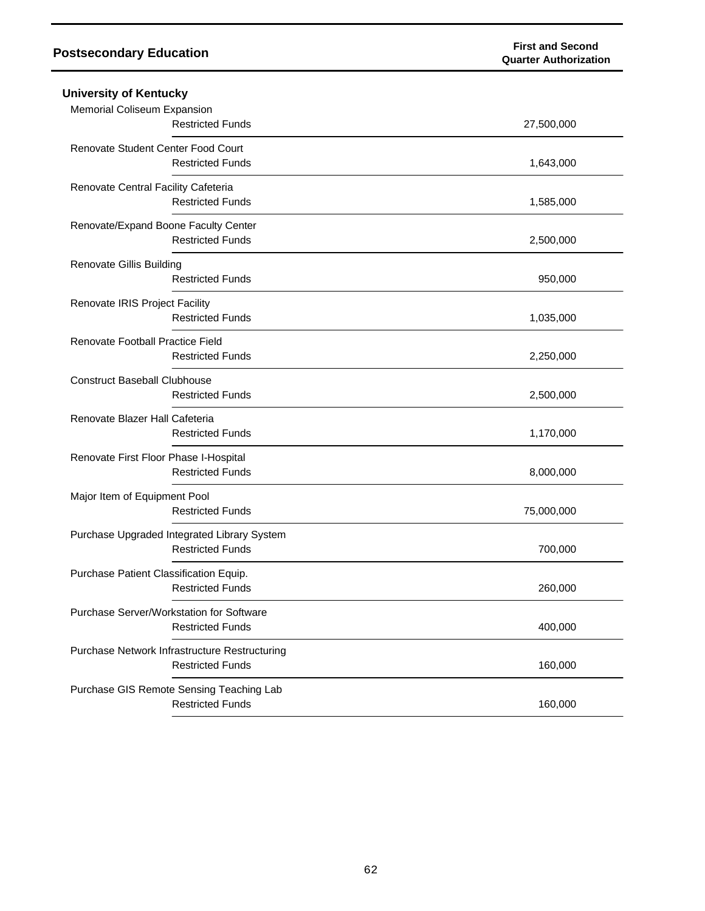| <b>University of Kentucky</b>                                            |            |
|--------------------------------------------------------------------------|------------|
| Memorial Coliseum Expansion<br><b>Restricted Funds</b>                   | 27,500,000 |
| Renovate Student Center Food Court<br><b>Restricted Funds</b>            | 1,643,000  |
| Renovate Central Facility Cafeteria<br><b>Restricted Funds</b>           | 1,585,000  |
| Renovate/Expand Boone Faculty Center<br><b>Restricted Funds</b>          | 2,500,000  |
| <b>Renovate Gillis Building</b><br><b>Restricted Funds</b>               | 950,000    |
| Renovate IRIS Project Facility<br><b>Restricted Funds</b>                | 1,035,000  |
| Renovate Football Practice Field<br><b>Restricted Funds</b>              | 2,250,000  |
| <b>Construct Baseball Clubhouse</b><br><b>Restricted Funds</b>           | 2,500,000  |
| Renovate Blazer Hall Cafeteria<br><b>Restricted Funds</b>                | 1,170,000  |
| Renovate First Floor Phase I-Hospital<br><b>Restricted Funds</b>         | 8,000,000  |
| Major Item of Equipment Pool<br><b>Restricted Funds</b>                  | 75,000,000 |
| Purchase Upgraded Integrated Library System<br><b>Restricted Funds</b>   | 700,000    |
| Purchase Patient Classification Equip.<br><b>Restricted Funds</b>        | 260,000    |
| Purchase Server/Workstation for Software<br><b>Restricted Funds</b>      | 400,000    |
| Purchase Network Infrastructure Restructuring<br><b>Restricted Funds</b> | 160,000    |
| Purchase GIS Remote Sensing Teaching Lab<br><b>Restricted Funds</b>      | 160,000    |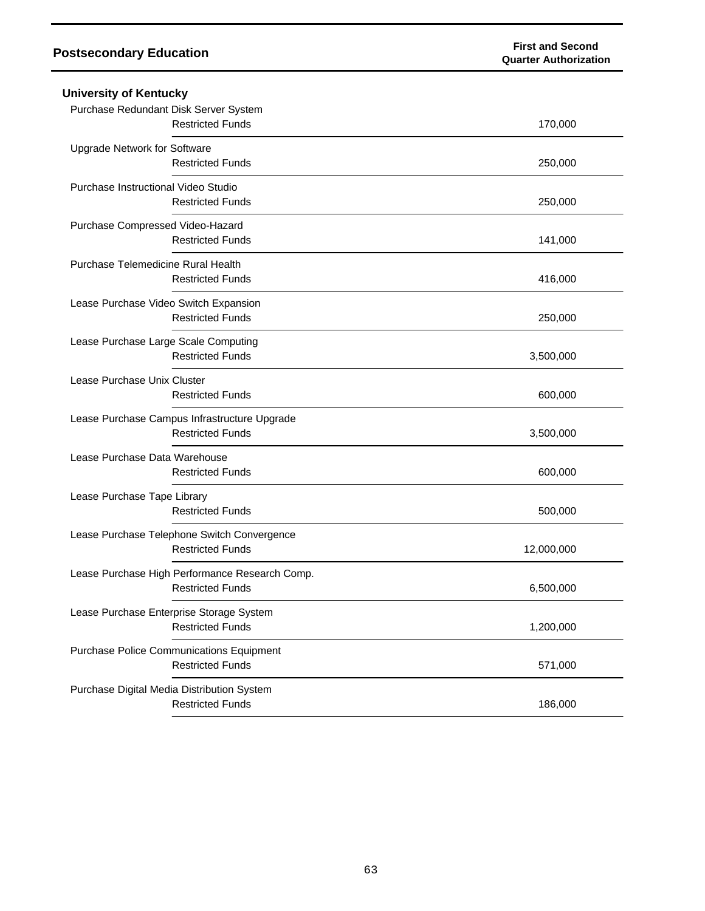| <b>University of Kentucky</b>              |                                                                            |            |
|--------------------------------------------|----------------------------------------------------------------------------|------------|
| Purchase Redundant Disk Server System      | <b>Restricted Funds</b>                                                    | 170,000    |
| Upgrade Network for Software               | <b>Restricted Funds</b>                                                    | 250,000    |
| Purchase Instructional Video Studio        | <b>Restricted Funds</b>                                                    | 250,000    |
| Purchase Compressed Video-Hazard           | <b>Restricted Funds</b>                                                    | 141,000    |
| Purchase Telemedicine Rural Health         | <b>Restricted Funds</b>                                                    | 416,000    |
| Lease Purchase Video Switch Expansion      | <b>Restricted Funds</b>                                                    | 250,000    |
| Lease Purchase Large Scale Computing       | <b>Restricted Funds</b>                                                    | 3,500,000  |
| Lease Purchase Unix Cluster                | <b>Restricted Funds</b>                                                    | 600,000    |
|                                            | Lease Purchase Campus Infrastructure Upgrade<br><b>Restricted Funds</b>    | 3,500,000  |
| Lease Purchase Data Warehouse              | <b>Restricted Funds</b>                                                    | 600,000    |
| Lease Purchase Tape Library                | <b>Restricted Funds</b>                                                    | 500,000    |
|                                            | Lease Purchase Telephone Switch Convergence<br><b>Restricted Funds</b>     | 12,000,000 |
|                                            | Lease Purchase High Performance Research Comp.<br><b>Restricted Funds</b>  | 6,500,000  |
| Lease Purchase Enterprise Storage System   | <b>Restricted Funds</b>                                                    | 1,200,000  |
|                                            | <b>Purchase Police Communications Equipment</b><br><b>Restricted Funds</b> | 571,000    |
| Purchase Digital Media Distribution System | <b>Restricted Funds</b>                                                    | 186,000    |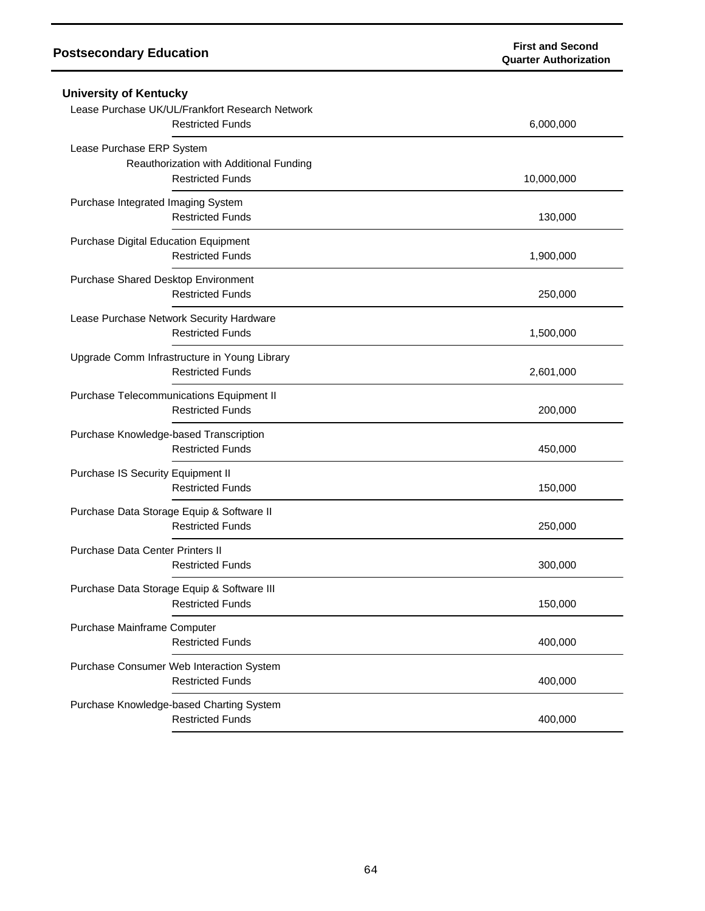| <b>University of Kentucky</b>                                              |            |
|----------------------------------------------------------------------------|------------|
| Lease Purchase UK/UL/Frankfort Research Network<br><b>Restricted Funds</b> | 6,000,000  |
| Lease Purchase ERP System                                                  |            |
| Reauthorization with Additional Funding                                    |            |
| <b>Restricted Funds</b>                                                    | 10,000,000 |
| Purchase Integrated Imaging System                                         |            |
| <b>Restricted Funds</b>                                                    | 130,000    |
| Purchase Digital Education Equipment                                       |            |
| <b>Restricted Funds</b>                                                    | 1,900,000  |
| Purchase Shared Desktop Environment                                        |            |
| <b>Restricted Funds</b>                                                    | 250,000    |
| Lease Purchase Network Security Hardware                                   |            |
| <b>Restricted Funds</b>                                                    | 1,500,000  |
| Upgrade Comm Infrastructure in Young Library                               |            |
| <b>Restricted Funds</b>                                                    | 2,601,000  |
| Purchase Telecommunications Equipment II                                   |            |
| <b>Restricted Funds</b>                                                    | 200,000    |
| Purchase Knowledge-based Transcription                                     |            |
| <b>Restricted Funds</b>                                                    | 450,000    |
| Purchase IS Security Equipment II                                          |            |
| <b>Restricted Funds</b>                                                    | 150,000    |
| Purchase Data Storage Equip & Software II                                  |            |
| <b>Restricted Funds</b>                                                    | 250,000    |
| <b>Purchase Data Center Printers II</b>                                    |            |
| <b>Restricted Funds</b>                                                    | 300,000    |
| Purchase Data Storage Equip & Software III                                 |            |
| <b>Restricted Funds</b>                                                    | 150,000    |
| Purchase Mainframe Computer                                                |            |
| <b>Restricted Funds</b>                                                    | 400,000    |
| Purchase Consumer Web Interaction System                                   |            |
| <b>Restricted Funds</b>                                                    | 400,000    |
| Purchase Knowledge-based Charting System                                   |            |
| <b>Restricted Funds</b>                                                    | 400,000    |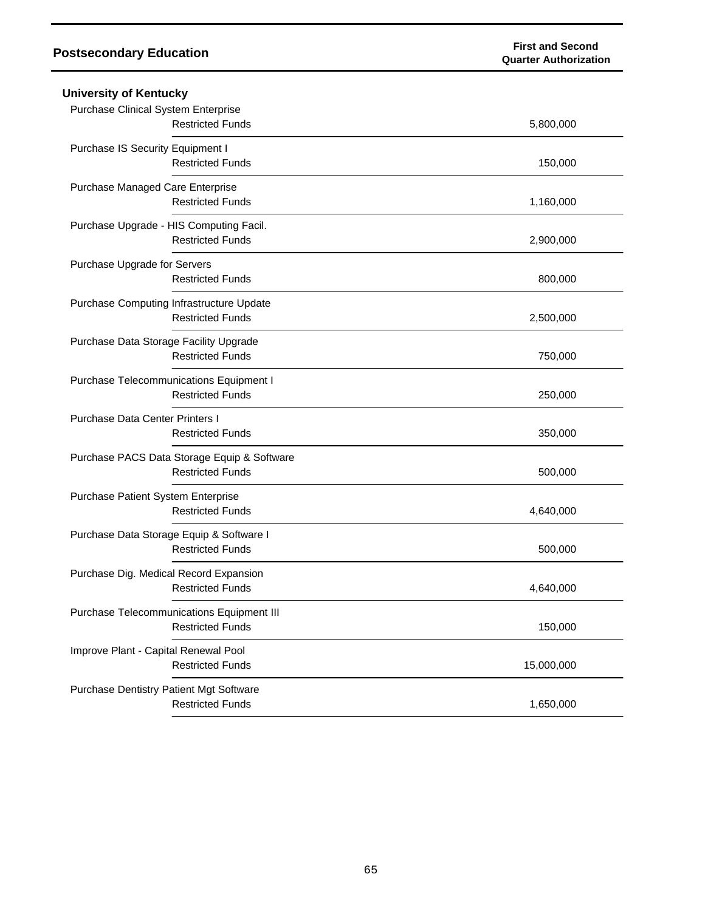| <b>University of Kentucky</b>                  |            |  |
|------------------------------------------------|------------|--|
| <b>Purchase Clinical System Enterprise</b>     |            |  |
| <b>Restricted Funds</b>                        | 5,800,000  |  |
| Purchase IS Security Equipment I               |            |  |
| <b>Restricted Funds</b>                        | 150,000    |  |
| Purchase Managed Care Enterprise               |            |  |
| <b>Restricted Funds</b>                        | 1,160,000  |  |
| Purchase Upgrade - HIS Computing Facil.        |            |  |
| <b>Restricted Funds</b>                        | 2,900,000  |  |
| Purchase Upgrade for Servers                   |            |  |
| <b>Restricted Funds</b>                        | 800,000    |  |
| Purchase Computing Infrastructure Update       |            |  |
| <b>Restricted Funds</b>                        | 2,500,000  |  |
| Purchase Data Storage Facility Upgrade         |            |  |
| <b>Restricted Funds</b>                        | 750,000    |  |
| <b>Purchase Telecommunications Equipment I</b> |            |  |
| <b>Restricted Funds</b>                        | 250,000    |  |
| <b>Purchase Data Center Printers I</b>         |            |  |
| <b>Restricted Funds</b>                        | 350,000    |  |
| Purchase PACS Data Storage Equip & Software    |            |  |
| <b>Restricted Funds</b>                        | 500,000    |  |
| Purchase Patient System Enterprise             |            |  |
| <b>Restricted Funds</b>                        | 4,640,000  |  |
| Purchase Data Storage Equip & Software I       |            |  |
| <b>Restricted Funds</b>                        | 500,000    |  |
| Purchase Dig. Medical Record Expansion         |            |  |
| <b>Restricted Funds</b>                        | 4,640,000  |  |
| Purchase Telecommunications Equipment III      |            |  |
| <b>Restricted Funds</b>                        | 150,000    |  |
| Improve Plant - Capital Renewal Pool           |            |  |
| <b>Restricted Funds</b>                        | 15,000,000 |  |
| <b>Purchase Dentistry Patient Mgt Software</b> |            |  |
| <b>Restricted Funds</b>                        | 1,650,000  |  |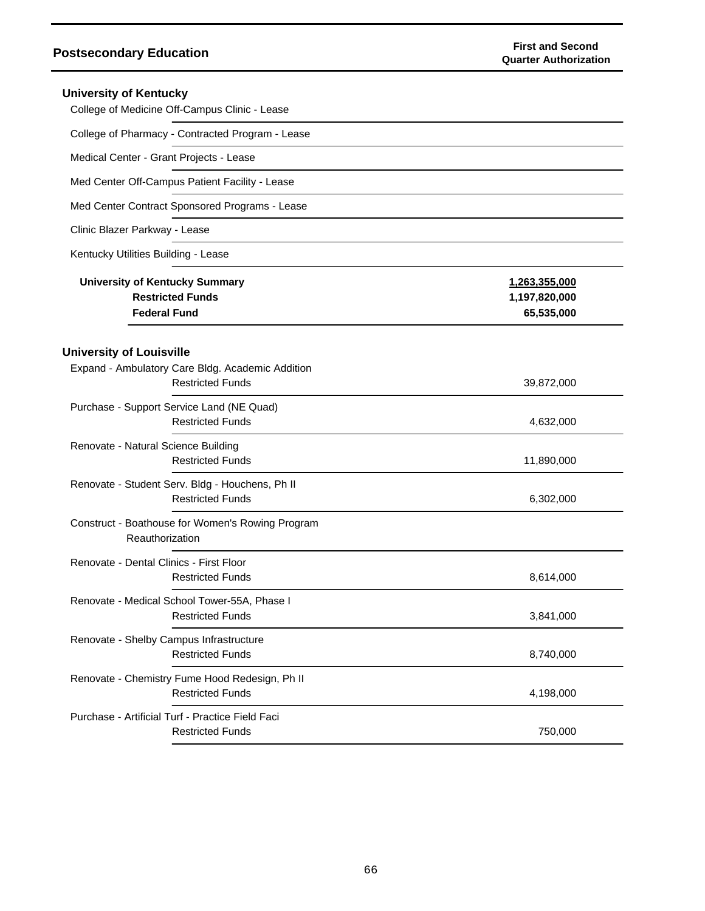| <b>University of Kentucky</b><br>College of Medicine Off-Campus Clinic - Lease                                 |                                              |
|----------------------------------------------------------------------------------------------------------------|----------------------------------------------|
| College of Pharmacy - Contracted Program - Lease                                                               |                                              |
| Medical Center - Grant Projects - Lease                                                                        |                                              |
| Med Center Off-Campus Patient Facility - Lease                                                                 |                                              |
| Med Center Contract Sponsored Programs - Lease                                                                 |                                              |
| Clinic Blazer Parkway - Lease                                                                                  |                                              |
| Kentucky Utilities Building - Lease                                                                            |                                              |
| University of Kentucky Summary<br><b>Restricted Funds</b><br><b>Federal Fund</b>                               | 1,263,355,000<br>1,197,820,000<br>65,535,000 |
| <b>University of Louisville</b><br>Expand - Ambulatory Care Bldg. Academic Addition<br><b>Restricted Funds</b> | 39,872,000                                   |
| Purchase - Support Service Land (NE Quad)<br><b>Restricted Funds</b>                                           | 4,632,000                                    |
| Renovate - Natural Science Building<br><b>Restricted Funds</b>                                                 | 11,890,000                                   |
| Renovate - Student Serv. Bldg - Houchens, Ph II<br><b>Restricted Funds</b>                                     | 6,302,000                                    |
| Construct - Boathouse for Women's Rowing Program<br>Reauthorization                                            |                                              |
| Renovate - Dental Clinics - First Floor<br><b>Restricted Funds</b>                                             | 8,614,000                                    |
| Renovate - Medical School Tower-55A, Phase I<br><b>Restricted Funds</b>                                        | 3,841,000                                    |
| Renovate - Shelby Campus Infrastructure<br><b>Restricted Funds</b>                                             | 8,740,000                                    |
| Renovate - Chemistry Fume Hood Redesign, Ph II<br><b>Restricted Funds</b>                                      | 4,198,000                                    |
| Purchase - Artificial Turf - Practice Field Faci<br><b>Restricted Funds</b>                                    | 750,000                                      |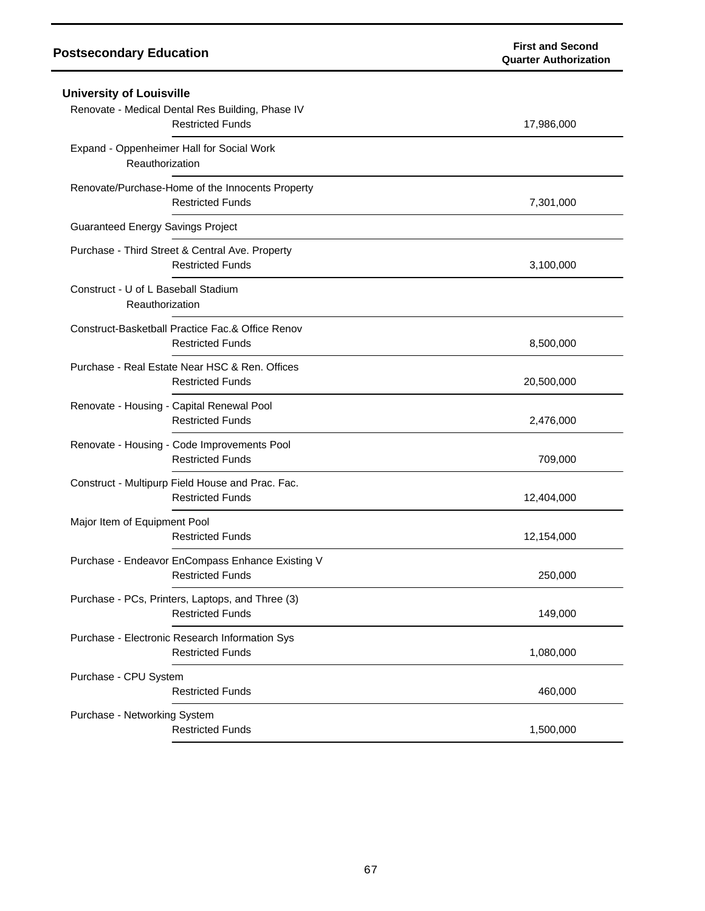| University of Louisville                               |                                                                             |            |
|--------------------------------------------------------|-----------------------------------------------------------------------------|------------|
|                                                        | Renovate - Medical Dental Res Building, Phase IV<br><b>Restricted Funds</b> | 17,986,000 |
| Reauthorization                                        | Expand - Oppenheimer Hall for Social Work                                   |            |
|                                                        | Renovate/Purchase-Home of the Innocents Property<br><b>Restricted Funds</b> | 7,301,000  |
| <b>Guaranteed Energy Savings Project</b>               |                                                                             |            |
|                                                        | Purchase - Third Street & Central Ave. Property<br><b>Restricted Funds</b>  | 3,100,000  |
| Construct - U of L Baseball Stadium<br>Reauthorization |                                                                             |            |
|                                                        | Construct-Basketball Practice Fac.& Office Renov<br><b>Restricted Funds</b> | 8,500,000  |
|                                                        | Purchase - Real Estate Near HSC & Ren. Offices<br><b>Restricted Funds</b>   | 20,500,000 |
|                                                        | Renovate - Housing - Capital Renewal Pool<br><b>Restricted Funds</b>        | 2,476,000  |
|                                                        | Renovate - Housing - Code Improvements Pool<br><b>Restricted Funds</b>      | 709,000    |
|                                                        | Construct - Multipurp Field House and Prac. Fac.<br><b>Restricted Funds</b> | 12,404,000 |
| Major Item of Equipment Pool                           | <b>Restricted Funds</b>                                                     | 12,154,000 |
|                                                        | Purchase - Endeavor EnCompass Enhance Existing V<br><b>Restricted Funds</b> | 250,000    |
|                                                        | Purchase - PCs, Printers, Laptops, and Three (3)<br><b>Restricted Funds</b> | 149,000    |
|                                                        | Purchase - Electronic Research Information Sys<br><b>Restricted Funds</b>   | 1,080,000  |
| Purchase - CPU System                                  | <b>Restricted Funds</b>                                                     | 460,000    |
| Purchase - Networking System                           | <b>Restricted Funds</b>                                                     | 1,500,000  |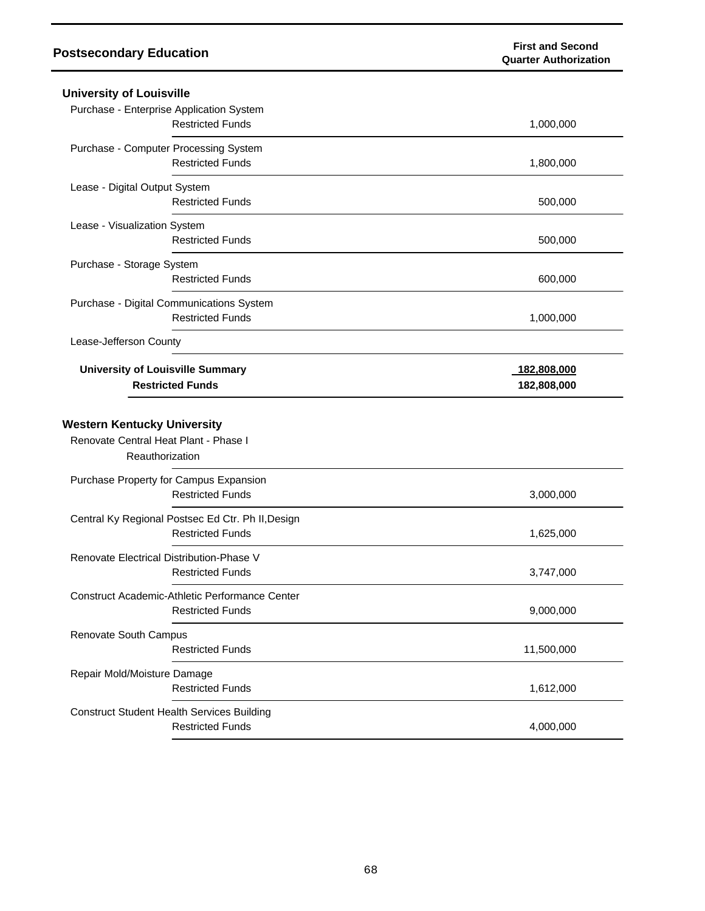| <b>University of Louisville</b>                                              |             |
|------------------------------------------------------------------------------|-------------|
| Purchase - Enterprise Application System                                     |             |
| <b>Restricted Funds</b>                                                      | 1,000,000   |
| Purchase - Computer Processing System                                        |             |
| <b>Restricted Funds</b>                                                      | 1,800,000   |
| Lease - Digital Output System                                                |             |
| <b>Restricted Funds</b>                                                      | 500,000     |
| Lease - Visualization System                                                 |             |
| <b>Restricted Funds</b>                                                      | 500,000     |
| Purchase - Storage System                                                    |             |
| <b>Restricted Funds</b>                                                      | 600,000     |
| Purchase - Digital Communications System                                     |             |
| <b>Restricted Funds</b>                                                      | 1,000,000   |
| Lease-Jefferson County                                                       |             |
| <b>University of Louisville Summary</b>                                      | 182,808,000 |
| <b>Restricted Funds</b>                                                      | 182,808,000 |
| <b>Western Kentucky University</b>                                           |             |
| Renovate Central Heat Plant - Phase I<br>Reauthorization                     |             |
| Purchase Property for Campus Expansion                                       |             |
| <b>Restricted Funds</b>                                                      | 3,000,000   |
| Central Ky Regional Postsec Ed Ctr. Ph II, Design                            |             |
| <b>Restricted Funds</b>                                                      | 1,625,000   |
| Renovate Electrical Distribution-Phase V                                     |             |
| <b>Restricted Funds</b>                                                      | 3,747,000   |
| Construct Academic-Athletic Performance Center                               |             |
| <b>Restricted Funds</b>                                                      | 9,000,000   |
| Renovate South Campus                                                        |             |
| <b>Restricted Funds</b>                                                      | 11,500,000  |
| Repair Mold/Moisture Damage                                                  |             |
| <b>Restricted Funds</b>                                                      | 1,612,000   |
| <b>Construct Student Health Services Building</b><br><b>Restricted Funds</b> |             |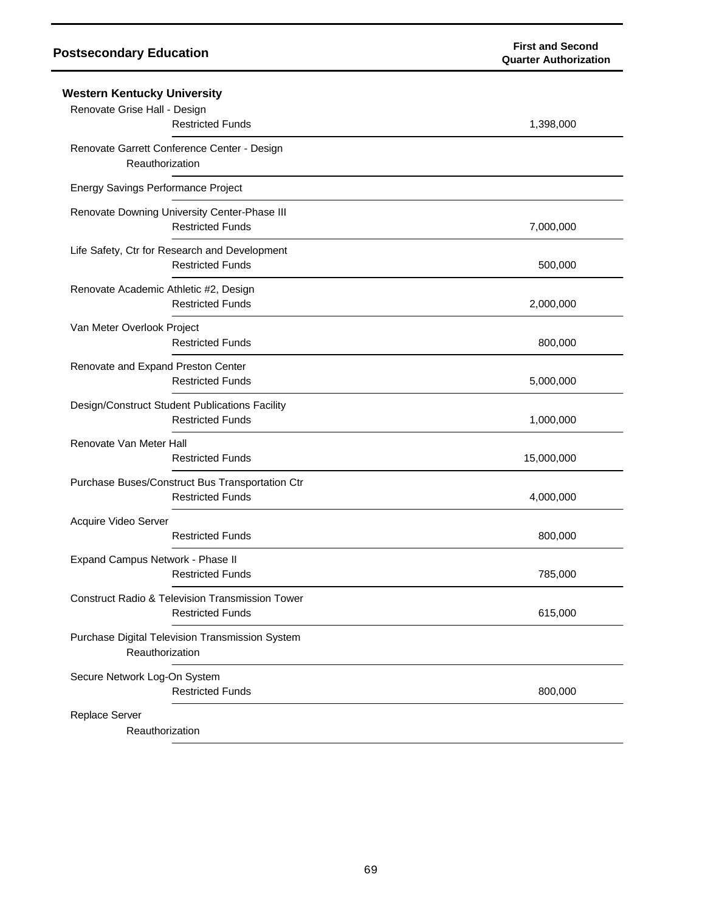| Western Kentucky University                                |            |
|------------------------------------------------------------|------------|
| Renovate Grise Hall - Design                               |            |
| <b>Restricted Funds</b>                                    | 1,398,000  |
| Renovate Garrett Conference Center - Design                |            |
| Reauthorization                                            |            |
| Energy Savings Performance Project                         |            |
| Renovate Downing University Center-Phase III               |            |
| <b>Restricted Funds</b>                                    | 7,000,000  |
| Life Safety, Ctr for Research and Development              |            |
| <b>Restricted Funds</b>                                    | 500,000    |
| Renovate Academic Athletic #2, Design                      |            |
| <b>Restricted Funds</b>                                    | 2,000,000  |
| Van Meter Overlook Project                                 |            |
| <b>Restricted Funds</b>                                    | 800,000    |
| Renovate and Expand Preston Center                         |            |
| <b>Restricted Funds</b>                                    | 5,000,000  |
| Design/Construct Student Publications Facility             |            |
| <b>Restricted Funds</b>                                    | 1,000,000  |
| Renovate Van Meter Hall                                    |            |
| <b>Restricted Funds</b>                                    | 15,000,000 |
| Purchase Buses/Construct Bus Transportation Ctr            |            |
| <b>Restricted Funds</b>                                    | 4,000,000  |
| Acquire Video Server                                       |            |
| <b>Restricted Funds</b>                                    | 800,000    |
| Expand Campus Network - Phase II                           |            |
| <b>Restricted Funds</b>                                    | 785,000    |
| <b>Construct Radio &amp; Television Transmission Tower</b> |            |
| <b>Restricted Funds</b>                                    | 615,000    |
| Purchase Digital Television Transmission System            |            |
| Reauthorization                                            |            |
| Secure Network Log-On System                               |            |
| <b>Restricted Funds</b>                                    | 800,000    |
| Replace Server                                             |            |
| Reauthorization                                            |            |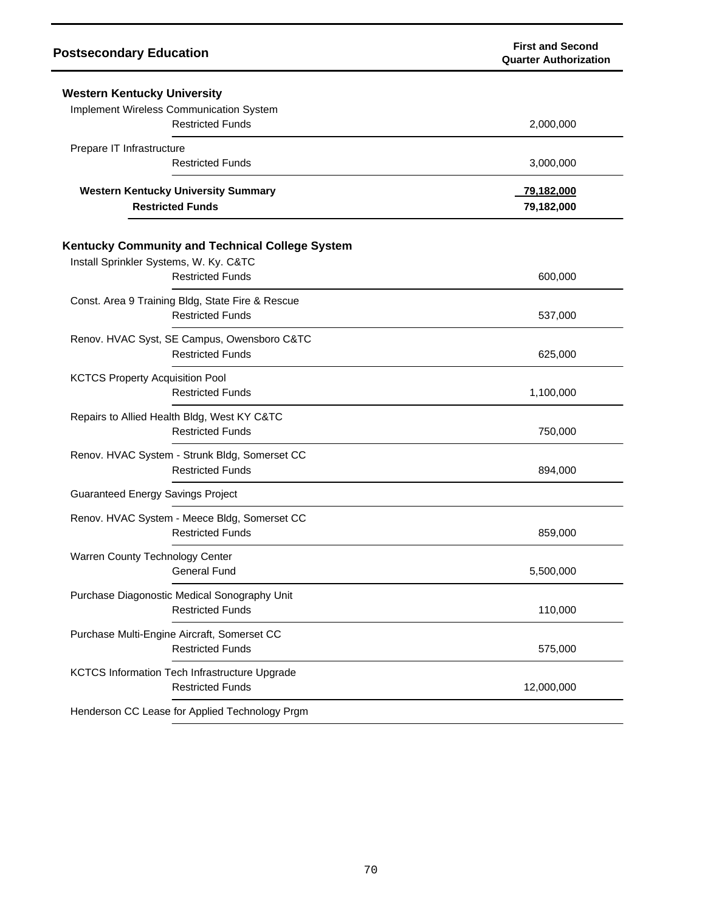| <b>Postsecondary Education</b>                                              | <b>First and Second</b><br><b>Quarter Authorization</b> |
|-----------------------------------------------------------------------------|---------------------------------------------------------|
| <b>Western Kentucky University</b>                                          |                                                         |
| Implement Wireless Communication System<br><b>Restricted Funds</b>          | 2,000,000                                               |
| Prepare IT Infrastructure<br><b>Restricted Funds</b>                        | 3,000,000                                               |
| <b>Western Kentucky University Summary</b><br><b>Restricted Funds</b>       | 79,182,000<br>79,182,000                                |
| <b>Kentucky Community and Technical College System</b>                      |                                                         |
| Install Sprinkler Systems, W. Ky. C&TC<br><b>Restricted Funds</b>           | 600,000                                                 |
| Const. Area 9 Training Bldg, State Fire & Rescue<br><b>Restricted Funds</b> | 537,000                                                 |
| Renov. HVAC Syst, SE Campus, Owensboro C&TC<br><b>Restricted Funds</b>      | 625,000                                                 |
| <b>KCTCS Property Acquisition Pool</b><br><b>Restricted Funds</b>           | 1,100,000                                               |
| Repairs to Allied Health Bldg, West KY C&TC<br><b>Restricted Funds</b>      | 750,000                                                 |
| Renov. HVAC System - Strunk Bldg, Somerset CC<br><b>Restricted Funds</b>    | 894,000                                                 |
| <b>Guaranteed Energy Savings Project</b>                                    |                                                         |
| Renov. HVAC System - Meece Bldg, Somerset CC<br><b>Restricted Funds</b>     | 859,000                                                 |
| Warren County Technology Center<br><b>General Fund</b>                      | 5,500,000                                               |
| Purchase Diagonostic Medical Sonography Unit<br><b>Restricted Funds</b>     | 110,000                                                 |
| Purchase Multi-Engine Aircraft, Somerset CC<br><b>Restricted Funds</b>      | 575,000                                                 |
| KCTCS Information Tech Infrastructure Upgrade<br><b>Restricted Funds</b>    | 12,000,000                                              |
| Henderson CC Lease for Applied Technology Prgm                              |                                                         |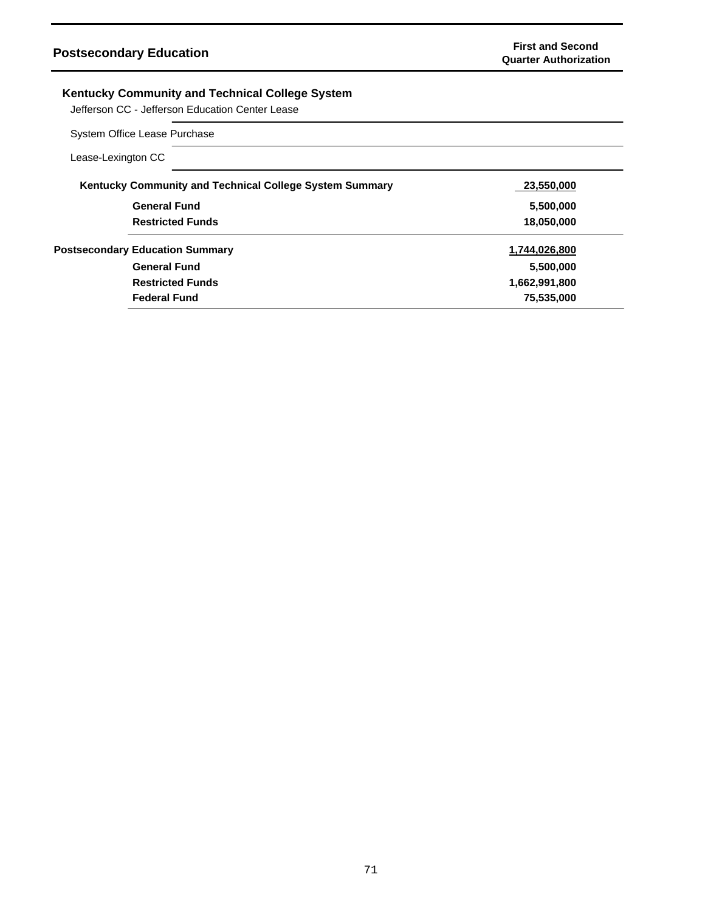## **Kentucky Community and Technical College System**

Jefferson CC - Jefferson Education Center Lease

## System Office Lease Purchase

| Lease-Lexington CC |                                                         |               |
|--------------------|---------------------------------------------------------|---------------|
|                    | Kentucky Community and Technical College System Summary | 23,550,000    |
|                    | <b>General Fund</b>                                     | 5,500,000     |
|                    | <b>Restricted Funds</b>                                 | 18,050,000    |
|                    | <b>Postsecondary Education Summary</b>                  | 1,744,026,800 |
|                    | <b>General Fund</b>                                     | 5,500,000     |
|                    | <b>Restricted Funds</b>                                 | 1,662,991,800 |
|                    | <b>Federal Fund</b>                                     | 75,535,000    |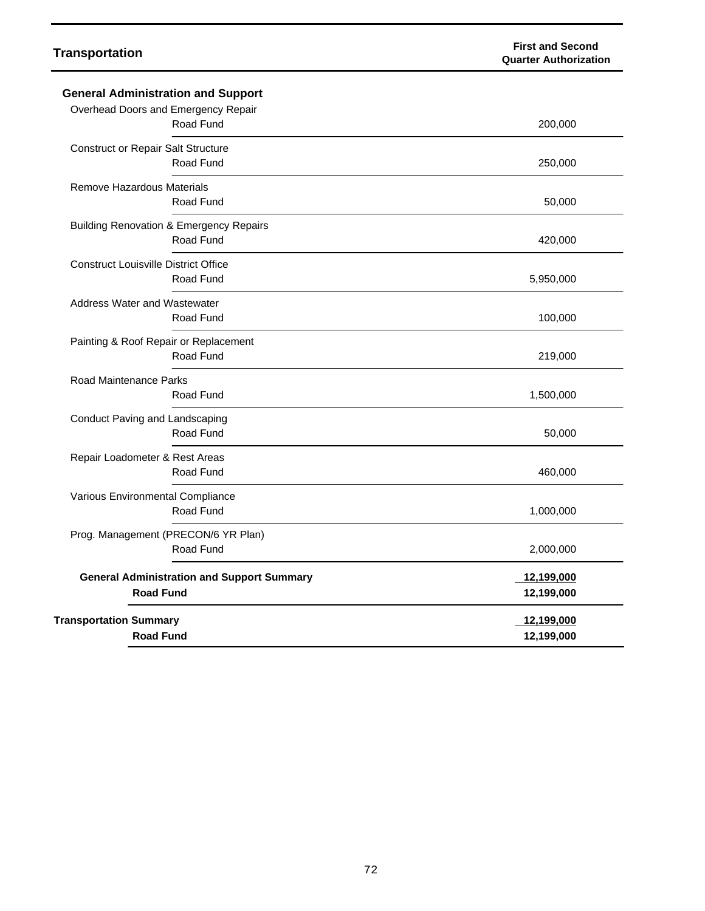### **Transportation First and Second Quarter Authorization**

| <b>General Administration and Support</b>                             |                          |
|-----------------------------------------------------------------------|--------------------------|
| Overhead Doors and Emergency Repair<br>Road Fund                      | 200,000                  |
|                                                                       |                          |
| <b>Construct or Repair Salt Structure</b><br>Road Fund                | 250,000                  |
| Remove Hazardous Materials<br>Road Fund                               | 50,000                   |
| <b>Building Renovation &amp; Emergency Repairs</b><br>Road Fund       | 420,000                  |
| <b>Construct Louisville District Office</b><br>Road Fund              | 5,950,000                |
| <b>Address Water and Wastewater</b><br>Road Fund                      | 100,000                  |
| Painting & Roof Repair or Replacement<br>Road Fund                    | 219,000                  |
| Road Maintenance Parks<br>Road Fund                                   | 1,500,000                |
| Conduct Paving and Landscaping<br>Road Fund                           | 50,000                   |
| Repair Loadometer & Rest Areas<br>Road Fund                           | 460,000                  |
| Various Environmental Compliance<br>Road Fund                         | 1,000,000                |
| Prog. Management (PRECON/6 YR Plan)<br>Road Fund                      | 2,000,000                |
| <b>General Administration and Support Summary</b><br><b>Road Fund</b> | 12,199,000<br>12,199,000 |
| <b>Transportation Summary</b><br><b>Road Fund</b>                     | 12,199,000<br>12,199,000 |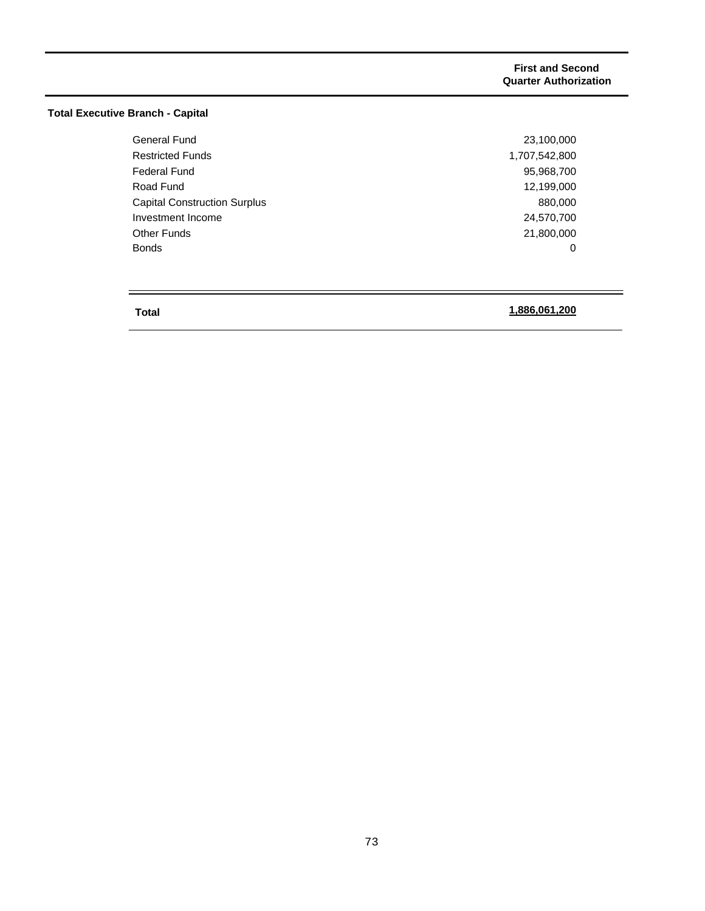## **Total Executive Branch - Capital**

| <b>General Fund</b>                 | 23,100,000    |
|-------------------------------------|---------------|
| <b>Restricted Funds</b>             | 1,707,542,800 |
| <b>Federal Fund</b>                 | 95,968,700    |
| Road Fund                           | 12.199.000    |
| <b>Capital Construction Surplus</b> | 880,000       |
| Investment Income                   | 24,570,700    |
| <b>Other Funds</b>                  | 21,800,000    |
| <b>Bonds</b>                        | 0             |

## **Total**

 $\equiv$ 

## **1,886,061,200**

 $\overline{\phantom{a}}$